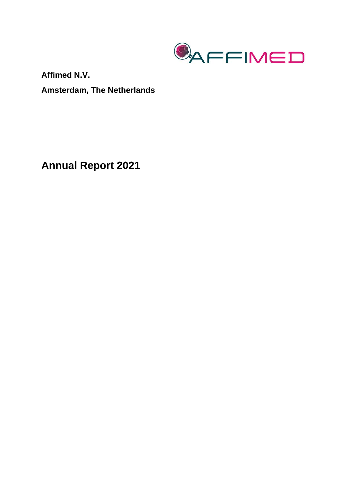

**Affimed N.V. Amsterdam, The Netherlands** 

**Annual Report 2021**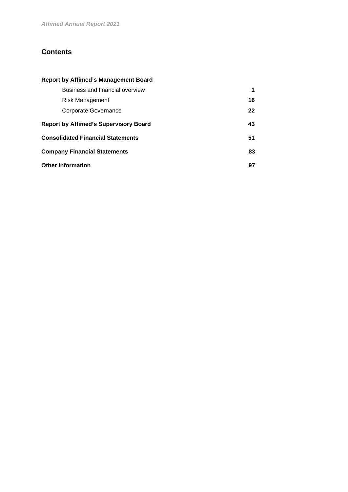# **Contents**

# **Report by Affimed's Management Board**

| Business and financial overview              |    |
|----------------------------------------------|----|
| Risk Management                              | 16 |
| Corporate Governance                         | 22 |
| <b>Report by Affimed's Supervisory Board</b> | 43 |
| <b>Consolidated Financial Statements</b>     | 51 |
| <b>Company Financial Statements</b>          | 83 |
| Other information                            | 97 |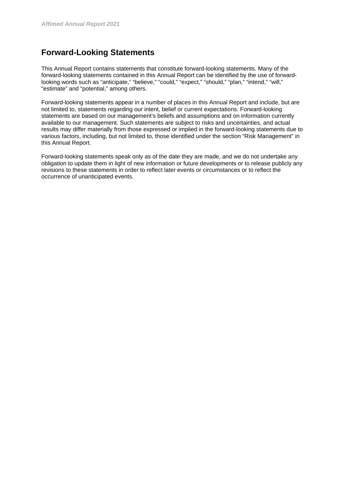# **Forward-Looking Statements**

This Annual Report contains statements that constitute forward-looking statements. Many of the forward-looking statements contained in this Annual Report can be identified by the use of forwardlooking words such as "anticipate," "believe," "could," "expect," "should," "plan," "intend," "will," "estimate" and "potential," among others.

Forward-looking statements appear in a number of places in this Annual Report and include, but are not limited to, statements regarding our intent, belief or current expectations. Forward-looking statements are based on our management's beliefs and assumptions and on information currently available to our management. Such statements are subject to risks and uncertainties, and actual results may differ materially from those expressed or implied in the forward-looking statements due to various factors, including, but not limited to, those identified under the section "Risk Management" in this Annual Report.

Forward-looking statements speak only as of the date they are made, and we do not undertake any obligation to update them in light of new information or future developments or to release publicly any revisions to these statements in order to reflect later events or circumstances or to reflect the occurrence of unanticipated events.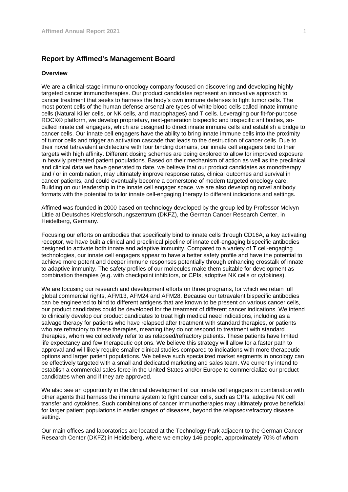# **Report by Affimed's Management Board**

## **Overview**

We are a clinical-stage immuno-oncology company focused on discovering and developing highly targeted cancer immunotherapies. Our product candidates represent an innovative approach to cancer treatment that seeks to harness the body's own immune defenses to fight tumor cells. The most potent cells of the human defense arsenal are types of white blood cells called innate immune cells (Natural Killer cells, or NK cells, and macrophages) and T cells. Leveraging our fit-for-purpose ROCK® platform, we develop proprietary, next-generation bispecific and trispecific antibodies, socalled innate cell engagers, which are designed to direct innate immune cells and establish a bridge to cancer cells. Our innate cell engagers have the ability to bring innate immune cells into the proximity of tumor cells and trigger an activation cascade that leads to the destruction of cancer cells. Due to their novel tetravalent architecture with four binding domains, our innate cell engagers bind to their targets with high affinity. Different dosing schemes are being explored to allow for improved exposure in heavily pretreated patient populations. Based on their mechanism of action as well as the preclinical and clinical data we have generated to date, we believe that our product candidates as monotherapy and / or in combination, may ultimately improve response rates, clinical outcomes and survival in cancer patients, and could eventually become a cornerstone of modern targeted oncology care. Building on our leadership in the innate cell engager space, we are also developing novel antibody formats with the potential to tailor innate cell-engaging therapy to different indications and settings.

Affimed was founded in 2000 based on technology developed by the group led by Professor Melvyn Little at Deutsches Krebsforschungszentrum (DKFZ), the German Cancer Research Center, in Heidelberg, Germany.

Focusing our efforts on antibodies that specifically bind to innate cells through CD16A, a key activating receptor, we have built a clinical and preclinical pipeline of innate cell-engaging bispecific antibodies designed to activate both innate and adaptive immunity. Compared to a variety of T cell-engaging technologies, our innate cell engagers appear to have a better safety profile and have the potential to achieve more potent and deeper immune responses potentially through enhancing crosstalk of innate to adaptive immunity. The safety profiles of our molecules make them suitable for development as combination therapies (e.g. with checkpoint inhibitors, or CPIs, adoptive NK cells or cytokines).

We are focusing our research and development efforts on three programs, for which we retain full global commercial rights, AFM13, AFM24 and AFM28. Because our tetravalent bispecific antibodies can be engineered to bind to different antigens that are known to be present on various cancer cells, our product candidates could be developed for the treatment of different cancer indications. We intend to clinically develop our product candidates to treat high medical need indications, including as a salvage therapy for patients who have relapsed after treatment with standard therapies, or patients who are refractory to these therapies, meaning they do not respond to treatment with standard therapies, whom we collectively refer to as relapsed/refractory patients. These patients have limited life expectancy and few therapeutic options. We believe this strategy will allow for a faster path to approval and will likely require smaller clinical studies compared to indications with more therapeutic options and larger patient populations. We believe such specialized market segments in oncology can be effectively targeted with a small and dedicated marketing and sales team. We currently intend to establish a commercial sales force in the United States and/or Europe to commercialize our product candidates when and if they are approved.

We also see an opportunity in the clinical development of our innate cell engagers in combination with other agents that harness the immune system to fight cancer cells, such as CPIs, adoptive NK cell transfer and cytokines. Such combinations of cancer immunotherapies may ultimately prove beneficial for larger patient populations in earlier stages of diseases, beyond the relapsed/refractory disease setting.

Our main offices and laboratories are located at the Technology Park adjacent to the German Cancer Research Center (DKFZ) in Heidelberg, where we employ 146 people, approximately 70% of whom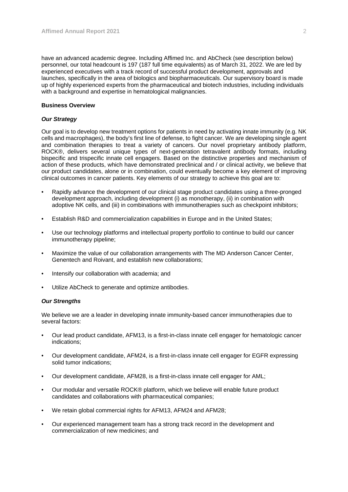have an advanced academic degree. Including Affimed Inc. and AbCheck (see description below) personnel, our total headcount is 197 (187 full time equivalents) as of March 31, 2022. We are led by experienced executives with a track record of successful product development, approvals and launches, specifically in the area of biologics and biopharmaceuticals. Our supervisory board is made up of highly experienced experts from the pharmaceutical and biotech industries, including individuals with a background and expertise in hematological malignancies.

# **Business Overview**

## *Our Strategy*

Our goal is to develop new treatment options for patients in need by activating innate immunity (e.g. NK cells and macrophages), the body's first line of defense, to fight cancer. We are developing single agent and combination therapies to treat a variety of cancers. Our novel proprietary antibody platform, ROCK®, delivers several unique types of next-generation tetravalent antibody formats, including bispecific and trispecific innate cell engagers. Based on the distinctive properties and mechanism of action of these products, which have demonstrated preclinical and / or clinical activity, we believe that our product candidates, alone or in combination, could eventually become a key element of improving clinical outcomes in cancer patients. Key elements of our strategy to achieve this goal are to:

- Rapidly advance the development of our clinical stage product candidates using a three-pronged development approach, including development (i) as monotherapy, (ii) in combination with adoptive NK cells, and (iii) in combinations with immunotherapies such as checkpoint inhibitors;
- Establish R&D and commercialization capabilities in Europe and in the United States;
- Use our technology platforms and intellectual property portfolio to continue to build our cancer immunotherapy pipeline;
- Maximize the value of our collaboration arrangements with The MD Anderson Cancer Center, Genentech and Roivant, and establish new collaborations;
- Intensify our collaboration with academia; and
- Utilize AbCheck to generate and optimize antibodies.

#### *Our Strengths*

We believe we are a leader in developing innate immunity-based cancer immunotherapies due to several factors:

- Our lead product candidate, AFM13, is a first-in-class innate cell engager for hematologic cancer indications;
- Our development candidate, AFM24, is a first-in-class innate cell engager for EGFR expressing solid tumor indications;
- Our development candidate, AFM28, is a first-in-class innate cell engager for AML;
- Our modular and versatile ROCK® platform, which we believe will enable future product candidates and collaborations with pharmaceutical companies;
- We retain global commercial rights for AFM13, AFM24 and AFM28;
- Our experienced management team has a strong track record in the development and commercialization of new medicines; and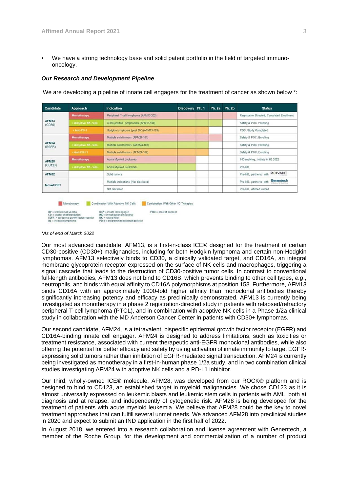• We have a strong technology base and solid patent portfolio in the field of targeted immunooncology.

#### *Our Research and Development Pipeline*

We are developing a pipeline of innate cell engagers for the treatment of cancer as shown below \*:

| Candidate               | <b>Approach</b>     | Indication                             | Discovery Ph. 1 |  | Ph. 2a Ph. 2b | <b>Status</b>                                                       |
|-------------------------|---------------------|----------------------------------------|-----------------|--|---------------|---------------------------------------------------------------------|
| <b>AFM13</b><br>(CD30)  | <b>Monotherapy</b>  | Peripheral T-cell lymphoma (AFM13-202) |                 |  |               | Registration Directed, Completed Enrollment                         |
|                         | - Adoptive NK cells | CD30-positive lymphomas (AFM13-104)    |                 |  |               | Safety & POC, Enrolling                                             |
|                         | $+$ Anti-PD-1       | Hodgkin lymphoma (post BV) (AFM13-103) |                 |  |               | POC, Study Completed                                                |
|                         | <b>Monotherapy</b>  | Multiple solid tumors (AFM24-101)      |                 |  |               | Safety & POC. Enrolling                                             |
| <b>AFM24</b><br>(EGFR)  | * Adoptive NK cells | Multiple solid tumors (AFM24-103)      |                 |  |               | Safety & POC, Enrolling                                             |
|                         | $+$ Anti-PD 1.1     | Multiple solid tumors (AFM24-102)      |                 |  |               | Safety & POC, Enrolling                                             |
| <b>AFM28</b><br>(CD123) | Monotherapy         | Acute Myeloid Leukemia                 |                 |  |               | IND-enabling, initiate in H2 2022                                   |
|                         | * Adoptive NK cells | Acute Myeloid Leukemia                 |                 |  |               | Pre-IND                                                             |
| <b>AFM32</b>            |                     | Solid tumors                           |                 |  |               | <b>ROIVANT</b><br>Pre-IND, partnered with                           |
| Novel ICE <sup>®</sup>  |                     | Multiple indications (Not disclosed)   |                 |  |               | Genentech<br>Pre-IND, partnered with<br>A Monter of the Radio Group |
|                         |                     | Not disclosed                          |                 |  |               | Pre-IND. Affirmed owned                                             |
|                         |                     |                                        |                 |  |               |                                                                     |

POC = proof of concept

Monotherapy Combination With Adoptive NK Cells Combination With Other I-O Therapies



ICE® = innate cell engager<br>IND = investigational new drug<br>INK = natural killer<br>PD-1 = programmed cell death protein1

*\*As of end of March 2022* 

Our most advanced candidate, AFM13, is a first-in-class ICE® designed for the treatment of certain CD30-positive (CD30+) malignancies, including for both Hodgkin lymphoma and certain non-Hodgkin lymphomas. AFM13 selectively binds to CD30, a clinically validated target, and CD16A, an integral membrane glycoprotein receptor expressed on the surface of NK cells and macrophages, triggering a signal cascade that leads to the destruction of CD30-positive tumor cells. In contrast to conventional full-length antibodies, AFM13 does not bind to CD16B, which prevents binding to other cell types, *e.g*., neutrophils, and binds with equal affinity to CD16A polymorphisms at position 158. Furthermore, AFM13 binds CD16A with an approximately 1000-fold higher affinity than monoclonal antibodies thereby significantly increasing potency and efficacy as preclinically demonstrated. AFM13 is currently being investigated as monotherapy in a phase 2 registration-directed study in patients with relapsed/refractory peripheral T-cell lymphoma (PTCL), and in combination with adoptive NK cells in a Phase 1/2a clinical study in collaboration with the MD Anderson Cancer Center in patients with CD30+ lymphomas.

Our second candidate, AFM24, is a tetravalent, bispecific epidermal growth factor receptor (EGFR) and CD16A-binding innate cell engager. AFM24 is designed to address limitations, such as toxicities or treatment resistance, associated with current therapeutic anti-EGFR monoclonal antibodies, while also offering the potential for better efficacy and safety by using activation of innate immunity to target EGFRexpressing solid tumors rather than inhibition of EGFR-mediated signal transduction. AFM24 is currently being investigated as monotherapy in a first-in-human phase 1/2a study, and in two combination clinical studies investigating AFM24 with adoptive NK cells and a PD-L1 inhibitor.

Our third, wholly-owned ICE® molecule, AFM28, was developed from our ROCK® platform and is designed to bind to CD123, an established target in myeloid malignancies. We chose CD123 as it is almost universally expressed on leukemic blasts and leukemic stem cells in patients with AML, both at diagnosis and at relapse, and independently of cytogenetic risk. AFM28 is being developed for the treatment of patients with acute myeloid leukemia. We believe that AFM28 could be the key to novel treatment approaches that can fulfill several unmet needs. We advanced AFM28 into preclinical studies in 2020 and expect to submit an IND application in the first half of 2022.

In August 2018, we entered into a research collaboration and license agreement with Genentech, a member of the Roche Group, for the development and commercialization of a number of product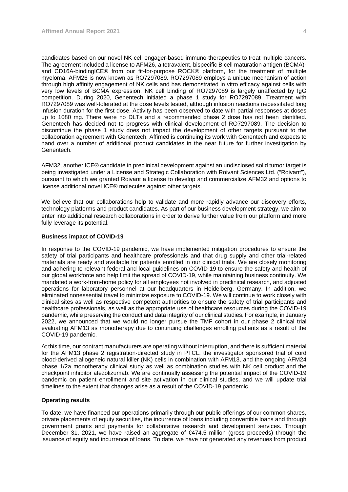candidates based on our novel NK cell engager-based immuno-therapeutics to treat multiple cancers. The agreement included a license to AFM26, a tetravalent, bispecific B cell maturation antigen (BCMA) and CD16A-bindingICE® from our fit-for-purpose ROCK® platform, for the treatment of multiple myeloma. AFM26 is now known as RO7297089. RO7297089 employs a unique mechanism of action through high affinity engagement of NK cells and has demonstrated in vitro efficacy against cells with very low levels of BCMA expression. NK cell binding of RO7297089 is largely unaffected by IgG competition. During 2020, Genentech initiated a phase 1 study for RO7297089. Treatment with RO7297089 was well-tolerated at the dose levels tested, although infusion reactions necessitated long infusion duration for the first dose. Activity has been observed to date with partial responses at doses up to 1080 mg. There were no DLTs and a recommended phase 2 dose has not been identified. Genentech has decided not to progress with clinical development of RO7297089. The decision to discontinue the phase 1 study does not impact the development of other targets pursuant to the collaboration agreement with Genentech. Affimed is continuing its work with Genentech and expects to hand over a number of additional product candidates in the near future for further investigation by Genentech.

AFM32, another ICE® candidate in preclinical development against an undisclosed solid tumor target is being investigated under a License and Strategic Collaboration with Roivant Sciences Ltd. ("Roivant"), pursuant to which we granted Roivant a license to develop and commercialize AFM32 and options to license additional novel ICE® molecules against other targets.

We believe that our collaborations help to validate and more rapidly advance our discovery efforts, technology platforms and product candidates. As part of our business development strategy, we aim to enter into additional research collaborations in order to derive further value from our platform and more fully leverage its potential.

#### **Business impact of COVID-19**

In response to the COVID-19 pandemic, we have implemented mitigation procedures to ensure the safety of trial participants and healthcare professionals and that drug supply and other trial-related materials are ready and available for patients enrolled in our clinical trials. We are closely monitoring and adhering to relevant federal and local guidelines on COVID-19 to ensure the safety and health of our global workforce and help limit the spread of COVID-19, while maintaining business continuity. We mandated a work-from-home policy for all employees not involved in preclinical research, and adjusted operations for laboratory personnel at our headquarters in Heidelberg, Germany. In addition, we eliminated nonessential travel to minimize exposure to COVID-19. We will continue to work closely with clinical sites as well as respective competent authorities to ensure the safety of trial participants and healthcare professionals, as well as the appropriate use of healthcare resources during the COVID-19 pandemic, while preserving the conduct and data integrity of our clinical studies. For example, in January 2022, we announced that we would no longer pursue the TMF cohort in our phase 2 clinical trial evaluating AFM13 as monotherapy due to continuing challenges enrolling patients as a result of the COVID-19 pandemic.

At this time, our contract manufacturers are operating without interruption, and there is sufficient material for the AFM13 phase 2 registration-directed study in PTCL, the investigator sponsored trial of cord blood-derived allogeneic natural killer (NK) cells in combination with AFM13, and the ongoing AFM24 phase 1/2a monotherapy clinical study as well as combination studies with NK cell product and the checkpoint inhibitor atezolizumab. We are continually assessing the potential impact of the COVID-19 pandemic on patient enrollment and site activation in our clinical studies, and we will update trial timelines to the extent that changes arise as a result of the COVID-19 pandemic.

#### **Operating results**

To date, we have financed our operations primarily through our public offerings of our common shares, private placements of equity securities, the incurrence of loans including convertible loans and through government grants and payments for collaborative research and development services. Through December 31, 2021, we have raised an aggregate of €474.5 million (gross proceeds) through the issuance of equity and incurrence of loans. To date, we have not generated any revenues from product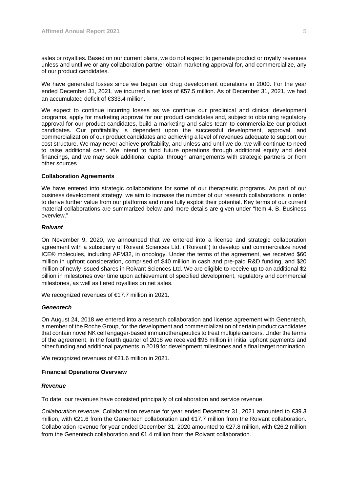sales or royalties. Based on our current plans, we do not expect to generate product or royalty revenues unless and until we or any collaboration partner obtain marketing approval for, and commercialize, any of our product candidates.

We have generated losses since we began our drug development operations in 2000. For the year ended December 31, 2021, we incurred a net loss of €57.5 million. As of December 31, 2021, we had an accumulated deficit of €333.4 million.

We expect to continue incurring losses as we continue our preclinical and clinical development programs, apply for marketing approval for our product candidates and, subject to obtaining regulatory approval for our product candidates, build a marketing and sales team to commercialize our product candidates. Our profitability is dependent upon the successful development, approval, and commercialization of our product candidates and achieving a level of revenues adequate to support our cost structure. We may never achieve profitability, and unless and until we do, we will continue to need to raise additional cash. We intend to fund future operations through additional equity and debt financings, and we may seek additional capital through arrangements with strategic partners or from other sources.

#### **Collaboration Agreements**

We have entered into strategic collaborations for some of our therapeutic programs. As part of our business development strategy, we aim to increase the number of our research collaborations in order to derive further value from our platforms and more fully exploit their potential. Key terms of our current material collaborations are summarized below and more details are given under "Item 4. B. Business overview."

## *Roivant*

On November 9, 2020, we announced that we entered into a license and strategic collaboration agreement with a subsidiary of Roivant Sciences Ltd. ("Roivant") to develop and commercialize novel ICE® molecules, including AFM32, in oncology. Under the terms of the agreement, we received \$60 million in upfront consideration, comprised of \$40 million in cash and pre-paid R&D funding, and \$20 million of newly issued shares in Roivant Sciences Ltd. We are eligible to receive up to an additional \$2 billion in milestones over time upon achievement of specified development, regulatory and commercial milestones, as well as tiered royalties on net sales.

We recognized revenues of €17.7 million in 2021.

#### *Genentech*

On August 24, 2018 we entered into a research collaboration and license agreement with Genentech, a member of the Roche Group, for the development and commercialization of certain product candidates that contain novel NK cell engager-based immunotherapeutics to treat multiple cancers. Under the terms of the agreement, in the fourth quarter of 2018 we received \$96 million in initial upfront payments and other funding and additional payments in 2019 for development milestones and a final target nomination.

We recognized revenues of €21.6 million in 2021.

#### **Financial Operations Overview**

#### *Revenue*

To date, our revenues have consisted principally of collaboration and service revenue.

*Collaboration revenue.* Collaboration revenue for year ended December 31, 2021 amounted to €39.3 million, with €21.6 from the Genentech collaboration and €17.7 million from the Roivant collaboration. Collaboration revenue for year ended December 31, 2020 amounted to €27.8 million, with €26.2 million from the Genentech collaboration and €1.4 million from the Roivant collaboration.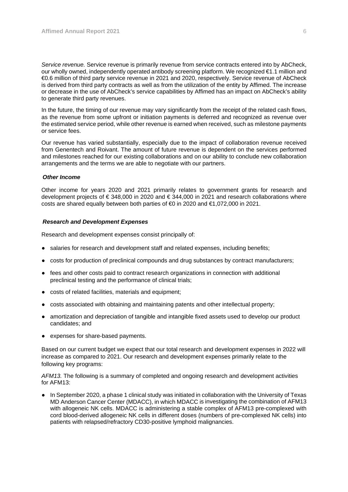*Service revenue.* Service revenue is primarily revenue from service contracts entered into by AbCheck, our wholly owned, independently operated antibody screening platform. We recognized €1.1 million and €0.6 million of third party service revenue in 2021 and 2020, respectively. Service revenue of AbCheck is derived from third party contracts as well as from the utilization of the entity by Affimed. The increase or decrease in the use of AbCheck's service capabilities by Affimed has an impact on AbCheck's ability to generate third party revenues.

In the future, the timing of our revenue may vary significantly from the receipt of the related cash flows, as the revenue from some upfront or initiation payments is deferred and recognized as revenue over the estimated service period, while other revenue is earned when received, such as milestone payments or service fees.

Our revenue has varied substantially, especially due to the impact of collaboration revenue received from Genentech and Roivant. The amount of future revenue is dependent on the services performed and milestones reached for our existing collaborations and on our ability to conclude new collaboration arrangements and the terms we are able to negotiate with our partners.

#### *Other Income*

Other income for years 2020 and 2021 primarily relates to government grants for research and development projects of € 348,000 in 2020 and € 344,000 in 2021 and research collaborations where costs are shared equally between both parties of €0 in 2020 and €1,072,000 in 2021.

#### *Research and Development Expenses*

Research and development expenses consist principally of:

- salaries for research and development staff and related expenses, including benefits;
- costs for production of preclinical compounds and drug substances by contract manufacturers;
- fees and other costs paid to contract research organizations in connection with additional preclinical testing and the performance of clinical trials;
- costs of related facilities, materials and equipment;
- costs associated with obtaining and maintaining patents and other intellectual property;
- amortization and depreciation of tangible and intangible fixed assets used to develop our product candidates; and
- expenses for share-based payments.

Based on our current budget we expect that our total research and development expenses in 2022 will increase as compared to 2021. Our research and development expenses primarily relate to the following key programs:

*AFM13.* The following is a summary of completed and ongoing research and development activities for AFM13:

● In September 2020, a phase 1 clinical study was initiated in collaboration with the University of Texas MD Anderson Cancer Center (MDACC), in which MDACC is investigating the combination of AFM13 with allogeneic NK cells. MDACC is administering a stable complex of AFM13 pre-complexed with cord blood-derived allogeneic NK cells in different doses (numbers of pre-complexed NK cells) into patients with relapsed/refractory CD30-positive lymphoid malignancies.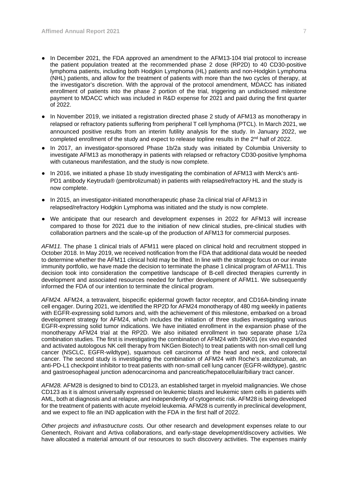- In December 2021, the FDA approved an amendment to the AFM13-104 trial protocol to increase the patient population treated at the recommended phase 2 dose (RP2D) to 40 CD30-positive lymphoma patients, including both Hodgkin Lymphoma (HL) patients and non-Hodgkin Lymphoma (NHL) patients, and allow for the treatment of patients with more than the two cycles of therapy, at the investigator's discretion. With the approval of the protocol amendment, MDACC has initiated enrollment of patients into the phase 2 portion of the trial, triggering an undisclosed milestone payment to MDACC which was included in R&D expense for 2021 and paid during the first quarter of 2022.
- In November 2019, we initiated a registration directed phase 2 study of AFM13 as monotherapy in relapsed or refractory patients suffering from peripheral T cell lymphoma (PTCL). In March 2021, we announced positive results from an interim futility analysis for the study. In January 2022, we completed enrollment of the study and expect to release topline results in the  $2<sup>nd</sup>$  half of 2022.
- In 2017, an investigator-sponsored Phase 1b/2a study was initiated by Columbia University to investigate AFM13 as monotherapy in patients with relapsed or refractory CD30-positive lymphoma with cutaneous manifestation, and the study is now complete.
- In 2016, we initiated a phase 1b study investigating the combination of AFM13 with Merck's anti-PD1 antibody Keytruda® (pembrolizumab) in patients with relapsed/refractory HL and the study is now complete.
- In 2015, an investigator-initiated monotherapeutic phase 2a clinical trial of AFM13 in relapsed/refractory Hodgkin Lymphoma was initiated and the study is now complete.
- We anticipate that our research and development expenses in 2022 for AFM13 will increase compared to those for 2021 due to the initiation of new clinical studies, pre-clinical studies with collaboration partners and the scale-up of the production of AFM13 for commercial purposes.

*AFM11.* The phase 1 clinical trials of AFM11 were placed on clinical hold and recruitment stopped in October 2018. In May 2019, we received notification from the FDA that additional data would be needed to determine whether the AFM11 clinical hold may be lifted. In line with the strategic focus on our innate immunity portfolio, we have made the decision to terminate the phase 1 clinical program of AFM11. This decision took into consideration the competitive landscape of B-cell directed therapies currently in development and associated resources needed for further development of AFM11. We subsequently informed the FDA of our intention to terminate the clinical program.

*AFM24.* AFM24, a tetravalent, bispecific epidermal growth factor receptor, and CD16A-binding innate cell engager. During 2021, we identified the RP2D for AFM24 monotherapy of 480 mg weekly in patients with EGFR-expressing solid tumors and, with the achievement of this milestone, embarked on a broad development strategy for AFM24, which includes the initiation of three studies investigating various EGFR-expressing solid tumor indications. We have initiated enrollment in the expansion phase of the monotherapy AFM24 trial at the RP2D. We also initiated enrollment in two separate phase 1/2a combination studies. The first is investigating the combination of AFM24 with SNK01 (ex vivo expanded and activated autologous NK cell therapy from NKGen Biotech) to treat patients with non-small cell lung cancer (NSCLC, EGFR-wildtype), squamous cell carcinoma of the head and neck, and colorectal cancer. The second study is investigating the combination of AFM24 with Roche's atezolizumab, an anti-PD-L1 checkpoint inhibitor to treat patients with non-small cell lung cancer (EGFR-wildtype), gastric and gastroesophageal junction adenocarcinoma and pancreatic/hepatocellular/biliary tract cancer.

*AFM28.* AFM28 is designed to bind to CD123, an established target in myeloid malignancies. We chose CD123 as it is almost universally expressed on leukemic blasts and leukemic stem cells in patients with AML, both at diagnosis and at relapse, and independently of cytogenetic risk. AFM28 is being developed for the treatment of patients with acute myeloid leukemia. AFM28 is currently in preclinical development, and we expect to file an IND application with the FDA in the first half of 2022.

*Other projects and infrastructure costs.* Our other research and development expenses relate to our Genentech, Roivant and Artiva collaborations, and early-stage development/discovery activities. We have allocated a material amount of our resources to such discovery activities. The expenses mainly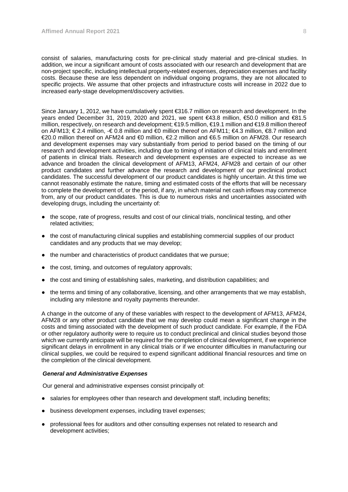consist of salaries, manufacturing costs for pre-clinical study material and pre-clinical studies. In addition, we incur a significant amount of costs associated with our research and development that are non-project specific, including intellectual property-related expenses, depreciation expenses and facility costs. Because these are less dependent on individual ongoing programs, they are not allocated to specific projects. We assume that other projects and infrastructure costs will increase in 2022 due to increased early-stage development/discovery activities.

Since January 1, 2012, we have cumulatively spent €316.7 million on research and development. In the years ended December 31, 2019, 2020 and 2021, we spent €43.8 million, €50.0 million and €81.5 million, respectively, on research and development; €19.5 million, €19.1 million and €19.8 million thereof on AFM13; € 2.4 million, -€ 0.8 million and €0 million thereof on AFM11; €4.3 million, €8.7 million and €20.0 million thereof on AFM24 and €0 million, €2.2 million and €6.5 million on AFM28. Our research and development expenses may vary substantially from period to period based on the timing of our research and development activities, including due to timing of initiation of clinical trials and enrollment of patients in clinical trials. Research and development expenses are expected to increase as we advance and broaden the clinical development of AFM13, AFM24, AFM28 and certain of our other product candidates and further advance the research and development of our preclinical product candidates. The successful development of our product candidates is highly uncertain. At this time we cannot reasonably estimate the nature, timing and estimated costs of the efforts that will be necessary to complete the development of, or the period, if any, in which material net cash inflows may commence from, any of our product candidates. This is due to numerous risks and uncertainties associated with developing drugs, including the uncertainty of:

- the scope, rate of progress, results and cost of our clinical trials, nonclinical testing, and other related activities;
- the cost of manufacturing clinical supplies and establishing commercial supplies of our product candidates and any products that we may develop;
- the number and characteristics of product candidates that we pursue;
- the cost, timing, and outcomes of regulatory approvals;
- the cost and timing of establishing sales, marketing, and distribution capabilities; and
- the terms and timing of any collaborative, licensing, and other arrangements that we may establish, including any milestone and royalty payments thereunder.

A change in the outcome of any of these variables with respect to the development of AFM13, AFM24, AFM28 or any other product candidate that we may develop could mean a significant change in the costs and timing associated with the development of such product candidate. For example, if the FDA or other regulatory authority were to require us to conduct preclinical and clinical studies beyond those which we currently anticipate will be required for the completion of clinical development, if we experience significant delays in enrollment in any clinical trials or if we encounter difficulties in manufacturing our clinical supplies, we could be required to expend significant additional financial resources and time on the completion of the clinical development.

#### *General and Administrative Expenses*

Our general and administrative expenses consist principally of:

- salaries for employees other than research and development staff, including benefits;
- business development expenses, including travel expenses;
- professional fees for auditors and other consulting expenses not related to research and development activities;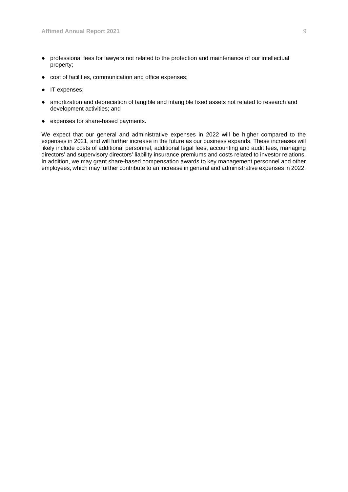- professional fees for lawyers not related to the protection and maintenance of our intellectual property;
- cost of facilities, communication and office expenses;
- IT expenses;
- amortization and depreciation of tangible and intangible fixed assets not related to research and development activities; and
- expenses for share-based payments.

We expect that our general and administrative expenses in 2022 will be higher compared to the expenses in 2021, and will further increase in the future as our business expands. These increases will likely include costs of additional personnel, additional legal fees, accounting and audit fees, managing directors' and supervisory directors' liability insurance premiums and costs related to investor relations. In addition, we may grant share-based compensation awards to key management personnel and other employees, which may further contribute to an increase in general and administrative expenses in 2022.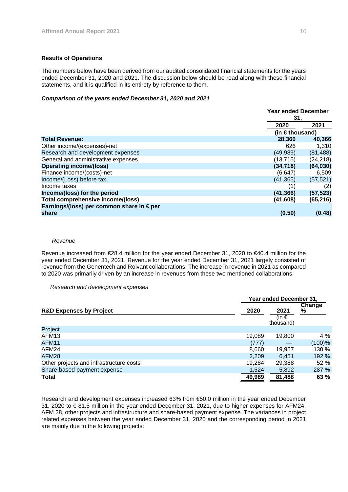## **Results of Operations**

The numbers below have been derived from our audited consolidated financial statements for the years ended December 31, 2020 and 2021. The discussion below should be read along with these financial statements, and it is qualified in its entirety by reference to them.

## *Comparison of the years ended December 31, 2020 and 2021*

|                                          |           | <b>Year ended December</b><br>31, |  |
|------------------------------------------|-----------|-----------------------------------|--|
|                                          | 2020      | 2021                              |  |
|                                          |           | (in $\in$ thousand)               |  |
| <b>Total Revenue:</b>                    | 28,360    | 40,366                            |  |
| Other income/(expenses)-net              | 626       | 1,310                             |  |
| Research and development expenses        | (49,989)  | (81, 488)                         |  |
| General and administrative expenses      | (13, 715) | (24, 218)                         |  |
| <b>Operating income/(loss)</b>           | (34, 718) | (64, 030)                         |  |
| Finance income/(costs)-net               | (6, 647)  | 6,509                             |  |
| Income/(Loss) before tax                 | (41, 365) | (57, 521)                         |  |
| Income taxes                             | (1)       | (2)                               |  |
| Income/(loss) for the period             | (41, 366) | (57, 523)                         |  |
| Total comprehensive income/(loss)        | (41,608)  | (65, 216)                         |  |
| Earnings/(loss) per common share in €per |           |                                   |  |
| share                                    | (0.50)    | (0.48)                            |  |

#### *Revenue*

Revenue increased from €28.4 million for the year ended December 31, 2020 to €40.4 million for the year ended December 31, 2021. Revenue for the year ended December 31, 2021 largely consisted of revenue from the Genentech and Roivant collaborations. The increase in revenue in 2021 as compared to 2020 was primarily driven by an increase in revenues from these two mentioned collaborations.

#### *Research and development expenses*

|                                         |        | Year ended December 31,    |                    |  |  |
|-----------------------------------------|--------|----------------------------|--------------------|--|--|
| <b>R&amp;D Expenses by Project</b>      | 2020   | 2021<br>(in €<br>thousand) | <b>Change</b><br>% |  |  |
| Project                                 |        |                            |                    |  |  |
| AFM <sub>13</sub>                       | 19,089 | 19,800                     | 4 %                |  |  |
| AFM11                                   | (777)  |                            | (100)%             |  |  |
| AFM24                                   | 8,660  | 19,957                     | 130 %              |  |  |
| AFM28                                   | 2,209  | 6.451                      | 192 %              |  |  |
| Other projects and infrastructure costs | 19,284 | 29,388                     | 52 %               |  |  |
| Share-based payment expense             | 1,524  | 5,892                      | 287 %              |  |  |
| <b>Total</b>                            | 49,989 | 81,488                     | 63 %               |  |  |

Research and development expenses increased 63% from €50.0 million in the year ended December 31, 2020 to € 81.5 million in the year ended December 31, 2021, due to higher expenses for AFM24, AFM 28, other projects and infrastructure and share-based payment expense. The variances in project related expenses between the year ended December 31, 2020 and the corresponding period in 2021 are mainly due to the following projects: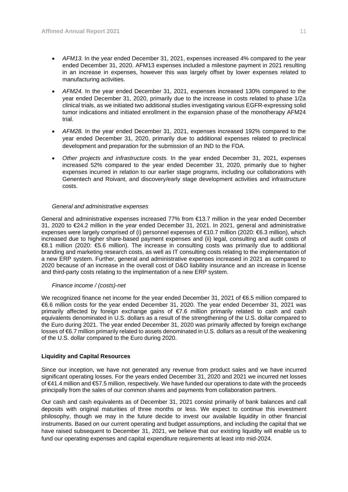- *AFM13.* In the year ended December 31, 2021, expenses increased 4% compared to the year ended December 31, 2020. AFM13 expenses included a milestone payment in 2021 resulting in an increase in expenses, however this was largely offset by lower expenses related to manufacturing activities.
- *AFM24.* In the year ended December 31, 2021, expenses increased 130% compared to the year ended December 31, 2020, primarily due to the increase in costs related to phase 1/2a clinical trials, as we initiated two additional studies investigating various EGFR-expressing solid tumor indications and initiated enrollment in the expansion phase of the monotherapy AFM24 trial.
- *AFM28.* In the year ended December 31, 2021, expenses increased 192% compared to the year ended December 31, 2020, primarily due to additional expenses related to preclinical development and preparation for the submission of an IND to the FDA.
- *Other projects and infrastructure costs.* In the year ended December 31, 2021, expenses increased 52% compared to the year ended December 31, 2020, primarily due to higher expenses incurred in relation to our earlier stage programs, including our collaborations with Genentech and Roivant, and discovery/early stage development activities and infrastructure costs.

## *General and administrative expenses*

General and administrative expenses increased 77% from €13.7 million in the year ended December 31, 2020 to €24.2 million in the year ended December 31, 2021. In 2021, general and administrative expenses were largely comprised of (i) personnel expenses of €10.7 million (2020: €6.3 million), which increased due to higher share-based payment expenses and (ii) legal, consulting and audit costs of €8.1 million (2020: €5.6 million). The increase in consulting costs was primarily due to additional branding and marketing research costs, as well as IT consulting costs relating to the implementation of a new ERP system. Further, general and administrative expenses increased in 2021 as compared to 2020 because of an increase in the overall cost of D&O liability insurance and an increase in license and third-party costs relating to the implmentation of a new ERP system.

#### *Finance income / (costs)-net*

We recognized finance net income for the year ended December 31, 2021 of €6.5 million compared to €6.6 million costs for the year ended December 31, 2020. The year ended December 31, 2021 was primarily affected by foreign exchange gains of €7.6 million primarily related to cash and cash equivalents denominated in U.S. dollars as a result of the strengthening of the U.S. dollar compared to the Euro during 2021. The year ended December 31, 2020 was primarily affected by foreign exchange losses of €6.7 million primarily related to assets denominated in U.S. dollars as a result of the weakening of the U.S. dollar compared to the Euro during 2020.

## **Liquidity and Capital Resources**

Since our inception, we have not generated any revenue from product sales and we have incurred significant operating losses. For the years ended December 31, 2020 and 2021 we incurred net losses of €41.4 million and €57.5 million, respectively. We have funded our operations to date with the proceeds principally from the sales of our common shares and payments from collaboration partners.

Our cash and cash equivalents as of December 31, 2021 consist primarily of bank balances and call deposits with original maturities of three months or less. We expect to continue this investment philosophy, though we may in the future decide to invest our available liquidity in other financial instruments. Based on our current operating and budget assumptions, and including the capital that we have raised subsequent to December 31, 2021, we believe that our existing liquidity will enable us to fund our operating expenses and capital expenditure requirements at least into mid-2024.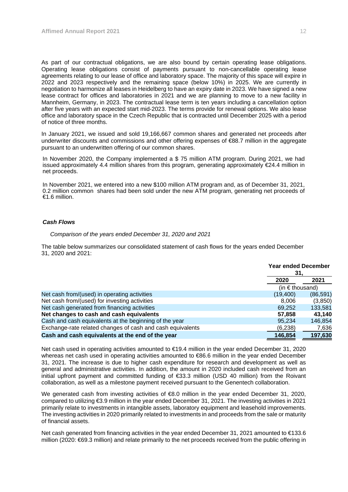As part of our contractual obligations, we are also bound by certain operating lease obligations. Operating lease obligations consist of payments pursuant to non-cancellable operating lease agreements relating to our lease of office and laboratory space. The majority of this space will expire in 2022 and 2023 respectively and the remaining space (below 10%) in 2025. We are currently in negotiation to harmonize all leases in Heidelberg to have an expiry date in 2023. We have signed a new lease contract for offices and laboratories in 2021 and we are planning to move to a new facility in Mannheim, Germany, in 2023. The contractual lease term is ten years including a cancellation option after five years with an expected start mid-2023. The terms provide for renewal options. We also lease office and laboratory space in the Czech Republic that is contracted until December 2025 with a period of notice of three months.

In January 2021, we issued and sold 19,166,667 common shares and generated net proceeds after underwriter discounts and commissions and other offering expenses of €88.7 million in the aggregate pursuant to an underwritten offering of our common shares.

In November 2020, the Company implemented a \$ 75 million ATM program. During 2021, we had issued approximately 4.4 million shares from this program, generating approximately €24.4 million in net proceeds.

In November 2021, we entered into a new \$100 million ATM program and, as of December 31, 2021, 0.2 million common shares had been sold under the new ATM program, generating net proceeds of €1.6 million.

# *Cash Flows*

#### *Comparison of the years ended December 31, 2020 and 2021*

The table below summarizes our consolidated statement of cash flows for the years ended December 31, 2020 and 2021:

|                                                            | <b>Year ended December</b> |           |
|------------------------------------------------------------|----------------------------|-----------|
|                                                            | 31.<br>2020<br>2021        |           |
|                                                            | (in $\epsilon$ thousand)   |           |
| Net cash from/(used) in operating activities               | (19, 400)                  | (86, 591) |
| Net cash from/(used) for investing activities              | 8.006                      | (3,850)   |
| Net cash generated from financing activities               | 69,252                     | 133,581   |
| Net changes to cash and cash equivalents                   | 57,858                     | 43.140    |
| Cash and cash equivalents at the beginning of the year     | 95.234                     | 146,854   |
| Exchange-rate related changes of cash and cash equivalents | (6, 238)                   | 7,636     |
| Cash and cash equivalents at the end of the year           | 146,854                    | 197,630   |

Net cash used in operating activities amounted to €19.4 million in the year ended December 31, 2020 whereas net cash used in operating activities amounted to €86.6 million in the year ended December 31, 2021. The increase is due to higher cash expenditure for research and development as well as general and administrative activities. In addition, the amount in 2020 included cash received from an initial upfront payment and committed funding of €33.3 million (USD 40 million) from the Roivant collaboration, as well as a milestone payment received pursuant to the Genentech collaboration.

We generated cash from investing activities of €8.0 million in the year ended December 31, 2020, compared to utilizing €3.9 million in the year ended December 31, 2021. The investing activities in 2021 primarily relate to investments in intangible assets, laboratory equipment and leasehold improvements. The investing activities in 2020 primarily related to investments in and proceeds from the sale or maturity of financial assets.

Net cash generated from financing activities in the year ended December 31, 2021 amounted to €133.6 million (2020: €69.3 million) and relate primarily to the net proceeds received from the public offering in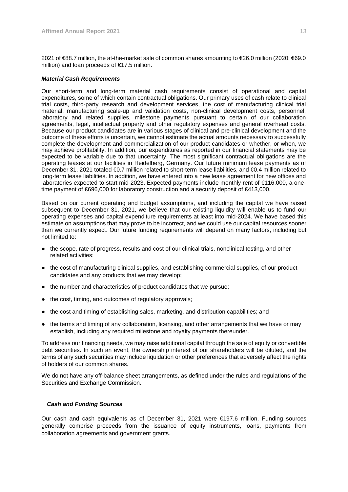2021 of €88.7 million, the at-the-market sale of common shares amounting to €26.0 million (2020: €69.0 million) and loan proceeds of €17.5 million.

## *Material Cash Requirements*

Our short-term and long-term material cash requirements consist of operational and capital expenditures, some of which contain contractual obligations. Our primary uses of cash relate to clinical trial costs, third-party research and development services, the cost of manufacturing clinical trial material, manufacturing scale-up and validation costs, non-clinical development costs, personnel, laboratory and related supplies, milestone payments pursuant to certain of our collaboration agreements, legal, intellectual property and other regulatory expenses and general overhead costs. Because our product candidates are in various stages of clinical and pre-clinical development and the outcome of these efforts is uncertain, we cannot estimate the actual amounts necessary to successfully complete the development and commercialization of our product candidates or whether, or when, we may achieve profitability. In addition, our expenditures as reported in our financial statements may be expected to be variable due to that uncertainty. The most significant contractual obligations are the operating leases at our facilities in Heidelberg, Germany. Our future minimum lease payments as of December 31, 2021 totaled €0.7 million related to short-term lease liabilities, and €0.4 million related to long-term lease liabilities. In addition, we have entered into a new lease agreement for new offices and laboratories expected to start mid-2023. Expected payments include monthly rent of €116,000, a onetime payment of €696,000 for laboratory construction and a security deposit of €413,000.

Based on our current operating and budget assumptions, and including the capital we have raised subsequent to December 31, 2021, we believe that our existing liquidity will enable us to fund our operating expenses and capital expenditure requirements at least into mid-2024. We have based this estimate on assumptions that may prove to be incorrect, and we could use our capital resources sooner than we currently expect. Our future funding requirements will depend on many factors, including but not limited to:

- the scope, rate of progress, results and cost of our clinical trials, nonclinical testing, and other related activities;
- the cost of manufacturing clinical supplies, and establishing commercial supplies, of our product candidates and any products that we may develop;
- the number and characteristics of product candidates that we pursue;
- the cost, timing, and outcomes of regulatory approvals;
- the cost and timing of establishing sales, marketing, and distribution capabilities; and
- the terms and timing of any collaboration, licensing, and other arrangements that we have or may establish, including any required milestone and royalty payments thereunder.

To address our financing needs, we may raise additional capital through the sale of equity or convertible debt securities. In such an event, the ownership interest of our shareholders will be diluted, and the terms of any such securities may include liquidation or other preferences that adversely affect the rights of holders of our common shares.

We do not have any off-balance sheet arrangements, as defined under the rules and regulations of the Securities and Exchange Commission.

## *Cash and Funding Sources*

Our cash and cash equivalents as of December 31, 2021 were €197.6 million. Funding sources generally comprise proceeds from the issuance of equity instruments, loans, payments from collaboration agreements and government grants.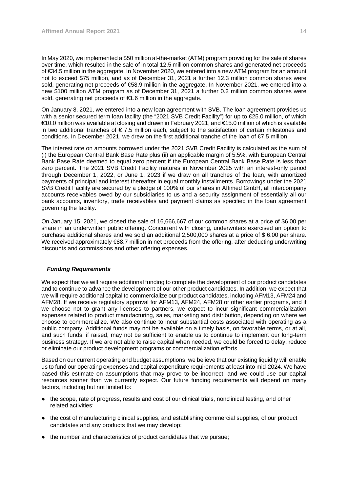In May 2020, we implemented a \$50 million at-the-market (ATM) program providing for the sale of shares over time, which resulted in the sale of in total 12.5 million common shares and generated net proceeds of €34.5 million in the aggregate. In November 2020, we entered into a new ATM program for an amount not to exceed \$75 million, and as of December 31, 2021 a further 12.3 million common shares were sold, generating net proceeds of €58.9 million in the aggregate. In November 2021, we entered into a new \$100 million ATM program as of December 31, 2021 a further 0.2 million common shares were sold, generating net proceeds of €1.6 million in the aggregate.

On January 8, 2021, we entered into a new loan agreement with SVB. The loan agreement provides us with a senior secured term loan facility (the "2021 SVB Credit Facility") for up to €25.0 million, of which €10.0 million was available at closing and drawn in February 2021, and €15.0 million of which is available in two additional tranches of  $\epsilon$  7.5 million each, subject to the satisfaction of certain milestones and conditions. In December 2021, we drew on the first additional tranche of the loan of  $\epsilon$ 7.5 million.

The interest rate on amounts borrowed under the 2021 SVB Credit Facility is calculated as the sum of (i) the European Central Bank Base Rate plus (ii) an applicable margin of 5.5%, with European Central Bank Base Rate deemed to equal zero percent if the European Central Bank Base Rate is less than zero percent. The 2021 SVB Credit Facility matures in November 2025 with an interest-only period through December 1, 2022, or June 1, 2023 if we draw on all tranches of the loan, with amortized payments of principal and interest thereafter in equal monthly installments. Borrowings under the 2021 SVB Credit Facility are secured by a pledge of 100% of our shares in Affimed GmbH, all intercompany accounts receivables owed by our subsidiaries to us and a security assignment of essentially all our bank accounts, inventory, trade receivables and payment claims as specified in the loan agreement governing the facility.

On January 15, 2021, we closed the sale of 16,666,667 of our common shares at a price of \$6.00 per share in an underwritten public offering. Concurrent with closing, underwriters exercised an option to purchase additional shares and we sold an additional 2,500,000 shares at a price of \$ 6.00 per share. We received approximately €88.7 million in net proceeds from the offering, after deducting underwriting discounts and commissions and other offering expenses.

## *Funding Requirements*

We expect that we will require additional funding to complete the development of our product candidates and to continue to advance the development of our other product candidates. In addition, we expect that we will require additional capital to commercialize our product candidates, including AFM13, AFM24 and AFM28. If we receive regulatory approval for AFM13, AFM24, AFM28 or other earlier programs, and if we choose not to grant any licenses to partners, we expect to incur significant commercialization expenses related to product manufacturing, sales, marketing and distribution, depending on where we choose to commercialize. We also continue to incur substantial costs associated with operating as a public company. Additional funds may not be available on a timely basis, on favorable terms, or at all, and such funds, if raised, may not be sufficient to enable us to continue to implement our long-term business strategy. If we are not able to raise capital when needed, we could be forced to delay, reduce or eliminate our product development programs or commercialization efforts.

Based on our current operating and budget assumptions, we believe that our existing liquidity will enable us to fund our operating expenses and capital expenditure requirements at least into mid-2024. We have based this estimate on assumptions that may prove to be incorrect, and we could use our capital resources sooner than we currently expect. Our future funding requirements will depend on many factors, including but not limited to:

- the scope, rate of progress, results and cost of our clinical trials, nonclinical testing, and other related activities;
- the cost of manufacturing clinical supplies, and establishing commercial supplies, of our product candidates and any products that we may develop;
- the number and characteristics of product candidates that we pursue;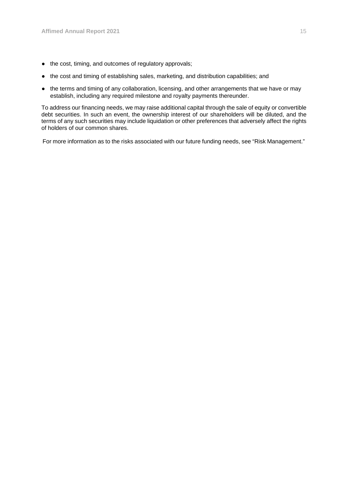- the cost, timing, and outcomes of regulatory approvals;
- the cost and timing of establishing sales, marketing, and distribution capabilities; and
- the terms and timing of any collaboration, licensing, and other arrangements that we have or may establish, including any required milestone and royalty payments thereunder.

To address our financing needs, we may raise additional capital through the sale of equity or convertible debt securities. In such an event, the ownership interest of our shareholders will be diluted, and the terms of any such securities may include liquidation or other preferences that adversely affect the rights of holders of our common shares.

For more information as to the risks associated with our future funding needs, see "Risk Management."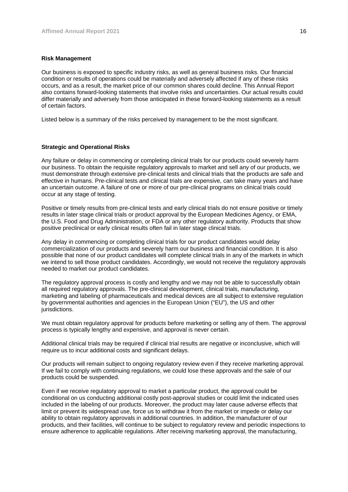#### **Risk Management**

Our business is exposed to specific industry risks, as well as general business risks. Our financial condition or results of operations could be materially and adversely affected if any of these risks occurs, and as a result, the market price of our common shares could decline. This Annual Report also contains forward-looking statements that involve risks and uncertainties. Our actual results could differ materially and adversely from those anticipated in these forward-looking statements as a result of certain factors.

Listed below is a summary of the risks perceived by management to be the most significant.

## **Strategic and Operational Risks**

Any failure or delay in commencing or completing clinical trials for our products could severely harm our business. To obtain the requisite regulatory approvals to market and sell any of our products, we must demonstrate through extensive pre-clinical tests and clinical trials that the products are safe and effective in humans. Pre-clinical tests and clinical trials are expensive, can take many years and have an uncertain outcome. A failure of one or more of our pre-clinical programs on clinical trials could occur at any stage of testing.

Positive or timely results from pre-clinical tests and early clinical trials do not ensure positive or timely results in later stage clinical trials or product approval by the European Medicines Agency, or EMA, the U.S. Food and Drug Administration, or FDA or any other regulatory authority. Products that show positive preclinical or early clinical results often fail in later stage clinical trials.

Any delay in commencing or completing clinical trials for our product candidates would delay commercialization of our products and severely harm our business and financial condition. It is also possible that none of our product candidates will complete clinical trials in any of the markets in which we intend to sell those product candidates. Accordingly, we would not receive the regulatory approvals needed to market our product candidates.

The regulatory approval process is costly and lengthy and we may not be able to successfully obtain all required regulatory approvals. The pre-clinical development, clinical trials, manufacturing, marketing and labeling of pharmaceuticals and medical devices are all subject to extensive regulation by governmental authorities and agencies in the European Union ("EU"), the US and other jurisdictions.

We must obtain regulatory approval for products before marketing or selling any of them. The approval process is typically lengthy and expensive, and approval is never certain.

Additional clinical trials may be required if clinical trial results are negative or inconclusive, which will require us to incur additional costs and significant delays.

Our products will remain subject to ongoing regulatory review even if they receive marketing approval. If we fail to comply with continuing regulations, we could lose these approvals and the sale of our products could be suspended.

Even if we receive regulatory approval to market a particular product, the approval could be conditional on us conducting additional costly post-approval studies or could limit the indicated uses included in the labeling of our products. Moreover, the product may later cause adverse effects that limit or prevent its widespread use, force us to withdraw it from the market or impede or delay our ability to obtain regulatory approvals in additional countries. In addition, the manufacturer of our products, and their facilities, will continue to be subject to regulatory review and periodic inspections to ensure adherence to applicable regulations. After receiving marketing approval, the manufacturing,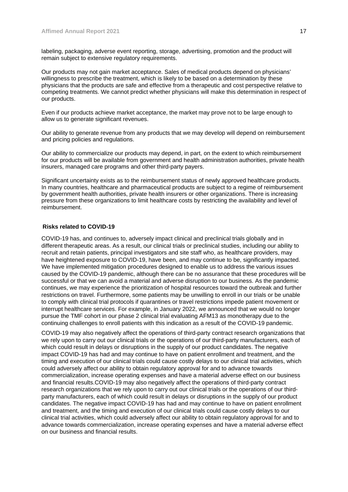labeling, packaging, adverse event reporting, storage, advertising, promotion and the product will remain subject to extensive regulatory requirements.

Our products may not gain market acceptance. Sales of medical products depend on physicians' willingness to prescribe the treatment, which is likely to be based on a determination by these physicians that the products are safe and effective from a therapeutic and cost perspective relative to competing treatments. We cannot predict whether physicians will make this determination in respect of our products.

Even if our products achieve market acceptance, the market may prove not to be large enough to allow us to generate significant revenues.

Our ability to generate revenue from any products that we may develop will depend on reimbursement and pricing policies and regulations.

Our ability to commercialize our products may depend, in part, on the extent to which reimbursement for our products will be available from government and health administration authorities, private health insurers, managed care programs and other third-party payers.

Significant uncertainty exists as to the reimbursement status of newly approved healthcare products. In many countries, healthcare and pharmaceutical products are subject to a regime of reimbursement by government health authorities, private health insurers or other organizations. There is increasing pressure from these organizations to limit healthcare costs by restricting the availability and level of reimbursement.

## **Risks related to COVID-19**

COVID-19 has, and continues to, adversely impact clinical and preclinical trials globally and in different therapeutic areas. As a result, our clinical trials or preclinical studies, including our ability to recruit and retain patients, principal investigators and site staff who, as healthcare providers, may have heightened exposure to COVID-19, have been, and may continue to be, significantly impacted. We have implemented mitigation procedures designed to enable us to address the various issues caused by the COVID-19 pandemic, although there can be no assurance that these procedures will be successful or that we can avoid a material and adverse disruption to our business. As the pandemic continues, we may experience the prioritization of hospital resources toward the outbreak and further restrictions on travel. Furthermore, some patients may be unwilling to enroll in our trials or be unable to comply with clinical trial protocols if quarantines or travel restrictions impede patient movement or interrupt healthcare services. For example, in January 2022, we announced that we would no longer pursue the TMF cohort in our phase 2 clinical trial evaluating AFM13 as monotherapy due to the continuing challenges to enroll patients with this indication as a result of the COVID-19 pandemic.

COVID-19 may also negatively affect the operations of third-party contract research organizations that we rely upon to carry out our clinical trials or the operations of our third-party manufacturers, each of which could result in delays or disruptions in the supply of our product candidates. The negative impact COVID-19 has had and may continue to have on patient enrollment and treatment, and the timing and execution of our clinical trials could cause costly delays to our clinical trial activities, which could adversely affect our ability to obtain regulatory approval for and to advance towards commercialization, increase operating expenses and have a material adverse effect on our business and financial results.COVID-19 may also negatively affect the operations of third-party contract research organizations that we rely upon to carry out our clinical trials or the operations of our thirdparty manufacturers, each of which could result in delays or disruptions in the supply of our product candidates. The negative impact COVID-19 has had and may continue to have on patient enrollment and treatment, and the timing and execution of our clinical trials could cause costly delays to our clinical trial activities, which could adversely affect our ability to obtain regulatory approval for and to advance towards commercialization, increase operating expenses and have a material adverse effect on our business and financial results.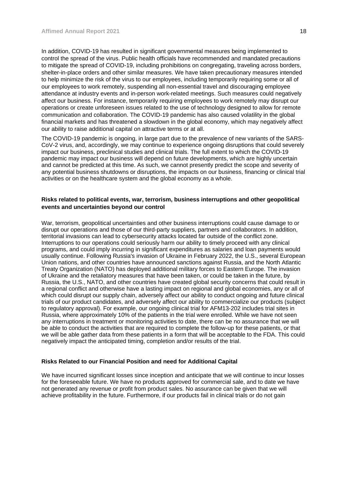In addition, COVID-19 has resulted in significant governmental measures being implemented to control the spread of the virus. Public health officials have recommended and mandated precautions to mitigate the spread of COVID-19, including prohibitions on congregating, traveling across borders, shelter-in-place orders and other similar measures. We have taken precautionary measures intended to help minimize the risk of the virus to our employees, including temporarily requiring some or all of our employees to work remotely, suspending all non-essential travel and discouraging employee attendance at industry events and in-person work-related meetings. Such measures could negatively affect our business. For instance, temporarily requiring employees to work remotely may disrupt our operations or create unforeseen issues related to the use of technology designed to allow for remote communication and collaboration. The COVID-19 pandemic has also caused volatility in the global financial markets and has threatened a slowdown in the global economy, which may negatively affect our ability to raise additional capital on attractive terms or at all.

The COVID-19 pandemic is ongoing, in large part due to the prevalence of new variants of the SARS-CoV-2 virus, and, accordingly, we may continue to experience ongoing disruptions that could severely impact our business, preclinical studies and clinical trials. The full extent to which the COVID-19 pandemic may impact our business will depend on future developments, which are highly uncertain and cannot be predicted at this time. As such, we cannot presently predict the scope and severity of any potential business shutdowns or disruptions, the impacts on our business, financing or clinical trial activities or on the healthcare system and the global economy as a whole.

## **Risks related to political events, war, terrorism, business interruptions and other geopolitical events and uncertainties beyond our control**

War, terrorism, geopolitical uncertainties and other business interruptions could cause damage to or disrupt our operations and those of our third-party suppliers, partners and collaborators. In addition, territorial invasions can lead to cybersecurity attacks located far outside of the conflict zone. Interruptions to our operations could seriously harm our ability to timely proceed with any clinical programs, and could imply incurring in significant expenditures as salaries and loan payments would usually continue. Following Russia's invasion of Ukraine in February 2022, the U.S., several European Union nations, and other countries have announced sanctions against Russia, and the North Atlantic Treaty Organization (NATO) has deployed additional military forces to Eastern Europe. The invasion of Ukraine and the retaliatory measures that have been taken, or could be taken in the future, by Russia, the U.S., NATO, and other countries have created global security concerns that could result in a regional conflict and otherwise have a lasting impact on regional and global economies, any or all of which could disrupt our supply chain, adversely affect our ability to conduct ongoing and future clinical trials of our product candidates, and adversely affect our ability to commercialize our products (subject to regulatory approval). For example, our ongoing clinical trial for AFM13-202 includes trial sites in Russia, where approximately 10% of the patients in the trial were enrolled. While we have not seen any interruptions in treatment or monitoring activities to date, there can be no assurance that we will be able to conduct the activities that are required to complete the follow-up for these patients, or that we will be able gather data from these patients in a form that will be acceptable to the FDA. This could negatively impact the anticipated timing, completion and/or results of the trial.

# **Risks Related to our Financial Position and need for Additional Capital**

We have incurred significant losses since inception and anticipate that we will continue to incur losses for the foreseeable future. We have no products approved for commercial sale, and to date we have not generated any revenue or profit from product sales. No assurance can be given that we will achieve profitability in the future. Furthermore, if our products fail in clinical trials or do not gain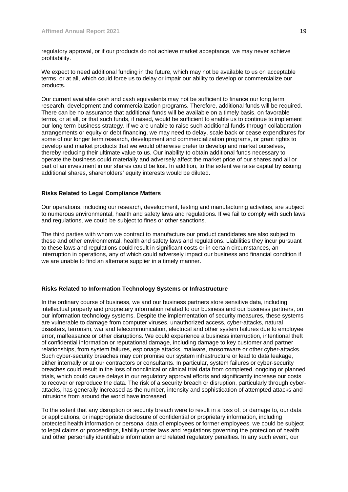regulatory approval, or if our products do not achieve market acceptance, we may never achieve profitability.

We expect to need additional funding in the future, which may not be available to us on acceptable terms, or at all, which could force us to delay or impair our ability to develop or commercialize our products.

Our current available cash and cash equivalents may not be sufficient to finance our long term research, development and commercialization programs. Therefore, additional funds will be required. There can be no assurance that additional funds will be available on a timely basis, on favorable terms, or at all, or that such funds, if raised, would be sufficient to enable us to continue to implement our long term business strategy. If we are unable to raise such additional funds through collaboration arrangements or equity or debt financing, we may need to delay, scale back or cease expenditures for some of our longer term research, development and commercialization programs, or grant rights to develop and market products that we would otherwise prefer to develop and market ourselves, thereby reducing their ultimate value to us. Our inability to obtain additional funds necessary to operate the business could materially and adversely affect the market price of our shares and all or part of an investment in our shares could be lost. In addition, to the extent we raise capital by issuing additional shares, shareholders' equity interests would be diluted.

## **Risks Related to Legal Compliance Matters**

Our operations, including our research, development, testing and manufacturing activities, are subject to numerous environmental, health and safety laws and regulations. If we fail to comply with such laws and regulations, we could be subject to fines or other sanctions.

The third parties with whom we contract to manufacture our product candidates are also subject to these and other environmental, health and safety laws and regulations. Liabilities they incur pursuant to these laws and regulations could result in significant costs or in certain circumstances, an interruption in operations, any of which could adversely impact our business and financial condition if we are unable to find an alternate supplier in a timely manner.

## **Risks Related to Information Technology Systems or Infrastructure**

In the ordinary course of business, we and our business partners store sensitive data, including intellectual property and proprietary information related to our business and our business partners, on our information technology systems. Despite the implementation of security measures, these systems are vulnerable to damage from computer viruses, unauthorized access, cyber-attacks, natural disasters, terrorism, war and telecommunication, electrical and other system failures due to employee error, malfeasance or other disruptions. We could experience a business interruption, intentional theft of confidential information or reputational damage, including damage to key customer and partner relationships, from system failures, espionage attacks, malware, ransomware or other cyber-attacks. Such cyber-security breaches may compromise our system infrastructure or lead to data leakage, either internally or at our contractors or consultants. In particular, system failures or cyber-security breaches could result in the loss of nonclinical or clinical trial data from completed, ongoing or planned trials, which could cause delays in our regulatory approval efforts and significantly increase our costs to recover or reproduce the data. The risk of a security breach or disruption, particularly through cyberattacks, has generally increased as the number, intensity and sophistication of attempted attacks and intrusions from around the world have increased.

To the extent that any disruption or security breach were to result in a loss of, or damage to, our data or applications, or inappropriate disclosure of confidential or proprietary information, including protected health information or personal data of employees or former employees, we could be subject to legal claims or proceedings, liability under laws and regulations governing the protection of health and other personally identifiable information and related regulatory penalties. In any such event, our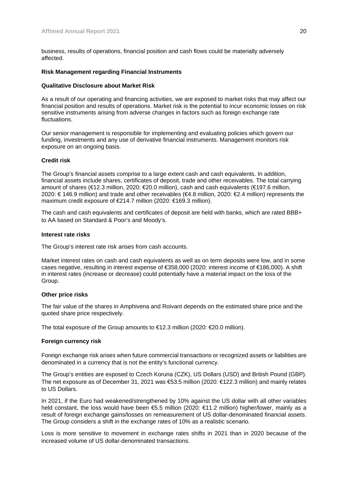business, results of operations, financial position and cash flows could be materially adversely affected.

#### **Risk Management regarding Financial Instruments**

#### **Qualitative Disclosure about Market Risk**

As a result of our operating and financing activities, we are exposed to market risks that may affect our financial position and results of operations. Market risk is the potential to incur economic losses on risk sensitive instruments arising from adverse changes in factors such as foreign exchange rate fluctuations.

Our senior management is responsible for implementing and evaluating policies which govern our funding, investments and any use of derivative financial instruments. Management monitors risk exposure on an ongoing basis.

## **Credit risk**

The Group's financial assets comprise to a large extent cash and cash equivalents. In addition, financial assets include shares, certificates of deposit, trade and other receivables. The total carrying amount of shares (€12.3 million, 2020: €20.0 million), cash and cash equivalents (€197.6 million, 2020: € 146.9 million) and trade and other receivables (€4.8 million, 2020: €2.4 million) represents the maximum credit exposure of €214.7 million (2020: €169.3 million).

The cash and cash equivalents and certificates of deposit are held with banks, which are rated BBB+ to AA based on Standard & Poor's and Moody's.

#### **Interest rate risks**

The Group's interest rate risk arises from cash accounts.

Market interest rates on cash and cash equivalents as well as on term deposits were low, and in some cases negative, resulting in interest expense of €358,000 (2020: interest income of €186,000). A shift in interest rates (increase or decrease) could potentially have a material impact on the loss of the Group.

## **Other price risks**

The fair value of the shares in Amphivena and Roivant depends on the estimated share price and the quoted share price respectively.

The total exposure of the Group amounts to  $\epsilon$ 12.3 million (2020:  $\epsilon$ 20.0 million).

## **Foreign currency risk**

Foreign exchange risk arises when future commercial transactions or recognized assets or liabilities are denominated in a currency that is not the entity's functional currency.

The Group's entities are exposed to Czech Koruna (CZK), US Dollars (USD) and British Pound (GBP). The net exposure as of December 31, 2021 was €53.5 million (2020: €122.3 million) and mainly relates to US Dollars.

In 2021, if the Euro had weakened/strengthened by 10% against the US dollar with all other variables held constant, the loss would have been €5.5 million (2020: €11.2 million) higher/lower, mainly as a result of foreign exchange gains/losses on remeasurement of US dollar-denominated financial assets. The Group considers a shift in the exchange rates of 10% as a realistic scenario.

Loss is more sensitive to movement in exchange rates shifts in 2021 than in 2020 because of the increased volume of US dollar-denominated transactions.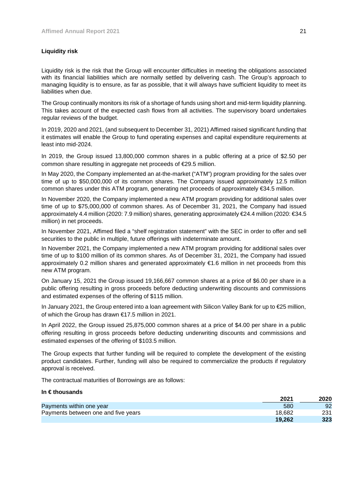# **Liquidity risk**

Liquidity risk is the risk that the Group will encounter difficulties in meeting the obligations associated with its financial liabilities which are normally settled by delivering cash. The Group's approach to managing liquidity is to ensure, as far as possible, that it will always have sufficient liquidity to meet its liabilities when due.

The Group continually monitors its risk of a shortage of funds using short and mid-term liquidity planning. This takes account of the expected cash flows from all activities. The supervisory board undertakes regular reviews of the budget.

In 2019, 2020 and 2021, (and subsequent to December 31, 2021) Affimed raised significant funding that it estimates will enable the Group to fund operating expenses and capital expenditure requirements at least into mid-2024.

In 2019, the Group issued 13,800,000 common shares in a public offering at a price of \$2.50 per common share resulting in aggregate net proceeds of €29.5 million.

In May 2020, the Company implemented an at-the-market ("ATM") program providing for the sales over time of up to \$50,000,000 of its common shares. The Company issued approximately 12.5 million common shares under this ATM program, generating net proceeds of approximately €34.5 million.

In November 2020, the Company implemented a new ATM program providing for additional sales over time of up to \$75,000,000 of common shares. As of December 31, 2021, the Company had issued approximately 4.4 million (2020: 7.9 million) shares, generating approximately €24.4 million (2020: €34.5 million) in net proceeds.

In November 2021, Affimed filed a "shelf registration statement" with the SEC in order to offer and sell securities to the public in multiple, future offerings with indeterminate amount.

In November 2021, the Company implemented a new ATM program providing for additional sales over time of up to \$100 million of its common shares. As of December 31, 2021, the Company had issued approximately 0.2 million shares and generated approximately €1.6 million in net proceeds from this new ATM program.

On January 15, 2021 the Group issued 19,166,667 common shares at a price of \$6.00 per share in a public offering resulting in gross proceeds before deducting underwriting discounts and commissions and estimated expenses of the offering of \$115 million.

In January 2021, the Group entered into a loan agreement with Silicon Valley Bank for up to €25 million, of which the Group has drawn €17.5 million in 2021.

In April 2022, the Group issued 25,875,000 common shares at a price of \$4.00 per share in a public offering resulting in gross proceeds before deducting underwriting discounts and commissions and estimated expenses of the offering of \$103.5 million.

The Group expects that further funding will be required to complete the development of the existing product candidates. Further, funding will also be required to commercialize the products if regulatory approval is received.

The contractual maturities of Borrowings are as follows:

## **In € thousands**

|                                     | 2021   | 2020 |
|-------------------------------------|--------|------|
| Payments within one year            | 580    | 92   |
| Payments between one and five years | 18.682 | 231  |
|                                     | 19.262 | 323  |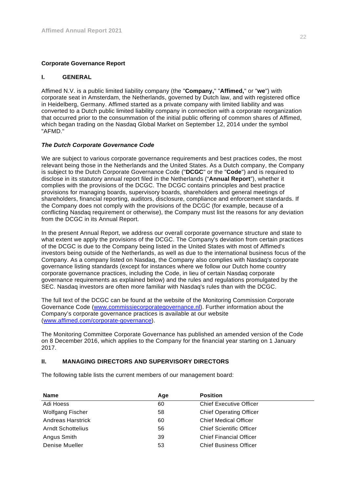# **Corporate Governance Report**

## **I. GENERAL**

Affimed N.V. is a public limited liability company (the "**Company,**" "**Affimed,**" or "**we**") with corporate seat in Amsterdam, the Netherlands, governed by Dutch law, and with registered office in Heidelberg, Germany. Affimed started as a private company with limited liability and was converted to a Dutch public limited liability company in connection with a corporate reorganization that occurred prior to the consummation of the initial public offering of common shares of Affimed, which began trading on the Nasdaq Global Market on September 12, 2014 under the symbol "AFMD."

# *The Dutch Corporate Governance Code*

We are subject to various corporate governance requirements and best practices codes, the most relevant being those in the Netherlands and the United States. As a Dutch company, the Company is subject to the Dutch Corporate Governance Code ("**DCGC**" or the "**Code**") and is required to disclose in its statutory annual report filed in the Netherlands ("**Annual Report**"), whether it complies with the provisions of the DCGC. The DCGC contains principles and best practice provisions for managing boards, supervisory boards, shareholders and general meetings of shareholders, financial reporting, auditors, disclosure, compliance and enforcement standards. If the Company does not comply with the provisions of the DCGC (for example, because of a conflicting Nasdaq requirement or otherwise), the Company must list the reasons for any deviation from the DCGC in its Annual Report.

In the present Annual Report, we address our overall corporate governance structure and state to what extent we apply the provisions of the DCGC. The Company's deviation from certain practices of the DCGC is due to the Company being listed in the United States with most of Affimed's investors being outside of the Netherlands, as well as due to the international business focus of the Company. As a company listed on Nasdaq, the Company also complies with Nasdaq's corporate governance listing standards (except for instances where we follow our Dutch home country corporate governance practices, including the Code, in lieu of certain Nasdaq corporate governance requirements as explained below) and the rules and regulations promulgated by the SEC. Nasdaq investors are often more familiar with Nasdaq's rules than with the DCGC.

The full text of the DCGC can be found at the website of the Monitoring Commission Corporate Governance Code (www.commissiecorporategovernance.nl). Further information about the Company's corporate governance practices is available at our website (www.affimed.com/corporate-governance).

The Monitoring Committee Corporate Governance has published an amended version of the Code on 8 December 2016, which applies to the Company for the financial year starting on 1 January 2017.

# **II. MANAGING DIRECTORS AND SUPERVISORY DIRECTORS**

The following table lists the current members of our management board:

| <b>Name</b>              | Age | <b>Position</b>                 |
|--------------------------|-----|---------------------------------|
| Adi Hoess                | 60  | <b>Chief Executive Officer</b>  |
| Wolfgang Fischer         | 58  | <b>Chief Operating Officer</b>  |
| <b>Andreas Harstrick</b> | 60  | <b>Chief Medical Officer</b>    |
| <b>Arndt Schottelius</b> | 56  | <b>Chief Scientific Officer</b> |
| Angus Smith              | 39  | <b>Chief Financial Officer</b>  |
| Denise Mueller           | 53  | <b>Chief Business Officer</b>   |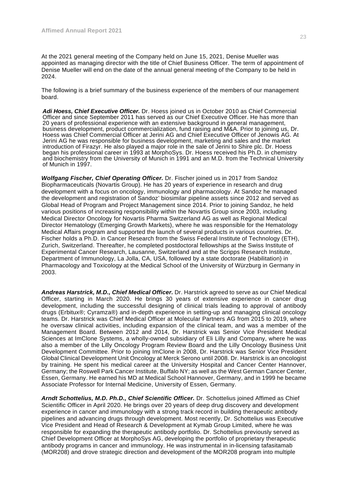At the 2021 general meeting of the Company held on June 15, 2021, Denise Mueller was appointed as managing director with the title of Chief Business Officer. The term of appointment of Denise Mueller will end on the date of the annual general meeting of the Company to be held in 2024.

The following is a brief summary of the business experience of the members of our management board.

*Adi Hoess, Chief Executive Officer.* Dr. Hoess joined us in October 2010 as Chief Commercial Officer and since September 2011 has served as our Chief Executive Officer. He has more than 20 years of professional experience with an extensive background in general management, business development, product commercialization, fund raising and M&A. Prior to joining us, Dr. Hoess was Chief Commercial Officer at Jerini AG and Chief Executive Officer of Jenowis AG. At Jerini AG he was responsible for business development, marketing and sales and the market introduction of Firazyr. He also played a major role in the sale of Jerini to Shire plc. Dr. Hoess began his professional career in 1993 at MorphoSys. Dr. Hoess received his Ph.D. in chemistry and biochemistry from the University of Munich in 1991 and an M.D. from the Technical University of Munich in 1997.

*Wolfgang Fischer, Chief Operating Officer.* Dr. Fischer joined us in 2017 from Sandoz Biopharmaceuticals (Novartis Group). He has 20 years of experience in research and drug development with a focus on oncology, immunology and pharmacology. At Sandoz he managed the development and registration of Sandoz' biosimilar pipeline assets since 2012 and served as Global Head of Program and Project Management since 2014. Prior to joining Sandoz, he held various positions of increasing responsibility within the Novartis Group since 2003, including Medical Director Oncology for Novartis Pharma Switzerland AG as well as Regional Medical Director Hematology (Emerging Growth Markets), where he was responsible for the Hematology Medical Affairs program and supported the launch of several products in various countries. Dr. Fischer holds a Ph.D. in Cancer Research from the Swiss Federal Institute of Technology (ETH), Zurich, Switzerland. Thereafter, he completed postdoctoral fellowships at the Swiss Institute of Experimental Cancer Research, Lausanne, Switzerland and at the Scripps Research Institute, Department of Immunology, La Jolla, CA, USA, followed by a state doctorate (Habilitation) in Pharmacology and Toxicology at the Medical School of the University of Würzburg in Germany in 2003.

*Andreas Harstrick, M.D., Chief Medical Officer.* Dr. Harstrick agreed to serve as our Chief Medical Officer, starting in March 2020. He brings 30 years of extensive experience in cancer drug development, including the successful designing of clinical trials leading to approval of antibody drugs (Erbitux®; Cyramza®) and in-depth experience in setting-up and managing clinical oncology teams. Dr. Harstrick was Chief Medical Officer at Molecular Partners AG from 2015 to 2019, where he oversaw clinical activities, including expansion of the clinical team, and was a member of the Management Board. Between 2012 and 2014, Dr. Harstrick was Senior Vice President Medical Sciences at ImClone Systems, a wholly-owned subsidiary of Eli Lilly and Company, where he was also a member of the Lilly Oncology Program Review Board and the Lilly Oncology Business Unit Development Committee. Prior to joining ImClone in 2008, Dr. Harstrick was Senior Vice President Global Clinical Development Unit Oncology at Merck Serono until 2008. Dr. Harstrick is an oncologist by training. He spent his medical career at the University Hospital and Cancer Center Hannover, Germany; the Roswell Park Cancer Institute, Buffalo NY; as well as the West German Cancer Center, Essen, Germany. He earned his MD at Medical School Hannover, Germany, and in 1999 he became Associate Professor for Internal Medicine, University of Essen, Germany.

*Arndt Schottelius, M.D. Ph.D., Chief Scientific Officer.* Dr. Schottelius joined Affimed as Chief Scientific Officer in April 2020. He brings over 20 years of deep drug discovery and development experience in cancer and immunology with a strong track record in building therapeutic antibody pipelines and advancing drugs through development. Most recently, Dr. Schottelius was Executive Vice President and Head of Research & Development at Kymab Group Limited, where he was responsible for expanding the therapeutic antibody portfolio. Dr. Schottelius previously served as Chief Development Officer at MorphoSys AG, developing the portfolio of proprietary therapeutic antibody programs in cancer and immunology. He was instrumental in in-licensing tafasitamab (MOR208) and drove strategic direction and development of the MOR208 program into multiple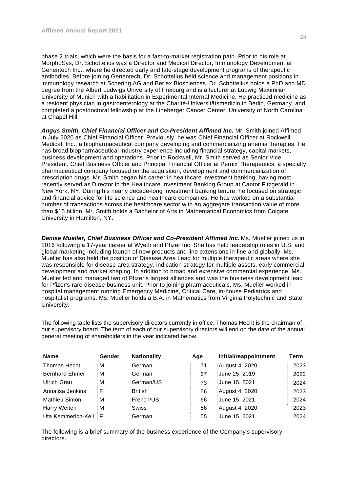phase 2 trials, which were the basis for a fast-to-market registration path. Prior to his role at MorphoSys, Dr. Schottelius was a Director and Medical Director, Immunology Development at Genentech Inc., where he directed early and late-stage development programs of therapeutic antibodies. Before joining Genentech, Dr. Schottelius held science and management positions in immunology research at Schering AG and Berlex Biosciences. Dr. Schottelius holds a PhD and MD degree from the Albert Ludwigs University of Freiburg and is a lecturer at Ludwig Maximilian University of Munich with a habilitation in Experimental Internal Medicine. He practiced medicine as a resident physician in gastroenterology at the Charité-Universitätsmedizin in Berlin, Germany, and completed a postdoctoral fellowship at the Lineberger Cancer Center, University of North Carolina at Chapel Hill.

*Angus Smith, Chief Financial Officer and Co-President Affimed Inc.* Mr. Smith joined Affimed in July 2020 as Chief Financial Officer. Previously, he was Chief Financial Officer at Rockwell Medical, Inc., a biopharmaceutical company developing and commercializing anemia therapies. He has broad biopharmaceutical industry experience including financial strategy, capital markets, business development and operations. Prior to Rockwell, Mr. Smith served as Senior Vice President, Chief Business Officer and Principal Financial Officer at Pernix Therapeutics, a specialty pharmaceutical company focused on the acquisition, development and commercialization of prescription drugs. Mr. Smith began his career in healthcare investment banking, having most recently served as Director in the Healthcare Investment Banking Group at Cantor Fitzgerald in New York, NY. During his nearly decade-long investment banking tenure, he focused on strategic and financial advice for life science and healthcare companies. He has worked on a substantial number of transactions across the healthcare sector with an aggregate transaction value of more than \$15 billion. Mr. Smith holds a Bachelor of Arts in Mathematical Economics from Colgate University in Hamilton, NY.

**Denise Mueller, Chief Business Officer and Co-President Affimed Inc. Ms. Mueller joined us in** 2016 following a 17-year career at Wyeth and Pfizer Inc. She has held leadership roles in U.S. and global marketing including launch of new products and line extensions in-line and globally. Ms. Mueller has also held the position of Disease Area Lead for multiple therapeutic areas where she was responsible for disease area strategy, indication strategy for multiple assets, early commercial development and market shaping. In addition to broad and extensive commercial experience, Ms. Mueller led and managed two of Pfizer's largest alliances and was the business development lead for Pfizer's rare disease business unit. Prior to joining pharmaceuticals, Ms. Mueller worked in hospital management running Emergency Medicine, Critical Care, in-house Pediatrics and hospitalist programs. Ms. Mueller holds a B.A. in Mathematics from Virginia Polytechnic and State University.

The following table lists the supervisory directors currently in office. Thomas Hecht is the chairman of our supervisory board. The term of each of our supervisory directors will end on the date of the annual general meeting of shareholders in the year indicated below.

| <b>Name</b>           | Gender | <b>Nationality</b> | Age | Initial/reappointment | Term |
|-----------------------|--------|--------------------|-----|-----------------------|------|
| <b>Thomas Hecht</b>   | м      | German             | 71  | August 4, 2020        | 2023 |
| <b>Bernhard Ehmer</b> | м      | German             | 67  | June 25, 2019         | 2022 |
| Ulrich Grau           | м      | German/US          | 73  | June 15, 2021         | 2024 |
| Annalisa Jenkins      | F      | <b>British</b>     | 56  | August 4, 2020        | 2023 |
| <b>Mathieu Simon</b>  | м      | French/US          | 66  | June 15, 2021         | 2024 |
| Harry Welten          | м      | <b>Swiss</b>       | 56  | August 4, 2020        | 2023 |
| Uta Kemmerich-Keil    | F.     | German             | 55  | June 15, 2021         | 2024 |

The following is a brief summary of the business experience of the Company's supervisory directors.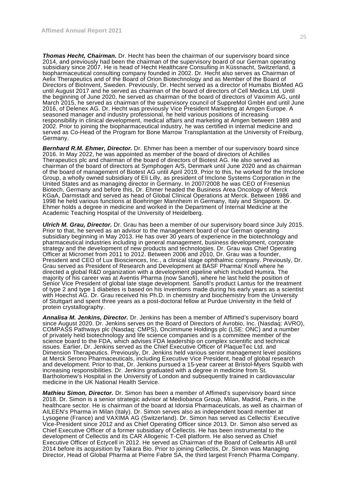*Thomas Hecht, Chairman.* Dr. Hecht has been the chairman of our supervisory board since 2014, and previously had been the chairman of the supervisory board of our German operating subsidiary since 2007. He is head of Hecht Healthcare Consulting in Küssnacht, Switzerland, a biopharmaceutical consulting company founded in 2002. Dr. Hecht also serves as Chairman of Aelix Therapeutics and of the Board of Orion Biotechnology and as Member of the Board of Directors of BioInvent, Sweden. Previously, Dr. Hecht served as a director of Humabs BioMed AG until August 2017 and he served as chairman of the board of directors of Cell Medica Ltd. Until the beginning of June 2020, he served as chairman of the board of directors of Vaximm AG, until March 2015, he served as chairman of the supervisory council of SuppreMol GmbH and until June 2016, of Delenex AG. Dr. Hecht was previously Vice President Marketing at Amgen Europe. A seasoned manager and industry professional, he held various positions of increasing responsibility in clinical development, medical affairs and marketing at Amgen between 1989 and 2002. Prior to joining the biopharmaceutical industry, he was certified in internal medicine and served as Co-Head of the Program for Bone Marrow Transplantation at the University of Freiburg, Germany.

*Bernhard R.M. Ehmer, Director.* Dr. Ehmer has been a member of our supervisory board since 2016. In May 2022, he was appointed as member of the board of directors of Achilles Therapeutics plc and chairman of the board of directors of Biotest AG. He also served as chairman of the board of directors at Symphogen A/S, Denmark until June 2020 and as chairman of the board of management of Biotest AG until April 2019. Prior to this, he worked for the Imclone Group, a wholly owned subsidiary of Eli Lilly, as president of Imclone Systems Corporation in the United States and as managing director in Germany. In 2007/2008 he was CEO of Fresenius Biotech, Germany and before this, Dr. Ehmer headed the Business Area Oncology of Merck KGaA, Darmstadt and served as head of Global Clinical Operations at Merck. Between 1986 and 1998 he held various functions at Boehringer Mannheim in Germany, Italy and Singapore. Dr. Ehmer holds a degree in medicine and worked in the Department of Internal Medicine at the Academic Teaching Hospital of the University of Heidelberg.

*Ulrich M. Grau, Director.* Dr. Grau has been a member of our supervisory board since July 2015. Prior to that, he served as an advisor to the management board of our German operating subsidiary beginning in May 2013. He has over 30 years of experience in the biotechnology and pharmaceutical industries including in general management, business development, corporate strategy and the development of new products and technologies. Dr. Grau was Chief Operating Officer at Micromet from 2011 to 2012. Between 2006 and 2010, Dr. Grau was a founder, President and CEO of Lux Biosciences, Inc., a clinical stage ophthalmic company. Previously, Dr. Grau served as President of Research and Development at BASF Pharma/ Knoll where he directed a global R&D organization with a development pipeline which included Humira. The majority of his career was at Aventis Pharma (now Sanofi), where he last held the position of Senior Vice President of global late stage development. Sanofi's product Lantus for the treatment of type 2 and type 1 diabetes is based on his inventions made during his early years as a scientist with Hoechst AG. Dr. Grau received his Ph.D. in chemistry and biochemistry from the University of Stuttgart and spent three years as a post-doctoral fellow at Purdue University in the field of protein crystallography.

*Annalisa M. Jenkins, Director.* Dr. Jenkins has been a member of Affimed's supervisory board since August 2020. Dr. Jenkins serves on the Board of Directors of Avrobio, Inc. (Nasdaq: AVRO), COMPASS Pathways plc (Nasdaq: CMPS), Oncimmune Holdings plc (LSE: ONC) and a number of privately held biotechnology and life science companies and is a committee member of the science board to the FDA, which advises FDA leadership on complex scientific and technical issues. Earlier, Dr. Jenkins served as the Chief Executive Officer of PlaqueTec Ltd. and Dimension Therapeutics. Previously, Dr. Jenkins held various senior management level positions at Merck Serono Pharmaceuticals, including Executive Vice President, head of global research and development. Prior to that, Dr. Jenkins pursued a 15-year career at Bristol-Myers Squibb with increasing responsibilities. Dr. Jenkins graduated with a degree in medicine from St. Bartholomew's Hospital in the University of London and subsequently trained in cardiovascular medicine in the UK National Health Service.

*Mathieu Simon, Director.* Dr. Simon has been a member of Affimed's supervisory board since 2018. Dr. Simon is a senior strategic advisor at Mediobanca Group, Milan, Madrid, Paris, in the healthcare sector. He is chairman of the board at Idorsia Pharmaceuticals, as well as chairman of AILEEN's Pharma in Milan (Italy). Dr. Simon serves also as independent board member at Lysogene (France) and VAXIMA AG (Switzerland). Dr. Simon has served as Cellectis' Executive Vice-President since 2012 and as Chief Operating Officer since 2013. Dr. Simon also served as Chief Executive Officer of a former subsidiary of Cellectis. He has been instrumental to the development of Cellectis and its CAR Allogenic T-Cell platform. He also served as Chief Executive Officer of Ectycell in 2012. He served as Chairman of the Board of Celleartis AB until 2014 before its acquisition by Takara Bio. Prior to joining Cellectis, Dr. Simon was Managing Director, Head of Global Pharma at Pierre Fabre SA, the third largest French Pharma Company.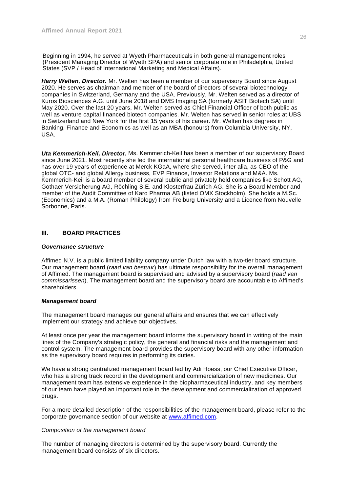Beginning in 1994, he served at Wyeth Pharmaceuticals in both general management roles (President Managing Director of Wyeth SPA) and senior corporate role in Philadelphia, United States (SVP / Head of International Marketing and Medical Affairs).

*Harry Welten, Director.* Mr. Welten has been a member of our supervisory Board since August 2020. He serves as chairman and member of the board of directors of several biotechnology companies in Switzerland, Germany and the USA. Previously, Mr. Welten served as a director of Kuros Biosciences A.G. until June 2018 and DMS Imaging SA (formerly ASIT Biotech SA) until May 2020. Over the last 20 years, Mr. Welten served as Chief Financial Officer of both public as well as venture capital financed biotech companies. Mr. Welten has served in senior roles at UBS in Switzerland and New York for the first 15 years of his career. Mr. Welten has degrees in Banking, Finance and Economics as well as an MBA (honours) from Columbia University, NY, USA.

*Uta Kemmerich-Keil, Director.* Ms. Kemmerich-Keil has been a member of our supervisory Board since June 2021. Most recently she led the international personal healthcare business of P&G and has over 19 years of experience at Merck KGaA, where she served, inter alia, as CEO of the global OTC- and global Allergy business, EVP Finance, Investor Relations and M&A. Ms. Kemmerich-Keil is a board member of several public and privately held companies like Schott AG, Gothaer Versicherung AG, Röchling S.E. and Klosterfrau Zürich AG. She is a Board Member and member of the Audit Committee of Karo Pharma AB (listed OMX Stockholm). She holds a M.Sc. (Economics) and a M.A. (Roman Philology) from Freiburg University and a Licence from Nouvelle Sorbonne, Paris.

# **III. BOARD PRACTICES**

## *Governance structure*

Affimed N.V. is a public limited liability company under Dutch law with a two-tier board structure. Our management board (*raad van bestuur*) has ultimate responsibility for the overall management of Affimed. The management board is supervised and advised by a supervisory board (*raad van commissarissen*). The management board and the supervisory board are accountable to Affimed's shareholders.

## *Management board*

The management board manages our general affairs and ensures that we can effectively implement our strategy and achieve our objectives.

At least once per year the management board informs the supervisory board in writing of the main lines of the Company's strategic policy, the general and financial risks and the management and control system. The management board provides the supervisory board with any other information as the supervisory board requires in performing its duties.

We have a strong centralized management board led by Adi Hoess, our Chief Executive Officer, who has a strong track record in the development and commercialization of new medicines. Our management team has extensive experience in the biopharmaceutical industry, and key members of our team have played an important role in the development and commercialization of approved drugs.

For a more detailed description of the responsibilities of the management board, please refer to the corporate governance section of our website at www.affimed.com.

## *Composition of the management board*

The number of managing directors is determined by the supervisory board. Currently the management board consists of six directors.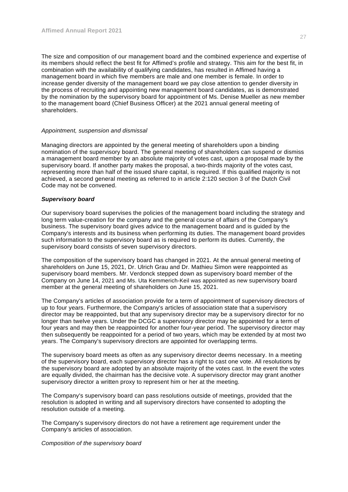The size and composition of our management board and the combined experience and expertise of its members should reflect the best fit for Affimed's profile and strategy. This aim for the best fit, in combination with the availability of qualifying candidates, has resulted in Affimed having a management board in which five members are male and one member is female. In order to increase gender diversity of the management board we pay close attention to gender diversity in the process of recruiting and appointing new management board candidates, as is demonstrated by the nomination by the supervisory board for appointment of Ms. Denise Mueller as new member to the management board (Chief Business Officer) at the 2021 annual general meeting of shareholders.

## *Appointment, suspension and dismissal*

Managing directors are appointed by the general meeting of shareholders upon a binding nomination of the supervisory board. The general meeting of shareholders can suspend or dismiss a management board member by an absolute majority of votes cast, upon a proposal made by the supervisory board. If another party makes the proposal, a two-thirds majority of the votes cast, representing more than half of the issued share capital, is required. If this qualified majority is not achieved, a second general meeting as referred to in article 2:120 section 3 of the Dutch Civil Code may not be convened.

## *Supervisory board*

Our supervisory board supervises the policies of the management board including the strategy and long term value-creation for the company and the general course of affairs of the Company's business. The supervisory board gives advice to the management board and is guided by the Company's interests and its business when performing its duties. The management board provides such information to the supervisory board as is required to perform its duties. Currently, the supervisory board consists of seven supervisory directors.

The composition of the supervisory board has changed in 2021. At the annual general meeting of shareholders on June 15, 2021, Dr. Ulrich Grau and Dr. Mathieu Simon were reappointed as supervisory board members. Mr. Verdonck stepped down as supervisory board member of the Company on June 14, 2021 and Ms. Uta Kemmerich-Keil was appointed as new supervisory board member at the general meeting of shareholders on June 15, 2021.

The Company's articles of association provide for a term of appointment of supervisory directors of up to four years. Furthermore, the Company's articles of association state that a supervisory director may be reappointed, but that any supervisory director may be a supervisory director for no longer than twelve years. Under the DCGC a supervisory director may be appointed for a term of four years and may then be reappointed for another four-year period. The supervisory director may then subsequently be reappointed for a period of two years, which may be extended by at most two years. The Company's supervisory directors are appointed for overlapping terms.

The supervisory board meets as often as any supervisory director deems necessary. In a meeting of the supervisory board, each supervisory director has a right to cast one vote. All resolutions by the supervisory board are adopted by an absolute majority of the votes cast. In the event the votes are equally divided, the chairman has the decisive vote. A supervisory director may grant another supervisory director a written proxy to represent him or her at the meeting.

The Company's supervisory board can pass resolutions outside of meetings, provided that the resolution is adopted in writing and all supervisory directors have consented to adopting the resolution outside of a meeting.

The Company's supervisory directors do not have a retirement age requirement under the Company's articles of association.

*Composition of the supervisory board*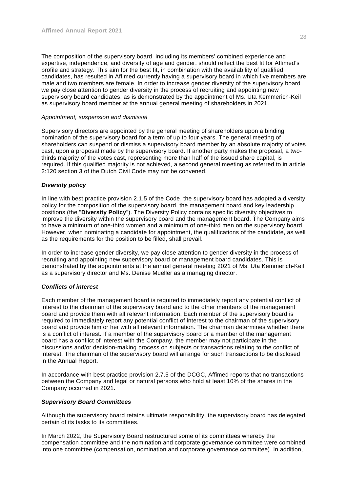The composition of the supervisory board, including its members' combined experience and expertise, independence, and diversity of age and gender, should reflect the best fit for Affimed's profile and strategy. This aim for the best fit, in combination with the availability of qualified candidates, has resulted in Affimed currently having a supervisory board in which five members are male and two members are female. In order to increase gender diversity of the supervisory board we pay close attention to gender diversity in the process of recruiting and appointing new supervisory board candidates, as is demonstrated by the appointment of Ms. Uta Kemmerich-Keil as supervisory board member at the annual general meeting of shareholders in 2021.

## *Appointment, suspension and dismissal*

Supervisory directors are appointed by the general meeting of shareholders upon a binding nomination of the supervisory board for a term of up to four years. The general meeting of shareholders can suspend or dismiss a supervisory board member by an absolute majority of votes cast, upon a proposal made by the supervisory board. If another party makes the proposal, a twothirds majority of the votes cast, representing more than half of the issued share capital, is required. If this qualified majority is not achieved, a second general meeting as referred to in article 2:120 section 3 of the Dutch Civil Code may not be convened.

# *Diversity policy*

In line with best practice provision 2.1.5 of the Code, the supervisory board has adopted a diversity policy for the composition of the supervisory board, the management board and key leadership positions (the "**Diversity Policy**"). The Diversity Policy contains specific diversity objectives to improve the diversity within the supervisory board and the management board. The Company aims to have a minimum of one-third women and a minimum of one-third men on the supervisory board. However, when nominating a candidate for appointment, the qualifications of the candidate, as well as the requirements for the position to be filled, shall prevail.

In order to increase gender diversity, we pay close attention to gender diversity in the process of recruiting and appointing new supervisory board or management board candidates. This is demonstrated by the appointments at the annual general meeting 2021 of Ms. Uta Kemmerich-Keil as a supervisory director and Ms. Denise Mueller as a managing director.

## *Conflicts of interest*

Each member of the management board is required to immediately report any potential conflict of interest to the chairman of the supervisory board and to the other members of the management board and provide them with all relevant information. Each member of the supervisory board is required to immediately report any potential conflict of interest to the chairman of the supervisory board and provide him or her with all relevant information. The chairman determines whether there is a conflict of interest. If a member of the supervisory board or a member of the management board has a conflict of interest with the Company, the member may not participate in the discussions and/or decision-making process on subjects or transactions relating to the conflict of interest. The chairman of the supervisory board will arrange for such transactions to be disclosed in the Annual Report.

In accordance with best practice provision 2.7.5 of the DCGC, Affimed reports that no transactions between the Company and legal or natural persons who hold at least 10% of the shares in the Company occurred in 2021.

## *Supervisory Board Committees*

Although the supervisory board retains ultimate responsibility, the supervisory board has delegated certain of its tasks to its committees.

In March 2022, the Supervisory Board restructured some of its committees whereby the compensation committee and the nomination and corporate governance committee were combined into one committee (compensation, nomination and corporate governance committee). In addition,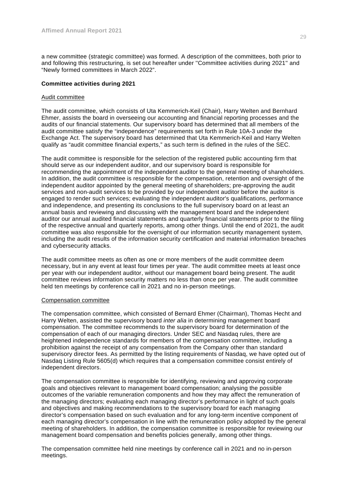a new committee (strategic committee) was formed. A description of the committees, both prior to and following this restructuring, is set out hereafter under ''Committee activities during 2021'' and "Newly formed committees in March 2022".

#### **Committee activities during 2021**

#### Audit committee

The audit committee, which consists of Uta Kemmerich-Keil (Chair), Harry Welten and Bernhard Ehmer, assists the board in overseeing our accounting and financial reporting processes and the audits of our financial statements. Our supervisory board has determined that all members of the audit committee satisfy the "independence" requirements set forth in Rule 10A-3 under the Exchange Act. The supervisory board has determined that Uta Kemmerich-Keil and Harry Welten qualify as "audit committee financial experts," as such term is defined in the rules of the SEC.

The audit committee is responsible for the selection of the registered public accounting firm that should serve as our independent auditor, and our supervisory board is responsible for recommending the appointment of the independent auditor to the general meeting of shareholders. In addition, the audit committee is responsible for the compensation, retention and oversight of the independent auditor appointed by the general meeting of shareholders; pre-approving the audit services and non-audit services to be provided by our independent auditor before the auditor is engaged to render such services; evaluating the independent auditor's qualifications, performance and independence, and presenting its conclusions to the full supervisory board on at least an annual basis and reviewing and discussing with the management board and the independent auditor our annual audited financial statements and quarterly financial statements prior to the filing of the respective annual and quarterly reports, among other things. Until the end of 2021, the audit committee was also responsible for the oversight of our information security management system, including the audit results of the information security certification and material information breaches and cybersecurity attacks.

The audit committee meets as often as one or more members of the audit committee deem necessary, but in any event at least four times per year. The audit committee meets at least once per year with our independent auditor, without our management board being present. The audit committee reviews information security matters no less than once per year. The audit committee held ten meetings by conference call in 2021 and no in-person meetings.

#### Compensation committee

The compensation committee, which consisted of Bernard Ehmer (Chairman), Thomas Hecht and Harry Welten, assisted the supervisory board *inter alia* in determining management board compensation. The committee recommends to the supervisory board for determination of the compensation of each of our managing directors. Under SEC and Nasdaq rules, there are heightened independence standards for members of the compensation committee, including a prohibition against the receipt of any compensation from the Company other than standard supervisory director fees. As permitted by the listing requirements of Nasdaq, we have opted out of Nasdaq Listing Rule 5605(d) which requires that a compensation committee consist entirely of independent directors.

The compensation committee is responsible for identifying, reviewing and approving corporate goals and objectives relevant to management board compensation; analysing the possible outcomes of the variable remuneration components and how they may affect the remuneration of the managing directors; evaluating each managing director's performance in light of such goals and objectives and making recommendations to the supervisory board for each managing director's compensation based on such evaluation and for any long-term incentive component of each managing director's compensation in line with the remuneration policy adopted by the general meeting of shareholders. In addition, the compensation committee is responsible for reviewing our management board compensation and benefits policies generally, among other things.

The compensation committee held nine meetings by conference call in 2021 and no in-person meetings.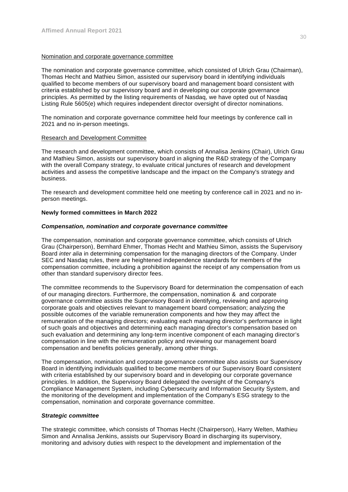## Nomination and corporate governance committee

The nomination and corporate governance committee, which consisted of Ulrich Grau (Chairman), Thomas Hecht and Mathieu Simon, assisted our supervisory board in identifying individuals qualified to become members of our supervisory board and management board consistent with criteria established by our supervisory board and in developing our corporate governance principles. As permitted by the listing requirements of Nasdaq, we have opted out of Nasdaq Listing Rule 5605(e) which requires independent director oversight of director nominations.

The nomination and corporate governance committee held four meetings by conference call in 2021 and no in-person meetings.

#### Research and Development Committee

The research and development committee, which consists of Annalisa Jenkins (Chair), Ulrich Grau and Mathieu Simon, assists our supervisory board in aligning the R&D strategy of the Company with the overall Company strategy, to evaluate critical junctures of research and development activities and assess the competitive landscape and the impact on the Company's strategy and business.

The research and development committee held one meeting by conference call in 2021 and no inperson meetings.

# **Newly formed committees in March 2022**

#### *Compensation, nomination and corporate governance committee*

The compensation, nomination and corporate governance committee, which consists of Ulrich Grau (Chairperson), Bernhard Ehmer, Thomas Hecht and Mathieu Simon, assists the Supervisory Board *inter alia* in determining compensation for the managing directors of the Company. Under SEC and Nasdaq rules, there are heightened independence standards for members of the compensation committee, including a prohibition against the receipt of any compensation from us other than standard supervisory director fees.

The committee recommends to the Supervisory Board for determination the compensation of each of our managing directors. Furthermore, the compensation, nomination & and corporate governance committee assists the Supervisory Board in identifying, reviewing and approving corporate goals and objectives relevant to management board compensation; analyzing the possible outcomes of the variable remuneration components and how they may affect the remuneration of the managing directors; evaluating each managing director's performance in light of such goals and objectives and determining each managing director's compensation based on such evaluation and determining any long-term incentive component of each managing director's compensation in line with the remuneration policy and reviewing our management board compensation and benefits policies generally, among other things.

The compensation, nomination and corporate governance committee also assists our Supervisory Board in identifying individuals qualified to become members of our Supervisory Board consistent with criteria established by our supervisory board and in developing our corporate governance principles. In addition, the Supervisory Board delegated the oversight of the Company's Compliance Management System, including Cybersecurity and Information Security System, and the monitoring of the development and implementation of the Company's ESG strategy to the compensation, nomination and corporate governance committee.

#### *Strategic committee*

The strategic committee, which consists of Thomas Hecht (Chairperson), Harry Welten, Mathieu Simon and Annalisa Jenkins, assists our Supervisory Board in discharging its supervisory, monitoring and advisory duties with respect to the development and implementation of the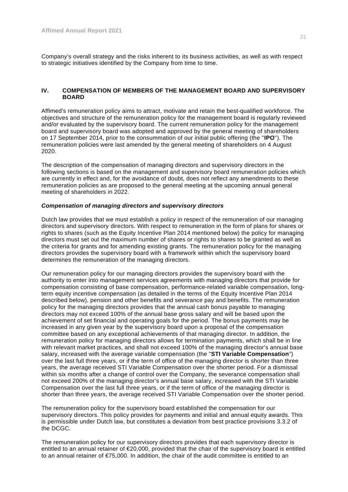Company's overall strategy and the risks inherent to its business activities, as well as with respect to strategic initiatives identified by the Company from time to time.

# **IV. COMPENSATION OF MEMBERS OF THE MANAGEMENT BOARD AND SUPERVISORY BOARD**

Affimed's remuneration policy aims to attract, motivate and retain the best-qualified workforce. The objectives and structure of the remuneration policy for the management board is regularly reviewed and/or evaluated by the supervisory board. The current remuneration policy for the management board and supervisory board was adopted and approved by the general meeting of shareholders on 17 September 2014, prior to the consummation of our initial public offering (the ''**IPO**''). The remuneration policies were last amended by the general meeting of shareholders on 4 August 2020.

The description of the compensation of managing directors and supervisory directors in the following sections is based on the management and supervisory board remuneration policies which are currently in effect and, for the avoidance of doubt, does not reflect any amendments to these remuneration policies as are proposed to the general meeting at the upcoming annual general meeting of shareholders in 2022.

## *Compensation of managing directors and supervisory directors*

Dutch law provides that we must establish a policy in respect of the remuneration of our managing directors and supervisory directors. With respect to remuneration in the form of plans for shares or rights to shares (such as the Equity Incentive Plan 2014 mentioned below) the policy for managing directors must set out the maximum number of shares or rights to shares to be granted as well as the criteria for grants and for amending existing grants. The remuneration policy for the managing directors provides the supervisory board with a framework within which the supervisory board determines the remuneration of the managing directors.

Our remuneration policy for our managing directors provides the supervisory board with the authority to enter into management services agreements with managing directors that provide for compensation consisting of base compensation, performance-related variable compensation, longterm equity incentive compensation (as detailed in the terms of the Equity Incentive Plan 2014 described below), pension and other benefits and severance pay and benefits. The remuneration policy for the managing directors provides that the annual cash bonus payable to managing directors may not exceed 100% of the annual base gross salary and will be based upon the achievement of set financial and operating goals for the period. The bonus payments may be increased in any given year by the supervisory board upon a proposal of the compensation committee based on any exceptional achievements of that managing director. In addition, the remuneration policy for managing directors allows for termination payments, which shall be in line with relevant market practices, and shall not exceed 100% of the managing director's annual base salary, increased with the average variable compensation (the "**STI Variable Compensation**") over the last full three years, or if the term of office of the managing director is shorter than three years, the average received STI Variable Compensation over the shorter period. For a dismissal within six months after a change of control over the Company, the severance compensation shall not exceed 200% of the managing director's annual base salary, increased with the STI Variable Compensation over the last full three years, or if the term of office of the managing director is shorter than three years, the average received STI Variable Compensation over the shorter period.

The remuneration policy for the supervisory board established the compensation for our supervisory directors. This policy provides for payments and initial and annual equity awards. This is permissible under Dutch law, but constitutes a deviation from best practice provisions 3.3.2 of the DCGC.

The remuneration policy for our supervisory directors provides that each supervisory director is entitled to an annual retainer of €20,000, provided that the chair of the supervisory board is entitled to an annual retainer of  $\epsilon$ 75,000. In addition, the chair of the audit committee is entitled to an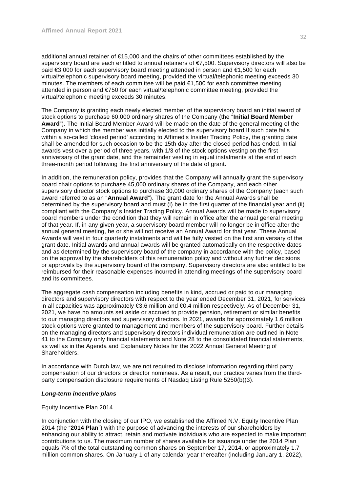additional annual retainer of €15,000 and the chairs of other committees established by the supervisory board are each entitled to annual retainers of €7,500. Supervisory directors will also be paid €3,000 for each supervisory board meeting attended in person and €1,500 for each virtual/telephonic supervisory board meeting, provided the virtual/telephonic meeting exceeds 30 minutes. The members of each committee will be paid €1,500 for each committee meeting attended in person and €750 for each virtual/telephonic committee meeting, provided the virtual/telephonic meeting exceeds 30 minutes.

The Company is granting each newly elected member of the supervisory board an initial award of stock options to purchase 60,000 ordinary shares of the Company (the "**Initial Board Member Award**"). The Initial Board Member Award will be made on the date of the general meeting of the Company in which the member was initially elected to the supervisory board If such date falls within a so-called 'closed period' according to Affimed's Insider Trading Policy, the granting date shall be amended for such occasion to be the 15th day after the closed period has ended. Initial awards vest over a period of three years, with 1/3 of the stock options vesting on the first anniversary of the grant date, and the remainder vesting in equal instalments at the end of each three-month period following the first anniversary of the date of grant.

In addition, the remuneration policy, provides that the Company will annually grant the supervisory board chair options to purchase 45,000 ordinary shares of the Company, and each other supervisory director stock options to purchase 30,000 ordinary shares of the Company (each such award referred to as an "**Annual Award**"). The grant date for the Annual Awards shall be determined by the supervisory board and must (i) be in the first quarter of the financial year and (ii) compliant with the Company´s Insider Trading Policy. Annual Awards will be made to supervisory board members under the condition that they will remain in office after the annual general meeting of that year. If, in any given year, a supervisory board member will no longer be in office after the annual general meeting, he or she will not receive an Annual Award for that year. These Annual Awards will vest in four quarterly instalments and will be fully vested on the first anniversary of the grant date. Initial awards and annual awards will be granted automatically on the respective dates and as determined by the supervisory board of the company in accordance with the policy, based on the approval by the shareholders of this remuneration policy and without any further decisions or approvals by the supervisory board of the company. Supervisory directors are also entitled to be reimbursed for their reasonable expenses incurred in attending meetings of the supervisory board and its committees.

The aggregate cash compensation including benefits in kind, accrued or paid to our managing directors and supervisory directors with respect to the year ended December 31, 2021, for services in all capacities was approximately €3.6 million and €0.4 million respectively. As of December 31, 2021, we have no amounts set aside or accrued to provide pension, retirement or similar benefits to our managing directors and supervisory directors. In 2021, awards for approximately 1.6 million stock options were granted to management and members of the supervisory board. Further details on the managing directors and supervisory directors individual remuneration are outlined in Note 41 to the Company only financial statements and Note 28 to the consolidated financial statements, as well as in the Agenda and Explanatory Notes for the 2022 Annual General Meeting of Shareholders.

In accordance with Dutch law, we are not required to disclose information regarding third party compensation of our directors or director nominees. As a result, our practice varies from the thirdparty compensation disclosure requirements of Nasdaq Listing Rule 5250(b)(3).

## *Long-term incentive plans*

# Equity Incentive Plan 2014

In conjunction with the closing of our IPO, we established the Affimed N.V. Equity Incentive Plan 2014 (the "**2014 Plan**") with the purpose of advancing the interests of our shareholders by enhancing our ability to attract, retain and motivate individuals who are expected to make important contributions to us. The maximum number of shares available for issuance under the 2014 Plan equals 7% of the total outstanding common shares on September 17, 2014, or approximately 1.7 million common shares. On January 1 of any calendar year thereafter (including January 1, 2022),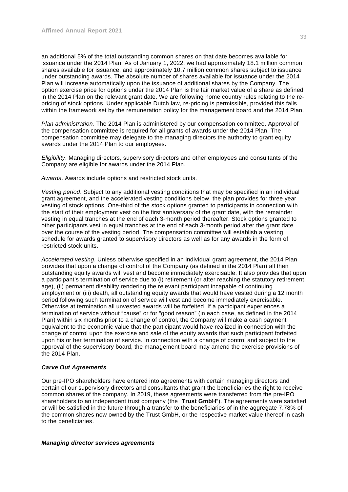an additional 5% of the total outstanding common shares on that date becomes available for issuance under the 2014 Plan. As of January 1, 2022, we had approximately 18.1 million common shares available for issuance, and approximately 10.7 million common shares subject to issuance under outstanding awards. The absolute number of shares available for issuance under the 2014 Plan will increase automatically upon the issuance of additional shares by the Company. The option exercise price for options under the 2014 Plan is the fair market value of a share as defined in the 2014 Plan on the relevant grant date. We are following home country rules relating to the repricing of stock options. Under applicable Dutch law, re-pricing is permissible, provided this falls within the framework set by the remuneration policy for the management board and the 2014 Plan.

*Plan administration.* The 2014 Plan is administered by our compensation committee. Approval of the compensation committee is required for all grants of awards under the 2014 Plan. The compensation committee may delegate to the managing directors the authority to grant equity awards under the 2014 Plan to our employees.

*Eligibility*. Managing directors, supervisory directors and other employees and consultants of the Company are eligible for awards under the 2014 Plan.

*Awards*. Awards include options and restricted stock units.

*Vesting period*. Subject to any additional vesting conditions that may be specified in an individual grant agreement, and the accelerated vesting conditions below, the plan provides for three year vesting of stock options. One-third of the stock options granted to participants in connection with the start of their employment vest on the first anniversary of the grant date, with the remainder vesting in equal tranches at the end of each 3-month period thereafter. Stock options granted to other participants vest in equal tranches at the end of each 3-month period after the grant date over the course of the vesting period. The compensation committee will establish a vesting schedule for awards granted to supervisory directors as well as for any awards in the form of restricted stock units.

*Accelerated vesting*. Unless otherwise specified in an individual grant agreement, the 2014 Plan provides that upon a change of control of the Company (as defined in the 2014 Plan) all then outstanding equity awards will vest and become immediately exercisable. It also provides that upon a participant's termination of service due to (i) retirement (or after reaching the statutory retirement age), (ii) permanent disability rendering the relevant participant incapable of continuing employment or (iii) death, all outstanding equity awards that would have vested during a 12 month period following such termination of service will vest and become immediately exercisable. Otherwise at termination all unvested awards will be forfeited. If a participant experiences a termination of service without "cause" or for "good reason" (in each case, as defined in the 2014 Plan) within six months prior to a change of control, the Company will make a cash payment equivalent to the economic value that the participant would have realized in connection with the change of control upon the exercise and sale of the equity awards that such participant forfeited upon his or her termination of service. In connection with a change of control and subject to the approval of the supervisory board, the management board may amend the exercise provisions of the 2014 Plan.

## *Carve Out Agreements*

Our pre-IPO shareholders have entered into agreements with certain managing directors and certain of our supervisory directors and consultants that grant the beneficiaries the right to receive common shares of the company. In 2019, these agreements were transferred from the pre-IPO shareholders to an independent trust company (the "**Trust GmbH**"). The agreements were satisfied or will be satisfied in the future through a transfer to the beneficiaries of in the aggregate 7.78% of the common shares now owned by the Trust GmbH, or the respective market value thereof in cash to the beneficiaries.

## *Managing director services agreements*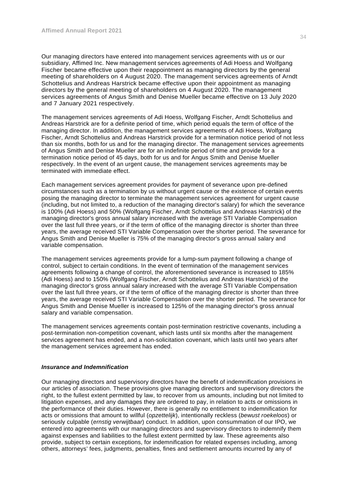Our managing directors have entered into management services agreements with us or our subsidiary, Affimed Inc. New management services agreements of Adi Hoess and Wolfgang Fischer became effective upon their reappointment as managing directors by the general meeting of shareholders on 4 August 2020. The management services agreements of Arndt Schottelius and Andreas Harstrick became effective upon their appointment as managing directors by the general meeting of shareholders on 4 August 2020. The management services agreements of Angus Smith and Denise Mueller became effective on 13 July 2020 and 7 January 2021 respectively.

The management services agreements of Adi Hoess, Wolfgang Fischer, Arndt Schottelius and Andreas Harstrick are for a definite period of time, which period equals the term of office of the managing director. In addition, the management services agreements of Adi Hoess, Wolfgang Fischer, Arndt Schottelius and Andreas Harstrick provide for a termination notice period of not less than six months, both for us and for the managing director. The management services agreements of Angus Smith and Denise Mueller are for an indefinite period of time and provide for a termination notice period of 45 days, both for us and for Angus Smith and Denise Mueller respectively. In the event of an urgent cause, the management services agreements may be terminated with immediate effect.

Each management services agreement provides for payment of severance upon pre-defined circumstances such as a termination by us without urgent cause or the existence of certain events posing the managing director to terminate the management services agreement for urgent cause (including, but not limited to, a reduction of the managing director's salary) for which the severance is 100% (Adi Hoess) and 50% (Wolfgang Fischer, Arndt Schottelius and Andreas Harstrick) of the managing director's gross annual salary increased with the average STI Variable Compensation over the last full three years, or if the term of office of the managing director is shorter than three years, the average received STI Variable Compensation over the shorter period. The severance for Angus Smith and Denise Mueller is 75% of the managing director's gross annual salary and variable compensation.

The management services agreements provide for a lump-sum payment following a change of control, subject to certain conditions. In the event of termination of the management services agreements following a change of control, the aforementioned severance is increased to 185% (Adi Hoess) and to 150% (Wolfgang Fischer, Arndt Schottelius and Andreas Harstrick) of the managing director's gross annual salary increased with the average STI Variable Compensation over the last full three years, or if the term of office of the managing director is shorter than three years, the average received STI Variable Compensation over the shorter period. The severance for Angus Smith and Denise Mueller is increased to 125% of the managing director's gross annual salary and variable compensation.

The management services agreements contain post-termination restrictive covenants, including a post-termination non-competition covenant, which lasts until six months after the management services agreement has ended, and a non-solicitation covenant, which lasts until two years after the management services agreement has ended.

#### *Insurance and Indemnification*

Our managing directors and supervisory directors have the benefit of indemnification provisions in our articles of association. These provisions give managing directors and supervisory directors the right, to the fullest extent permitted by law, to recover from us amounts, including but not limited to litigation expenses, and any damages they are ordered to pay, in relation to acts or omissions in the performance of their duties. However, there is generally no entitlement to indemnification for acts or omissions that amount to willful (*opzettelijk*), intentionally reckless (*bewust roekeloos*) or seriously culpable (*ernstig verwijtbaar*) conduct. In addition, upon consummation of our IPO, we entered into agreements with our managing directors and supervisory directors to indemnify them against expenses and liabilities to the fullest extent permitted by law. These agreements also provide, subject to certain exceptions, for indemnification for related expenses including, among others, attorneys' fees, judgments, penalties, fines and settlement amounts incurred by any of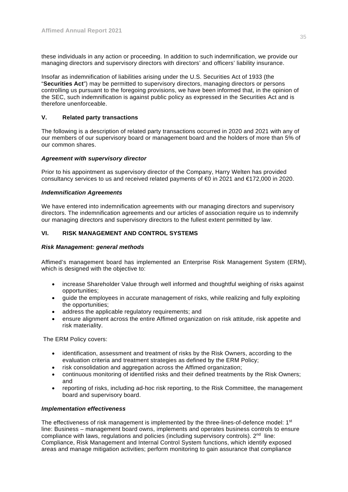these individuals in any action or proceeding. In addition to such indemnification, we provide our managing directors and supervisory directors with directors' and officers' liability insurance.

Insofar as indemnification of liabilities arising under the U.S. Securities Act of 1933 (the "**Securities Act**") may be permitted to supervisory directors, managing directors or persons controlling us pursuant to the foregoing provisions, we have been informed that, in the opinion of the SEC, such indemnification is against public policy as expressed in the Securities Act and is therefore unenforceable.

#### **V. Related party transactions**

The following is a description of related party transactions occurred in 2020 and 2021 with any of our members of our supervisory board or management board and the holders of more than 5% of our common shares.

#### *Agreement with supervisory director*

Prior to his appointment as supervisory director of the Company, Harry Welten has provided consultancy services to us and received related payments of €0 in 2021 and €172,000 in 2020.

#### *Indemnification Agreements*

We have entered into indemnification agreements with our managing directors and supervisory directors. The indemnification agreements and our articles of association require us to indemnify our managing directors and supervisory directors to the fullest extent permitted by law.

#### **VI. RISK MANAGEMENT AND CONTROL SYSTEMS**

#### *Risk Management: general methods*

Affimed's management board has implemented an Enterprise Risk Management System (ERM), which is designed with the objective to:

- increase Shareholder Value through well informed and thoughtful weighing of risks against opportunities;
- guide the employees in accurate management of risks, while realizing and fully exploiting the opportunities;
- address the applicable regulatory requirements; and
- ensure alignment across the entire Affimed organization on risk attitude, risk appetite and risk materiality.

The ERM Policy covers:

- identification, assessment and treatment of risks by the Risk Owners, according to the evaluation criteria and treatment strategies as defined by the ERM Policy;
- risk consolidation and aggregation across the Affimed organization;
- continuous monitoring of identified risks and their defined treatments by the Risk Owners; and
- reporting of risks, including ad-hoc risk reporting, to the Risk Committee, the management board and supervisory board.

#### *Implementation effectiveness*

The effectiveness of risk management is implemented by the three-lines-of-defence model:  $1<sup>st</sup>$ line: Business – management board owns, implements and operates business controls to ensure compliance with laws, regulations and policies (including supervisory controls).  $2^{nd}$  line: Compliance, Risk Management and Internal Control System functions, which identify exposed areas and manage mitigation activities; perform monitoring to gain assurance that compliance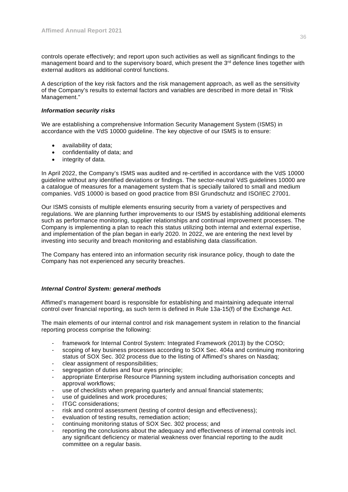controls operate effectively; and report upon such activities as well as significant findings to the management board and to the supervisory board, which present the 3<sup>rd</sup> defence lines together with external auditors as additional control functions.

A description of the key risk factors and the risk management approach, as well as the sensitivity of the Company's results to external factors and variables are described in more detail in "Risk Management."

#### *Information security risks*

We are establishing a comprehensive Information Security Management System (ISMS) in accordance with the VdS 10000 guideline. The key objective of our ISMS is to ensure:

- availability of data;
- confidentiality of data; and
- integrity of data.

In April 2022, the Company's ISMS was audited and re-certified in accordance with the VdS 10000 guideline without any identified deviations or findings. The sector-neutral VdS guidelines 10000 are a catalogue of measures for a management system that is specially tailored to small and medium companies. VdS 10000 is based on good practice from BSI Grundschutz and ISO/IEC 27001.

Our ISMS consists of multiple elements ensuring security from a variety of perspectives and regulations. We are planning further improvements to our ISMS by establishing additional elements such as performance monitoring, supplier relationships and continual improvement processes. The Company is implementing a plan to reach this status utilizing both internal and external expertise, and implementation of the plan began in early 2020. In 2022, we are entering the next level by investing into security and breach monitoring and establishing data classification.

The Company has entered into an information security risk insurance policy, though to date the Company has not experienced any security breaches.

#### *Internal Control System: general methods*

Affimed's management board is responsible for establishing and maintaining adequate internal control over financial reporting, as such term is defined in Rule 13a-15(f) of the Exchange Act.

The main elements of our internal control and risk management system in relation to the financial reporting process comprise the following:

- framework for Internal Control System: Integrated Framework (2013) by the COSO;
- scoping of key business processes according to SOX Sec. 404a and continuing monitoring status of SOX Sec. 302 process due to the listing of Affimed's shares on Nasdaq;
- clear assignment of responsibilities;
- segregation of duties and four eyes principle;
- appropriate Enterprise Resource Planning system including authorisation concepts and approval workflows;
- use of checklists when preparing quarterly and annual financial statements;
- use of quidelines and work procedures;
- ITGC considerations:
- risk and control assessment (testing of control design and effectiveness);
- evaluation of testing results, remediation action;
- continuing monitoring status of SOX Sec. 302 process; and
- reporting the conclusions about the adequacy and effectiveness of internal controls incl. any significant deficiency or material weakness over financial reporting to the audit committee on a regular basis.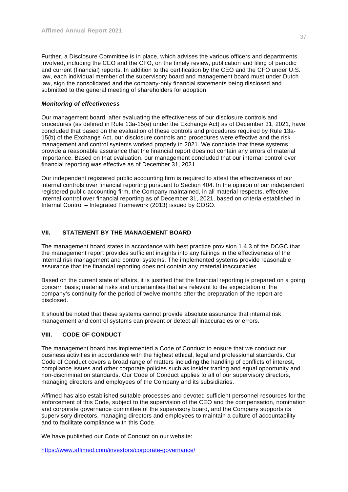Further, a Disclosure Committee is in place, which advises the various officers and departments involved, including the CEO and the CFO, on the timely review, publication and filing of periodic and current (financial) reports. In addition to the certification by the CEO and the CFO under U.S. law, each individual member of the supervisory board and management board must under Dutch law, sign the consolidated and the company-only financial statements being disclosed and submitted to the general meeting of shareholders for adoption.

#### *Monitoring of effectiveness*

Our management board, after evaluating the effectiveness of our disclosure controls and procedures (as defined in Rule 13a-15(e) under the Exchange Act) as of December 31, 2021, have concluded that based on the evaluation of these controls and procedures required by Rule 13a-15(b) of the Exchange Act, our disclosure controls and procedures were effective and the risk management and control systems worked properly in 2021. We conclude that these systems provide a reasonable assurance that the financial report does not contain any errors of material importance. Based on that evaluation, our management concluded that our internal control over financial reporting was effective as of December 31, 2021.

Our independent registered public accounting firm is required to attest the effectiveness of our internal controls over financial reporting pursuant to Section 404. In the opinion of our independent registered public accounting firm, the Company maintained, in all material respects, effective internal control over financial reporting as of December 31, 2021, based on criteria established in Internal Control – Integrated Framework (2013) issued by COSO.

#### **VII. STATEMENT BY THE MANAGEMENT BOARD**

The management board states in accordance with best practice provision 1.4.3 of the DCGC that the management report provides sufficient insights into any failings in the effectiveness of the internal risk management and control systems. The implemented systems provide reasonable assurance that the financial reporting does not contain any material inaccuracies.

Based on the current state of affairs, it is justified that the financial reporting is prepared on a going concern basis; material risks and uncertainties that are relevant to the expectation of the company's continuity for the period of twelve months after the preparation of the report are disclosed.

It should be noted that these systems cannot provide absolute assurance that internal risk management and control systems can prevent or detect all inaccuracies or errors.

#### **VIII. CODE OF CONDUCT**

The management board has implemented a Code of Conduct to ensure that we conduct our business activities in accordance with the highest ethical, legal and professional standards. Our Code of Conduct covers a broad range of matters including the handling of conflicts of interest, compliance issues and other corporate policies such as insider trading and equal opportunity and non-discrimination standards. Our Code of Conduct applies to all of our supervisory directors, managing directors and employees of the Company and its subsidiaries.

Affimed has also established suitable processes and devoted sufficient personnel resources for the enforcement of this Code, subject to the supervision of the CEO and the compensation, nomination and corporate governance committee of the supervisory board, and the Company supports its supervisory directors, managing directors and employees to maintain a culture of accountability and to facilitate compliance with this Code.

We have published our Code of Conduct on our website:

https://www.affimed.com/investors/corporate-governance/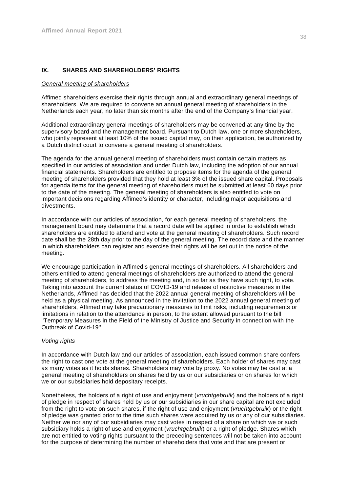#### **IX. SHARES AND SHAREHOLDERS' RIGHTS**

#### *General meeting of shareholders*

Affimed shareholders exercise their rights through annual and extraordinary general meetings of shareholders. We are required to convene an annual general meeting of shareholders in the Netherlands each year, no later than six months after the end of the Company's financial year.

Additional extraordinary general meetings of shareholders may be convened at any time by the supervisory board and the management board. Pursuant to Dutch law, one or more shareholders, who jointly represent at least 10% of the issued capital may, on their application, be authorized by a Dutch district court to convene a general meeting of shareholders.

The agenda for the annual general meeting of shareholders must contain certain matters as specified in our articles of association and under Dutch law, including the adoption of our annual financial statements. Shareholders are entitled to propose items for the agenda of the general meeting of shareholders provided that they hold at least 3% of the issued share capital. Proposals for agenda items for the general meeting of shareholders must be submitted at least 60 days prior to the date of the meeting. The general meeting of shareholders is also entitled to vote on important decisions regarding Affimed's identity or character, including major acquisitions and divestments.

In accordance with our articles of association, for each general meeting of shareholders, the management board may determine that a record date will be applied in order to establish which shareholders are entitled to attend and vote at the general meeting of shareholders. Such record date shall be the 28th day prior to the day of the general meeting. The record date and the manner in which shareholders can register and exercise their rights will be set out in the notice of the meeting.

We encourage participation in Affimed's general meetings of shareholders. All shareholders and others entitled to attend general meetings of shareholders are authorized to attend the general meeting of shareholders, to address the meeting and, in so far as they have such right, to vote. Taking into account the current status of COVID-19 and release of restrictive measures in the Netherlands, Affimed has decided that the 2022 annual general meeting of shareholders will be held as a physical meeting. As announced in the invitation to the 2022 annual general meeting of shareholders, Affimed may take precautionary measures to limit risks, including requirements or limitations in relation to the attendance in person, to the extent allowed pursuant to the bill ''Temporary Measures in the Field of the Ministry of Justice and Security in connection with the Outbreak of Covid-19''.

#### *Voting rights*

In accordance with Dutch law and our articles of association, each issued common share confers the right to cast one vote at the general meeting of shareholders. Each holder of shares may cast as many votes as it holds shares. Shareholders may vote by proxy. No votes may be cast at a general meeting of shareholders on shares held by us or our subsidiaries or on shares for which we or our subsidiaries hold depositary receipts.

Nonetheless, the holders of a right of use and enjoyment (*vruchtgebruik*) and the holders of a right of pledge in respect of shares held by us or our subsidiaries in our share capital are not excluded from the right to vote on such shares, if the right of use and enjoyment (*vruchtgebruik*) or the right of pledge was granted prior to the time such shares were acquired by us or any of our subsidiaries. Neither we nor any of our subsidiaries may cast votes in respect of a share on which we or such subsidiary holds a right of use and enjoyment (*vruchtgebruik*) or a right of pledge. Shares which are not entitled to voting rights pursuant to the preceding sentences will not be taken into account for the purpose of determining the number of shareholders that vote and that are present or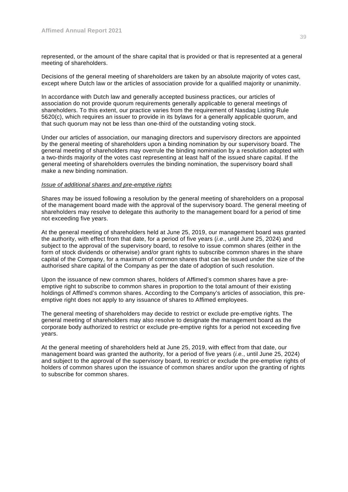represented, or the amount of the share capital that is provided or that is represented at a general meeting of shareholders.

Decisions of the general meeting of shareholders are taken by an absolute majority of votes cast, except where Dutch law or the articles of association provide for a qualified majority or unanimity.

In accordance with Dutch law and generally accepted business practices, our articles of association do not provide quorum requirements generally applicable to general meetings of shareholders. To this extent, our practice varies from the requirement of Nasdaq Listing Rule 5620(c), which requires an issuer to provide in its bylaws for a generally applicable quorum, and that such quorum may not be less than one-third of the outstanding voting stock.

Under our articles of association, our managing directors and supervisory directors are appointed by the general meeting of shareholders upon a binding nomination by our supervisory board. The general meeting of shareholders may overrule the binding nomination by a resolution adopted with a two-thirds majority of the votes cast representing at least half of the issued share capital. If the general meeting of shareholders overrules the binding nomination, the supervisory board shall make a new binding nomination.

#### *Issue of additional shares and pre-emptive rights*

Shares may be issued following a resolution by the general meeting of shareholders on a proposal of the management board made with the approval of the supervisory board. The general meeting of shareholders may resolve to delegate this authority to the management board for a period of time not exceeding five years.

At the general meeting of shareholders held at June 25, 2019, our management board was granted the authority, with effect from that date, for a period of five years (*i.e*., until June 25, 2024) and subject to the approval of the supervisory board, to resolve to issue common shares (either in the form of stock dividends or otherwise) and/or grant rights to subscribe common shares in the share capital of the Company, for a maximum of common shares that can be issued under the size of the authorised share capital of the Company as per the date of adoption of such resolution.

Upon the issuance of new common shares, holders of Affimed's common shares have a preemptive right to subscribe to common shares in proportion to the total amount of their existing holdings of Affimed's common shares. According to the Company's articles of association, this preemptive right does not apply to any issuance of shares to Affimed employees.

The general meeting of shareholders may decide to restrict or exclude pre-emptive rights. The general meeting of shareholders may also resolve to designate the management board as the corporate body authorized to restrict or exclude pre-emptive rights for a period not exceeding five years.

At the general meeting of shareholders held at June 25, 2019, with effect from that date, our management board was granted the authority, for a period of five years (*i.e.*, until June 25, 2024) and subject to the approval of the supervisory board, to restrict or exclude the pre-emptive rights of holders of common shares upon the issuance of common shares and/or upon the granting of rights to subscribe for common shares.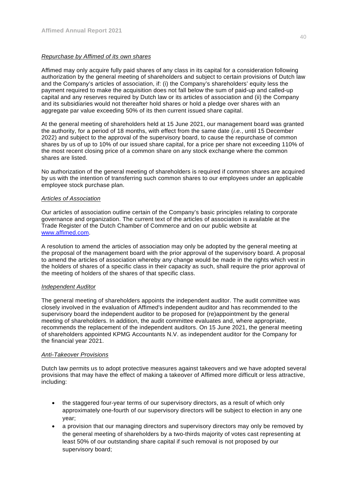#### *Repurchase by Affimed of its own shares*

Affimed may only acquire fully paid shares of any class in its capital for a consideration following authorization by the general meeting of shareholders and subject to certain provisions of Dutch law and the Company's articles of association, if: (i) the Company's shareholders' equity less the payment required to make the acquisition does not fall below the sum of paid-up and called-up capital and any reserves required by Dutch law or its articles of association and (ii) the Company and its subsidiaries would not thereafter hold shares or hold a pledge over shares with an aggregate par value exceeding 50% of its then current issued share capital.

At the general meeting of shareholders held at 15 June 2021, our management board was granted the authority, for a period of 18 months, with effect from the same date (*i.e.*, until 15 December 2022) and subject to the approval of the supervisory board, to cause the repurchase of common shares by us of up to 10% of our issued share capital, for a price per share not exceeding 110% of the most recent closing price of a common share on any stock exchange where the common shares are listed.

No authorization of the general meeting of shareholders is required if common shares are acquired by us with the intention of transferring such common shares to our employees under an applicable employee stock purchase plan.

#### *Articles of Association*

Our articles of association outline certain of the Company's basic principles relating to corporate governance and organization. The current text of the articles of association is available at the Trade Register of the Dutch Chamber of Commerce and on our public website at www.affimed.com.

A resolution to amend the articles of association may only be adopted by the general meeting at the proposal of the management board with the prior approval of the supervisory board. A proposal to amend the articles of association whereby any change would be made in the rights which vest in the holders of shares of a specific class in their capacity as such, shall require the prior approval of the meeting of holders of the shares of that specific class.

#### *Independent Auditor*

The general meeting of shareholders appoints the independent auditor. The audit committee was closely involved in the evaluation of Affimed's independent auditor and has recommended to the supervisory board the independent auditor to be proposed for (re)appointment by the general meeting of shareholders. In addition, the audit committee evaluates and, where appropriate, recommends the replacement of the independent auditors. On 15 June 2021, the general meeting of shareholders appointed KPMG Accountants N.V. as independent auditor for the Company for the financial year 2021.

#### *Anti-Takeover Provisions*

Dutch law permits us to adopt protective measures against takeovers and we have adopted several provisions that may have the effect of making a takeover of Affimed more difficult or less attractive, including:

- the staggered four-year terms of our supervisory directors, as a result of which only approximately one-fourth of our supervisory directors will be subject to election in any one year;
- a provision that our managing directors and supervisory directors may only be removed by the general meeting of shareholders by a two-thirds majority of votes cast representing at least 50% of our outstanding share capital if such removal is not proposed by our supervisory board;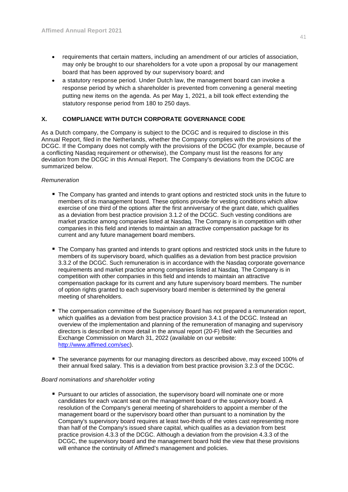- requirements that certain matters, including an amendment of our articles of association, may only be brought to our shareholders for a vote upon a proposal by our management board that has been approved by our supervisory board; and
- a statutory response period. Under Dutch law, the management board can invoke a response period by which a shareholder is prevented from convening a general meeting putting new items on the agenda. As per May 1, 2021, a bill took effect extending the statutory response period from 180 to 250 days.

### **X. COMPLIANCE WITH DUTCH CORPORATE GOVERNANCE CODE**

As a Dutch company, the Company is subject to the DCGC and is required to disclose in this Annual Report, filed in the Netherlands, whether the Company complies with the provisions of the DCGC. If the Company does not comply with the provisions of the DCGC (for example, because of a conflicting Nasdaq requirement or otherwise), the Company must list the reasons for any deviation from the DCGC in this Annual Report. The Company's deviations from the DCGC are summarized below.

#### *Remuneration*

- The Company has granted and intends to grant options and restricted stock units in the future to members of its management board. These options provide for vesting conditions which allow exercise of one third of the options after the first anniversary of the grant date, which qualifies as a deviation from best practice provision 3.1.2 of the DCGC. Such vesting conditions are market practice among companies listed at Nasdaq. The Company is in competition with other companies in this field and intends to maintain an attractive compensation package for its current and any future management board members.
- The Company has granted and intends to grant options and restricted stock units in the future to members of its supervisory board, which qualifies as a deviation from best practice provision 3.3.2 of the DCGC. Such remuneration is in accordance with the Nasdaq corporate governance requirements and market practice among companies listed at Nasdaq. The Company is in competition with other companies in this field and intends to maintain an attractive compensation package for its current and any future supervisory board members. The number of option rights granted to each supervisory board member is determined by the general meeting of shareholders.
- **The compensation committee of the Supervisory Board has not prepared a remuneration report,** which qualifies as a deviation from best practice provision 3.4.1 of the DCGC. Instead an overview of the implementation and planning of the remuneration of managing and supervisory directors is described in more detail in the annual report (20-F) filed with the Securities and Exchange Commission on March 31, 2022 (available on our website: http://www.affimed.com/sec).
- **The severance payments for our managing directors as described above, may exceed 100% of** their annual fixed salary. This is a deviation from best practice provision 3.2.3 of the DCGC.

#### *Board nominations and shareholder voting*

**Pursuant to our articles of association, the supervisory board will nominate one or more** candidates for each vacant seat on the management board or the supervisory board. A resolution of the Company's general meeting of shareholders to appoint a member of the management board or the supervisory board other than pursuant to a nomination by the Company's supervisory board requires at least two-thirds of the votes cast representing more than half of the Company's issued share capital, which qualifies as a deviation from best practice provision 4.3.3 of the DCGC. Although a deviation from the provision 4.3.3 of the DCGC, the supervisory board and the management board hold the view that these provisions will enhance the continuity of Affimed's management and policies.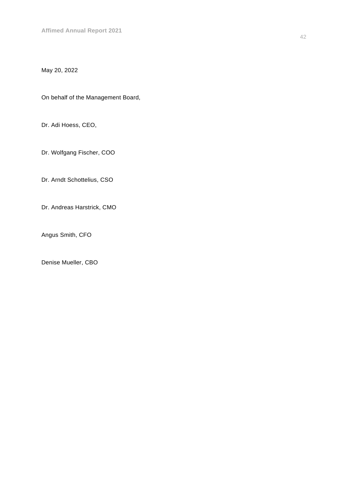# May 20, 2022

On behalf of the Management Board,

Dr. Adi Hoess, CEO,

Dr. Wolfgang Fischer, COO

Dr. Arndt Schottelius, CSO

Dr. Andreas Harstrick, CMO

Angus Smith, CFO

Denise Mueller, CBO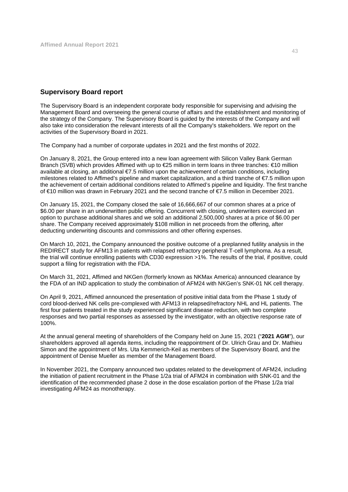#### **Supervisory Board report**

The Supervisory Board is an independent corporate body responsible for supervising and advising the Management Board and overseeing the general course of affairs and the establishment and monitoring of the strategy of the Company. The Supervisory Board is guided by the interests of the Company and will also take into consideration the relevant interests of all the Company's stakeholders. We report on the activities of the Supervisory Board in 2021.

The Company had a number of corporate updates in 2021 and the first months of 2022.

On January 8, 2021, the Group entered into a new loan agreement with Silicon Valley Bank German Branch (SVB) which provides Affimed with up to €25 million in term loans in three tranches: €10 million available at closing, an additional €7.5 million upon the achievement of certain conditions, including milestones related to Affimed's pipeline and market capitalization, and a third tranche of €7.5 million upon the achievement of certain additional conditions related to Affimed's pipeline and liquidity. The first tranche of €10 million was drawn in February 2021 and the second tranche of €7.5 million in December 2021.

On January 15, 2021, the Company closed the sale of 16,666,667 of our common shares at a price of \$6.00 per share in an underwritten public offering. Concurrent with closing, underwriters exercised an option to purchase additional shares and we sold an additional 2,500,000 shares at a price of \$6.00 per share. The Company received approximately \$108 million in net proceeds from the offering, after deducting underwriting discounts and commissions and other offering expenses.

On March 10, 2021, the Company announced the positive outcome of a preplanned futility analysis in the REDIRECT study for AFM13 in patients with relapsed refractory peripheral T-cell lymphoma. As a result, the trial will continue enrolling patients with CD30 expression >1%. The results of the trial, if positive, could support a filing for registration with the FDA.

On March 31, 2021, Affimed and NKGen (formerly known as NKMax America) announced clearance by the FDA of an IND application to study the combination of AFM24 with NKGen's SNK-01 NK cell therapy.

On April 9, 2021, Affimed announced the presentation of positive initial data from the Phase 1 study of cord blood-derived NK cells pre-complexed with AFM13 in relapsed/refractory NHL and HL patients. The first four patients treated in the study experienced significant disease reduction, with two complete responses and two partial responses as assessed by the investigator, with an objective response rate of 100%.

At the annual general meeting of shareholders of the Company held on June 15, 2021 ("**2021 AGM**"), our shareholders approved all agenda items, including the reappointment of Dr. Ulrich Grau and Dr. Mathieu Simon and the appointment of Mrs. Uta Kemmerich-Keil as members of the Supervisory Board, and the appointment of Denise Mueller as member of the Management Board.

In November 2021, the Company announced two updates related to the development of AFM24, including the initiation of patient recruitment in the Phase 1/2a trial of AFM24 in combination with SNK-01 and the identification of the recommended phase 2 dose in the dose escalation portion of the Phase 1/2a trial investigating AFM24 as monotherapy.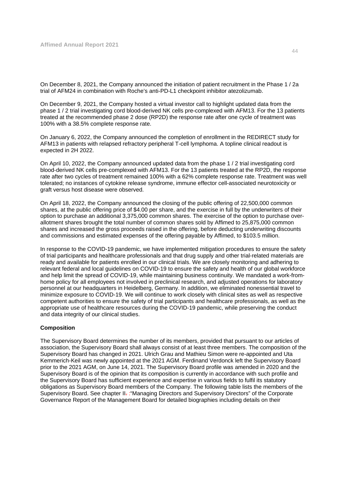On December 8, 2021, the Company announced the initiation of patient recruitment in the Phase 1 / 2a trial of AFM24 in combination with Roche's anti-PD-L1 checkpoint inhibitor atezolizumab.

On December 9, 2021, the Company hosted a virtual investor call to highlight updated data from the phase 1 / 2 trial investigating cord blood-derived NK cells pre-complexed with AFM13. For the 13 patients treated at the recommended phase 2 dose (RP2D) the response rate after one cycle of treatment was 100% with a 38.5% complete response rate.

On January 6, 2022, the Company announced the completion of enrollment in the REDIRECT study for AFM13 in patients with relapsed refractory peripheral T-cell lymphoma. A topline clinical readout is expected in 2H 2022.

On April 10, 2022, the Company announced updated data from the phase 1 / 2 trial investigating cord blood-derived NK cells pre-complexed with AFM13. For the 13 patients treated at the RP2D, the response rate after two cycles of treatment remained 100% with a 62% complete response rate. Treatment was well tolerated; no instances of cytokine release syndrome, immune effector cell-associated neurotoxicity or graft versus host disease were observed.

On April 18, 2022, the Company announced the closing of the public offering of 22,500,000 common shares, at the public offering price of \$4.00 per share, and the exercise in full by the underwriters of their option to purchase an additional 3,375,000 common shares. The exercise of the option to purchase overallotment shares brought the total number of common shares sold by Affimed to 25,875,000 common shares and increased the gross proceeds raised in the offering, before deducting underwriting discounts and commissions and estimated expenses of the offering payable by Affimed, to \$103.5 million.

In response to the COVID-19 pandemic, we have implemented mitigation procedures to ensure the safety of trial participants and healthcare professionals and that drug supply and other trial-related materials are ready and available for patients enrolled in our clinical trials. We are closely monitoring and adhering to relevant federal and local guidelines on COVID-19 to ensure the safety and health of our global workforce and help limit the spread of COVID-19, while maintaining business continuity. We mandated a work-fromhome policy for all employees not involved in preclinical research, and adjusted operations for laboratory personnel at our headquarters in Heidelberg, Germany. In addition, we eliminated nonessential travel to minimize exposure to COVID-19. We will continue to work closely with clinical sites as well as respective competent authorities to ensure the safety of trial participants and healthcare professionals, as well as the appropriate use of healthcare resources during the COVID-19 pandemic, while preserving the conduct and data integrity of our clinical studies.

#### **Composition**

The Supervisory Board determines the number of its members, provided that pursuant to our articles of association, the Supervisory Board shall always consist of at least three members. The composition of the Supervisory Board has changed in 2021. Ulrich Grau and Mathieu Simon were re-appointed and Uta Kemmerich-Keil was newly appointed at the 2021 AGM. Ferdinand Verdonck left the Supervisory Board prior to the 2021 AGM, on June 14, 2021. The Supervisory Board profile was amended in 2020 and the Supervisory Board is of the opinion that its composition is currently in accordance with such profile and the Supervisory Board has sufficient experience and expertise in various fields to fulfil its statutory obligations as Supervisory Board members of the Company. The following table lists the members of the Supervisory Board. See chapter II. :"Managing Directors and Supervisory Directors" of the Corporate Governance Report of the Management Board for detailed biographies including details on their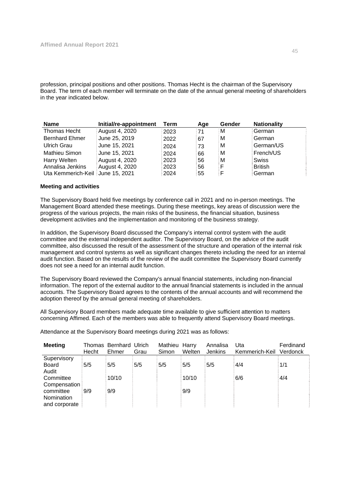profession, principal positions and other positions. Thomas Hecht is the chairman of the Supervisory Board. The term of each member will terminate on the date of the annual general meeting of shareholders in the year indicated below.

| <b>Name</b>                      | Initial/re-appointment | Term | Age | Gender | <b>Nationality</b> |
|----------------------------------|------------------------|------|-----|--------|--------------------|
| Thomas Hecht                     | August 4, 2020         | 2023 | :71 | M      | German             |
| <b>Bernhard Ehmer</b>            | June 25, 2019          | 2022 | 67  | м      | German             |
| Ulrich Grau                      | June 15, 2021          | 2024 | 73  | м      | German/US          |
| Mathieu Simon                    | June 15, 2021          | 2024 | 66  | M      | French/US          |
| Harry Welten                     | August 4, 2020         | 2023 | 56  | M      | Swiss              |
| Annalisa Jenkins                 | August 4, 2020         | 2023 | 56  | F      | <b>British</b>     |
| Uta Kemmerich-Keil June 15, 2021 |                        | 2024 | 55  | F      | German             |

#### **Meeting and activities**

The Supervisory Board held five meetings by conference call in 2021 and no in-person meetings. The Management Board attended these meetings. During these meetings, key areas of discussion were the progress of the various projects, the main risks of the business, the financial situation, business development activities and the implementation and monitoring of the business strategy.

In addition, the Supervisory Board discussed the Company's internal control system with the audit committee and the external independent auditor. The Supervisory Board, on the advice of the audit committee, also discussed the result of the assessment of the structure and operation of the internal risk management and control systems as well as significant changes thereto including the need for an internal audit function. Based on the results of the review of the audit committee the Supervisory Board currently does not see a need for an internal audit function.

The Supervisory Board reviewed the Company's annual financial statements, including non-financial information. The report of the external auditor to the annual financial statements is included in the annual accounts. The Supervisory Board agrees to the contents of the annual accounts and will recommend the adoption thereof by the annual general meeting of shareholders.

All Supervisory Board members made adequate time available to give sufficient attention to matters concerning Affimed. Each of the members was able to frequently attend Supervisory Board meetings.

**Meeting** Hecht Bernhard Ulrich Ehmer Grau Mathieu Harry Simon **Welten** Annalisa Jenkins Uta Kemmerich-Keil Verdonck Ferdinand **Supervisory** Board 5/5 5/5 5/5 5/5 5/5 5/5 4/4 1/1 Audit Committee 10/10 10/10 10/10 6/6 4/4 **Compensation** committee 9/9 9/9 9/9 Nomination and corporate

Attendance at the Supervisory Board meetings during 2021 was as follows: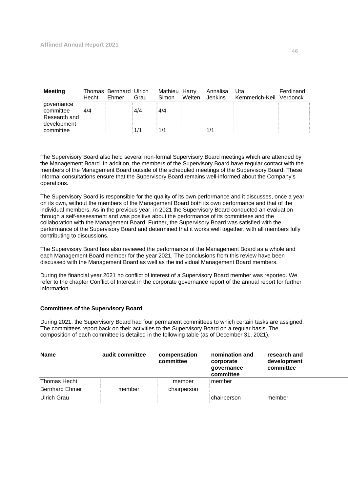| Meeting                                                | Hecht | Thomas Bernhard Ulrich<br>Ehmer | Grau | Mathieu Harry<br>Simon | Welten | Annalisa<br><b>Jenkins</b> | Uta<br>Kemmerich-Keil Verdonck | Ferdinand |
|--------------------------------------------------------|-------|---------------------------------|------|------------------------|--------|----------------------------|--------------------------------|-----------|
| governance<br>committee<br>Research and<br>development | 4/4   |                                 | 4/4  | 4/4                    |        |                            |                                |           |
| committee                                              |       |                                 | 1/1  | 1/1                    |        | 1/1                        |                                |           |

The Supervisory Board also held several non-formal Supervisory Board meetings which are attended by the Management Board. In addition, the members of the Supervisory Board have regular contact with the members of the Management Board outside of the scheduled meetings of the Supervisory Board. These informal consultations ensure that the Supervisory Board remains well-informed about the Company's operations.

The Supervisory Board is responsible for the quality of its own performance and it discusses, once a year on its own, without the members of the Management Board both its own performance and that of the individual members. As in the previous year, in 2021 the Supervisory Board conducted an evaluation through a self-assessment and was positive about the performance of its committees and the collaboration with the Management Board. Further, the Supervisory Board was satisfied with the performance of the Supervisory Board and determined that it works well together, with all members fully contributing to discussions.

The Supervisory Board has also reviewed the performance of the Management Board as a whole and each Management Board member for the year 2021. The conclusions from this review have been discussed with the Management Board as well as the individual Management Board members.

During the financial year 2021 no conflict of interest of a Supervisory Board member was reported. We refer to the chapter Conflict of Interest in the corporate governance report of the annual report for further information.

#### **Committees of the Supervisory Board**

During 2021, the Supervisory Board had four permanent committees to which certain tasks are assigned. The committees report back on their activities to the Supervisory Board on a regular basis. The composition of each committee is detailed in the following table (as of December 31, 2021).

| <b>Name</b>           | audit committee | compensation<br>committee | nomination and<br>corporate<br>qovernance<br>committee | research and<br>development<br>committee |
|-----------------------|-----------------|---------------------------|--------------------------------------------------------|------------------------------------------|
| Thomas Hecht          |                 | member                    | member                                                 |                                          |
| <b>Bernhard Ehmer</b> | member          | chairperson               |                                                        |                                          |
| Ulrich Grau           |                 |                           | chairperson                                            | member                                   |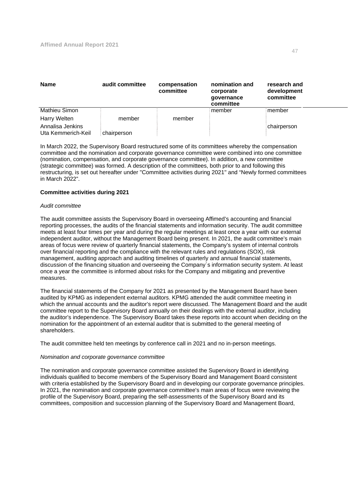| <b>Name</b>                            | audit committee | compensation<br>committee | nomination and<br>corporate<br>qovernance<br>committee | research and<br>development<br>committee |
|----------------------------------------|-----------------|---------------------------|--------------------------------------------------------|------------------------------------------|
| Mathieu Simon                          |                 |                           | member                                                 | member                                   |
| Harry Welten                           | member          | member                    |                                                        |                                          |
| Annalisa Jenkins<br>Uta Kemmerich-Keil | chairperson     |                           |                                                        | chairperson                              |

In March 2022, the Supervisory Board restructured some of its committees whereby the compensation committee and the nomination and corporate governance committee were combined into one committee (nomination, compensation, and corporate governance committee). In addition, a new committee (strategic committee) was formed. A description of the committees, both prior to and following this restructuring, is set out hereafter under ''Committee activities during 2021'' and "Newly formed committees in March 2022".

#### **Committee activities during 2021**

#### *Audit committee*

The audit committee assists the Supervisory Board in overseeing Affimed's accounting and financial reporting processes, the audits of the financial statements and information security. The audit committee meets at least four times per year and during the regular meetings at least once a year with our external independent auditor, without the Management Board being present. In 2021, the audit committee's main areas of focus were review of quarterly financial statements, the Company's system of internal controls over financial reporting and the compliance with the relevant rules and regulations (SOX), risk management, auditing approach and auditing timelines of quarterly and annual financial statements, discussion of the financing situation and overseeing the Company´s information security system. At least once a year the committee is informed about risks for the Company and mitigating and preventive measures.

The financial statements of the Company for 2021 as presented by the Management Board have been audited by KPMG as independent external auditors. KPMG attended the audit committee meeting in which the annual accounts and the auditor's report were discussed. The Management Board and the audit committee report to the Supervisory Board annually on their dealings with the external auditor, including the auditor's independence. The Supervisory Board takes these reports into account when deciding on the nomination for the appointment of an external auditor that is submitted to the general meeting of shareholders.

The audit committee held ten meetings by conference call in 2021 and no in-person meetings.

#### *Nomination and corporate governance committee*

The nomination and corporate governance committee assisted the Supervisory Board in identifying individuals qualified to become members of the Supervisory Board and Management Board consistent with criteria established by the Supervisory Board and in developing our corporate governance principles. In 2021, the nomination and corporate governance committee's main areas of focus were reviewing the profile of the Supervisory Board, preparing the self-assessments of the Supervisory Board and its committees, composition and succession planning of the Supervisory Board and Management Board,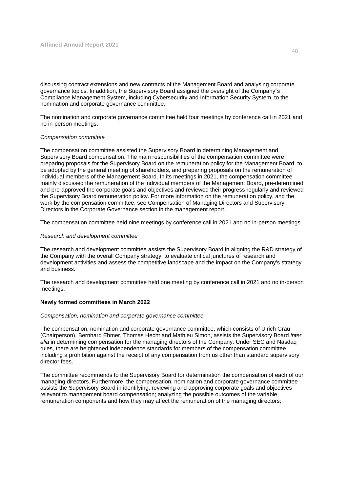discussing contract extensions and new contracts of the Management Board and analysing corporate governance topics. In addition, the Supervisory Board assigned the oversight of the Company´s Compliance Management System, including Cybersecurity and Information Security System, to the nomination and corporate governance committee.

The nomination and corporate governance committee held four meetings by conference call in 2021 and no in-person meetings.

#### *Compensation committee*

The compensation committee assisted the Supervisory Board in determining Management and Supervisory Board compensation. The main responsibilities of the compensation committee were preparing proposals for the Supervisory Board on the remuneration policy for the Management Board, to be adopted by the general meeting of shareholders, and preparing proposals on the remuneration of individual members of the Management Board. In its meetings in 2021, the compensation committee mainly discussed the remuneration of the individual members of the Management Board, pre-determined and pre-approved the corporate goals and objectives and reviewed their progress regularly and reviewed the Supervisory Board remuneration policy. For more information on the remuneration policy, and the work by the compensation committee, see Compensation of Managing Directors and Supervisory Directors in the Corporate Governance section in the management report.

The compensation committee held nine meetings by conference call in 2021 and no in-person meetings.

#### *Research and development committee*

The research and development committee assists the Supervisory Board in aligning the R&D strategy of the Company with the overall Company strategy, to evaluate critical junctures of research and development activities and assess the competitive landscape and the impact on the Company's strategy and business.

The research and development committee held one meeting by conference call in 2021 and no in-person meetings.

#### **Newly formed committees in March 2022**

#### *Compensation, nomination and corporate governance committee*

The compensation, nomination and corporate governance committee, which consists of Ulrich Grau (Chairperson), Bernhard Ehmer, Thomas Hecht and Mathieu Simon, assists the Supervisory Board *inter alia* in determining compensation for the managing directors of the Company. Under SEC and Nasdaq rules, there are heightened independence standards for members of the compensation committee, including a prohibition against the receipt of any compensation from us other than standard supervisory director fees.

The committee recommends to the Supervisory Board for determination the compensation of each of our managing directors. Furthermore, the compensation, nomination and corporate governance committee assists the Supervisory Board in identifying, reviewing and approving corporate goals and objectives relevant to management board compensation; analyzing the possible outcomes of the variable remuneration components and how they may affect the remuneration of the managing directors;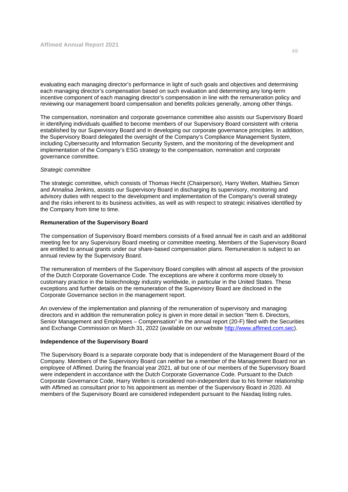evaluating each managing director's performance in light of such goals and objectives and determining each managing director's compensation based on such evaluation and determining any long-term incentive component of each managing director's compensation in line with the remuneration policy and reviewing our management board compensation and benefits policies generally, among other things.

The compensation, nomination and corporate governance committee also assists our Supervisory Board in identifying individuals qualified to become members of our Supervisory Board consistent with criteria established by our Supervisory Board and in developing our corporate governance principles. In addition, the Supervisory Board delegated the oversight of the Company's Compliance Management System, including Cybersecurity and Information Security System, and the monitoring of the development and implementation of the Company's ESG strategy to the compensation, nomination and corporate governance committee.

#### *Strategic committee*

The strategic committee, which consists of Thomas Hecht (Chairperson), Harry Welten, Mathieu Simon and Annalisa Jenkins, assists our Supervisory Board in discharging its supervisory, monitoring and advisory duties with respect to the development and implementation of the Company's overall strategy and the risks inherent to its business activities, as well as with respect to strategic initiatives identified by the Company from time to time.

#### **Remuneration of the Supervisory Board**

The compensation of Supervisory Board members consists of a fixed annual fee in cash and an additional meeting fee for any Supervisory Board meeting or committee meeting. Members of the Supervisory Board are entitled to annual grants under our share-based compensation plans. Remuneration is subject to an annual review by the Supervisory Board.

The remuneration of members of the Supervisory Board complies with almost all aspects of the provision of the Dutch Corporate Governance Code. The exceptions are where it conforms more closely to customary practice in the biotechnology industry worldwide, in particular in the United States. These exceptions and further details on the remuneration of the Supervisory Board are disclosed in the Corporate Governance section in the management report.

An overview of the implementation and planning of the remuneration of supervisory and managing directors and in addition the remuneration policy is given in more detail in section "Item 6. Directors, Senior Management and Employees – Compensation" in the annual report (20-F) filed with the Securities and Exchange Commission on March 31, 2022 (available on our website http://www.affimed.com.sec).

#### **Independence of the Supervisory Board**

The Supervisory Board is a separate corporate body that is independent of the Management Board of the Company. Members of the Supervisory Board can neither be a member of the Management Board nor an employee of Affimed. During the financial year 2021, all but one of our members of the Supervisory Board were independent in accordance with the Dutch Corporate Governance Code. Pursuant to the Dutch Corporate Governance Code, Harry Welten is considered non-independent due to his former relationship with Affimed as consultant prior to his appointment as member of the Supervisory Board in 2020. All members of the Supervisory Board are considered independent pursuant to the Nasdaq listing rules.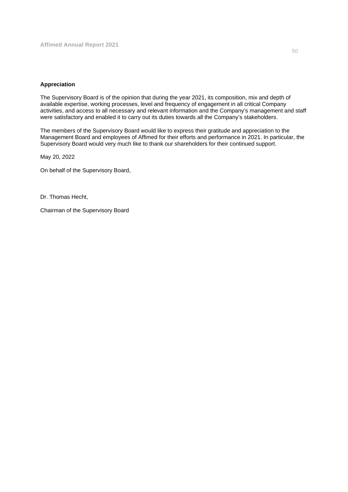#### **Appreciation**

The Supervisory Board is of the opinion that during the year 2021, its composition, mix and depth of available expertise, working processes, level and frequency of engagement in all critical Company activities, and access to all necessary and relevant information and the Company's management and staff were satisfactory and enabled it to carry out its duties towards all the Company's stakeholders.

The members of the Supervisory Board would like to express their gratitude and appreciation to the Management Board and employees of Affimed for their efforts and performance in 2021. In particular, the Supervisory Board would very much like to thank our shareholders for their continued support.

May 20, 2022

On behalf of the Supervisory Board,

Dr. Thomas Hecht,

Chairman of the Supervisory Board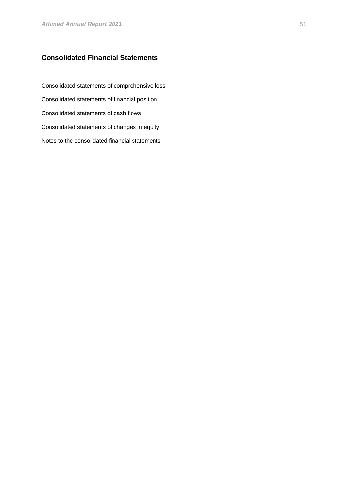# **Consolidated Financial Statements**

Consolidated statements of comprehensive loss Consolidated statements of financial position Consolidated statements of cash flows Consolidated statements of changes in equity Notes to the consolidated financial statements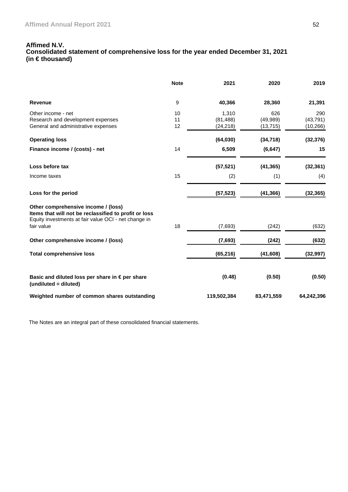#### **Affimed N.V. Consolidated statement of comprehensive loss for the year ended December 31, 2021 (in € thousand)**

|                                                                                                                                                      | <b>Note</b>    | 2021                            | 2020                          | 2019                          |
|------------------------------------------------------------------------------------------------------------------------------------------------------|----------------|---------------------------------|-------------------------------|-------------------------------|
| <b>Revenue</b>                                                                                                                                       | 9              | 40,366                          | 28,360                        | 21,391                        |
| Other income - net<br>Research and development expenses<br>General and administrative expenses                                                       | 10<br>11<br>12 | 1,310<br>(81, 488)<br>(24, 218) | 626<br>(49, 989)<br>(13, 715) | 290<br>(43, 791)<br>(10, 266) |
| <b>Operating loss</b>                                                                                                                                |                | (64, 030)                       | (34, 718)                     | (32, 376)                     |
| Finance income / (costs) - net                                                                                                                       | 14             | 6,509                           | (6, 647)                      | 15                            |
| Loss before tax                                                                                                                                      |                | (57, 521)                       | (41, 365)                     | (32, 361)                     |
| Income taxes                                                                                                                                         | 15             | (2)                             | (1)                           | (4)                           |
| Loss for the period                                                                                                                                  |                | (57, 523)                       | (41, 366)                     | (32, 365)                     |
| Other comprehensive income / (loss)<br>Items that will not be reclassified to profit or loss<br>Equity investments at fair value OCI - net change in |                |                                 |                               |                               |
| fair value                                                                                                                                           | 18             | (7,693)                         | (242)                         | (632)                         |
| Other comprehensive income / (loss)                                                                                                                  |                | (7,693)                         | (242)                         | (632)                         |
| <b>Total comprehensive loss</b>                                                                                                                      |                | (65, 216)                       | (41, 608)                     | (32, 997)                     |
| Basic and diluted loss per share in €per share<br>(undiluted = diluted)                                                                              |                | (0.48)                          | (0.50)                        | (0.50)                        |
| Weighted number of common shares outstanding                                                                                                         |                | 119,502,384                     | 83,471,559                    | 64,242,396                    |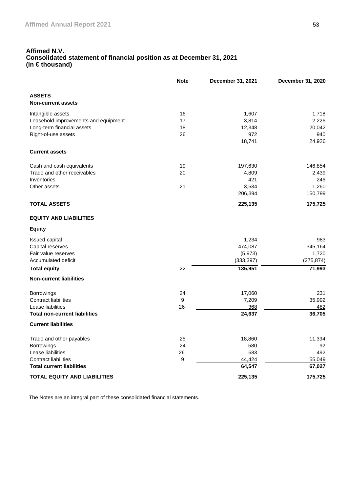### **Affimed N.V. Consolidated statement of financial position as at December 31, 2021 (in € thousand)**

|                                            | <b>Note</b> | December 31, 2021 | December 31, 2020 |
|--------------------------------------------|-------------|-------------------|-------------------|
| <b>ASSETS</b><br><b>Non-current assets</b> |             |                   |                   |
| Intangible assets                          | 16          | 1,607             | 1,718             |
| Leasehold improvements and equipment       | 17          | 3,814             | 2,226             |
| Long-term financial assets                 | 18          | 12,348            | 20,042            |
| Right-of-use assets                        | 26          | 972               | 940               |
|                                            |             | 18,741            | 24,926            |
| <b>Current assets</b>                      |             |                   |                   |
| Cash and cash equivalents                  | 19          | 197,630           | 146,854           |
| Trade and other receivables                | 20          | 4,809             | 2,439             |
| Inventories                                |             | 421               | 246               |
| Other assets                               | 21          | 3,534             | 1,260             |
|                                            |             | 206,394           | 150,799           |
| <b>TOTAL ASSETS</b>                        |             | 225,135           | 175,725           |
| <b>EQUITY AND LIABILITIES</b>              |             |                   |                   |
| <b>Equity</b>                              |             |                   |                   |
| Issued capital                             |             | 1,234             | 983               |
| Capital reserves                           |             | 474,087           | 345,164           |
| Fair value reserves                        |             | (5,973)           | 1,720             |
| Accumulated deficit                        |             | (333, 397)        | (275, 874)        |
| <b>Total equity</b>                        | 22          | 135,951           | 71,993            |
| <b>Non-current liabilities</b>             |             |                   |                   |
| <b>Borrowings</b>                          | 24          | 17,060            | 231               |
| <b>Contract liabilities</b>                | 9           | 7,209             | 35,992            |
| Lease liabilities                          | 26          | 368               | 482               |
| <b>Total non-current liabilities</b>       |             | 24,637            | 36,705            |
| <b>Current liabilities</b>                 |             |                   |                   |
| Trade and other payables                   | 25          | 18,860            | 11,394            |
| <b>Borrowings</b>                          | 24          | 580               | 92                |
| Lease liabilities                          | 26          | 683               | 492               |
| <b>Contract liabilities</b>                | 9           | 44,424            | 55,049            |
| <b>Total current liabilities</b>           |             | 64,547            | 67,027            |
| <b>TOTAL EQUITY AND LIABILITIES</b>        |             | 225,135           | 175,725           |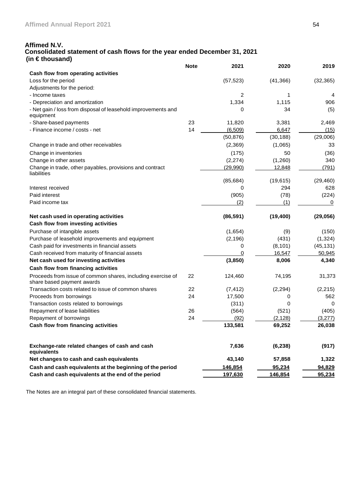#### **Affimed N.V. Consolidated statement of cash flows for the year ended December 31, 2021 (in € thousand)**

|                                                                                           | <b>Note</b> | 2021           | 2020      | 2019      |
|-------------------------------------------------------------------------------------------|-------------|----------------|-----------|-----------|
| Cash flow from operating activities                                                       |             |                |           |           |
| Loss for the period                                                                       |             | (57, 523)      | (41, 366) | (32, 365) |
| Adjustments for the period:                                                               |             |                |           |           |
| - Income taxes                                                                            |             | 2              | 1         | 4         |
| - Depreciation and amortization                                                           |             | 1,334          | 1,115     | 906       |
| - Net gain / loss from disposal of leasehold improvements and<br>equipment                |             | 0              | 34        | (5)       |
| - Share-based payments                                                                    | 23          | 11,820         | 3,381     | 2,469     |
| - Finance income / costs - net                                                            | 14          | (6, 509)       | 6,647     | (15)      |
|                                                                                           |             | (50, 876)      | (30, 188) | (29,006)  |
| Change in trade and other receivables                                                     |             | (2,369)        | (1,065)   | 33        |
| Change in inventories                                                                     |             | (175)          | 50        | (36)      |
| Change in other assets                                                                    |             | (2, 274)       | (1,260)   | 340       |
| Change in trade, other payables, provisions and contract<br>liabilities                   |             | (29,990)       | 12,848    | (791)     |
|                                                                                           |             | (85, 684)      | (19, 615) | (29, 460) |
| Interest received                                                                         |             | 0              | 294       | 628       |
| Paid interest                                                                             |             | (905)          | (78)      | (224)     |
| Paid income tax                                                                           |             | (2)            | (1)       | 0         |
| Net cash used in operating activities                                                     |             | (86, 591)      | (19, 400) | (29, 056) |
| Cash flow from investing activities                                                       |             |                |           |           |
| Purchase of intangible assets                                                             |             | (1,654)        | (9)       | (150)     |
| Purchase of leasehold improvements and equipment                                          |             | (2, 196)       | (431)     | (1, 324)  |
| Cash paid for investments in financial assets                                             |             | 0              | (8, 101)  | (45, 131) |
| Cash received from maturity of financial assets                                           |             | 0              | 16,547    | 50,945    |
| Net cash used for investing activities                                                    |             | (3,850)        | 8,006     | 4,340     |
| Cash flow from financing activities                                                       |             |                |           |           |
| Proceeds from issue of common shares, including exercise of<br>share based payment awards | 22          | 124,460        | 74,195    | 31,373    |
| Transaction costs related to issue of common shares                                       | 22          | (7, 412)       | (2, 294)  | (2, 215)  |
| Proceeds from borrowings                                                                  | 24          | 17,500         | 0         | 562       |
| Transaction costs related to borrowings                                                   |             | (311)          | 0         | 0         |
| Repayment of lease liabilities                                                            | 26          | (564)          | (521)     | (405)     |
| Repayment of borrowings                                                                   | 24          | (92)           | (2, 128)  | (3,277)   |
| Cash flow from financing activities                                                       |             | 133,581        | 69,252    | 26,038    |
| Exchange-rate related changes of cash and cash<br>equivalents                             |             | 7,636          | (6, 238)  | (917)     |
| Net changes to cash and cash equivalents                                                  |             | 43,140         | 57,858    | 1,322     |
| Cash and cash equivalents at the beginning of the period                                  |             | 146,854        | 95,234    | 94,829    |
| Cash and cash equivalents at the end of the period                                        |             | <u>197,630</u> | 146,854   | 95,234    |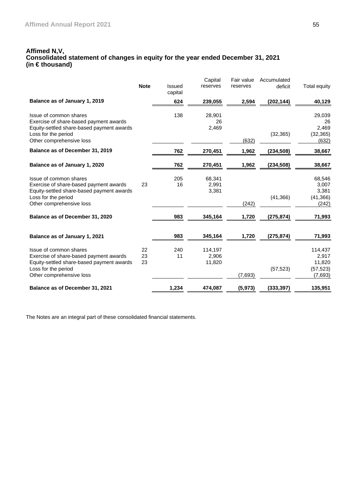#### **Affimed N,V, Consolidated statement of changes in equity for the year ended December 31, 2021 (in € thousand)**

|                                                                                                                                                                  |                |                   | Capital                    | Fair value         | Accumulated |                                                |
|------------------------------------------------------------------------------------------------------------------------------------------------------------------|----------------|-------------------|----------------------------|--------------------|-------------|------------------------------------------------|
|                                                                                                                                                                  | <b>Note</b>    | Issued<br>capital | reserves                   | reserves           | deficit     | <b>Total equity</b>                            |
| Balance as of January 1, 2019                                                                                                                                    |                | 624               | 239,055                    | 2,594              | (202, 144)  | 40,129                                         |
| Issue of common shares<br>Exercise of share-based payment awards<br>Equity-settled share-based payment awards                                                    |                | 138               | 28,901<br>26<br>2,469      |                    |             | 29,039<br>26<br>2,469                          |
| Loss for the period<br>Other comprehensive loss                                                                                                                  |                |                   |                            | (632)              | (32, 365)   | (32, 365)<br>(632)                             |
| Balance as of December 31, 2019                                                                                                                                  |                | 762               | 270,451                    | 1,962              | (234, 508)  | 38,667                                         |
| Balance as of January 1, 2020                                                                                                                                    |                | 762               | 270,451                    | 1,962              | (234, 508)  | 38,667                                         |
| Issue of common shares<br>Exercise of share-based payment awards<br>Equity-settled share-based payment awards<br>Loss for the period<br>Other comprehensive loss | 23             | 205<br>16         | 68,341<br>2,991<br>3,381   | (242)              | (41, 366)   | 68,546<br>3,007<br>3,381<br>(41, 366)<br>(242) |
| Balance as of December 31, 2020                                                                                                                                  |                | 983               | 345,164                    | 1,720              | (275, 874)  | 71,993                                         |
| Balance as of January 1, 2021                                                                                                                                    |                | 983               | 345,164                    | 1,720              | (275, 874)  | 71,993                                         |
| Issue of common shares<br>Exercise of share-based payment awards<br>Equity-settled share-based payment awards<br>Loss for the period                             | 22<br>23<br>23 | 240<br>11         | 114,197<br>2,906<br>11,820 |                    | (57, 523)   | 114,437<br>2,917<br>11,820<br>(57, 523)        |
| Other comprehensive loss<br>Balance as of December 31, 2021                                                                                                      |                | 1,234             | 474,087                    | (7,693)<br>(5,973) | (333, 397)  | (7,693)<br>135,951                             |
|                                                                                                                                                                  |                |                   |                            |                    |             |                                                |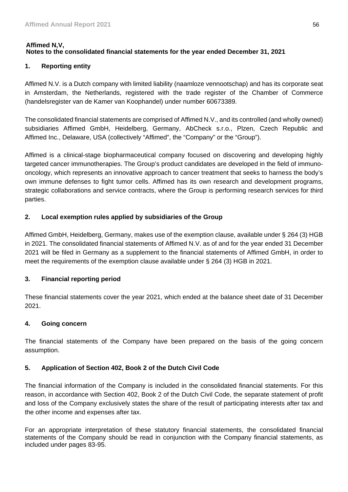## **Affimed N,V, Notes to the consolidated financial statements for the year ended December 31, 2021**

# **1. Reporting entity**

Affimed N.V. is a Dutch company with limited liability (naamloze vennootschap) and has its corporate seat in Amsterdam, the Netherlands, registered with the trade register of the Chamber of Commerce (handelsregister van de Kamer van Koophandel) under number 60673389.

The consolidated financial statements are comprised of Affimed N.V., and its controlled (and wholly owned) subsidiaries Affimed GmbH, Heidelberg, Germany, AbCheck s.r.o., Plzen, Czech Republic and Affimed Inc., Delaware, USA (collectively "Affimed", the "Company" or the "Group").

Affimed is a clinical-stage biopharmaceutical company focused on discovering and developing highly targeted cancer immunotherapies. The Group's product candidates are developed in the field of immunooncology, which represents an innovative approach to cancer treatment that seeks to harness the body's own immune defenses to fight tumor cells. Affimed has its own research and development programs, strategic collaborations and service contracts, where the Group is performing research services for third parties.

# **2. Local exemption rules applied by subsidiaries of the Group**

Affimed GmbH, Heidelberg, Germany, makes use of the exemption clause, available under § 264 (3) HGB in 2021. The consolidated financial statements of Affimed N.V. as of and for the year ended 31 December 2021 will be filed in Germany as a supplement to the financial statements of Affimed GmbH, in order to meet the requirements of the exemption clause available under § 264 (3) HGB in 2021.

# **3. Financial reporting period**

These financial statements cover the year 2021, which ended at the balance sheet date of 31 December 2021.

# **4. Going concern**

The financial statements of the Company have been prepared on the basis of the going concern assumption.

# **5. Application of Section 402, Book 2 of the Dutch Civil Code**

The financial information of the Company is included in the consolidated financial statements. For this reason, in accordance with Section 402, Book 2 of the Dutch Civil Code, the separate statement of profit and loss of the Company exclusively states the share of the result of participating interests after tax and the other income and expenses after tax.

For an appropriate interpretation of these statutory financial statements, the consolidated financial statements of the Company should be read in conjunction with the Company financial statements, as included under pages 83-95.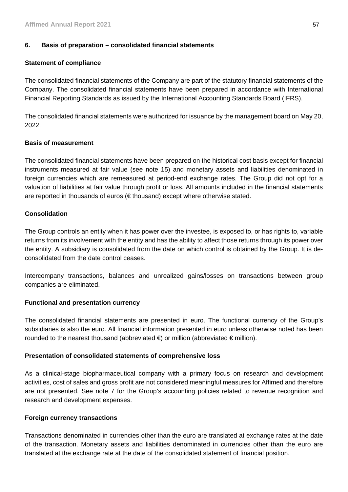# **6. Basis of preparation – consolidated financial statements**

# **Statement of compliance**

The consolidated financial statements of the Company are part of the statutory financial statements of the Company. The consolidated financial statements have been prepared in accordance with International Financial Reporting Standards as issued by the International Accounting Standards Board (IFRS).

The consolidated financial statements were authorized for issuance by the management board on May 20, 2022.

### **Basis of measurement**

The consolidated financial statements have been prepared on the historical cost basis except for financial instruments measured at fair value (see note 15) and monetary assets and liabilities denominated in foreign currencies which are remeasured at period-end exchange rates. The Group did not opt for a valuation of liabilities at fair value through profit or loss. All amounts included in the financial statements are reported in thousands of euros (€ thousand) except where otherwise stated.

### **Consolidation**

The Group controls an entity when it has power over the investee, is exposed to, or has rights to, variable returns from its involvement with the entity and has the ability to affect those returns through its power over the entity. A subsidiary is consolidated from the date on which control is obtained by the Group. It is deconsolidated from the date control ceases.

Intercompany transactions, balances and unrealized gains/losses on transactions between group companies are eliminated.

# **Functional and presentation currency**

The consolidated financial statements are presented in euro. The functional currency of the Group's subsidiaries is also the euro. All financial information presented in euro unless otherwise noted has been rounded to the nearest thousand (abbreviated  $\in$ ) or million (abbreviated  $\in$  million).

### **Presentation of consolidated statements of comprehensive loss**

As a clinical-stage biopharmaceutical company with a primary focus on research and development activities, cost of sales and gross profit are not considered meaningful measures for Affimed and therefore are not presented. See note 7 for the Group's accounting policies related to revenue recognition and research and development expenses.

# **Foreign currency transactions**

Transactions denominated in currencies other than the euro are translated at exchange rates at the date of the transaction. Monetary assets and liabilities denominated in currencies other than the euro are translated at the exchange rate at the date of the consolidated statement of financial position.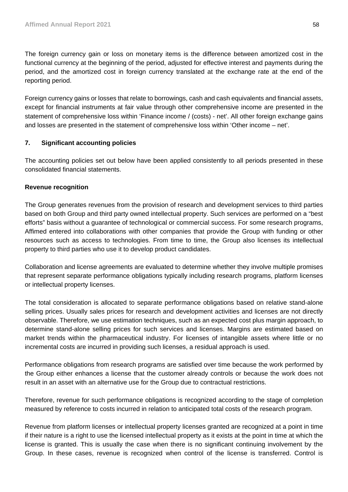The foreign currency gain or loss on monetary items is the difference between amortized cost in the functional currency at the beginning of the period, adjusted for effective interest and payments during the period, and the amortized cost in foreign currency translated at the exchange rate at the end of the reporting period.

Foreign currency gains or losses that relate to borrowings, cash and cash equivalents and financial assets, except for financial instruments at fair value through other comprehensive income are presented in the statement of comprehensive loss within 'Finance income / (costs) - net'. All other foreign exchange gains and losses are presented in the statement of comprehensive loss within 'Other income – net'.

# **7. Significant accounting policies**

The accounting policies set out below have been applied consistently to all periods presented in these consolidated financial statements.

### **Revenue recognition**

The Group generates revenues from the provision of research and development services to third parties based on both Group and third party owned intellectual property. Such services are performed on a "best efforts" basis without a guarantee of technological or commercial success. For some research programs, Affimed entered into collaborations with other companies that provide the Group with funding or other resources such as access to technologies. From time to time, the Group also licenses its intellectual property to third parties who use it to develop product candidates.

Collaboration and license agreements are evaluated to determine whether they involve multiple promises that represent separate performance obligations typically including research programs, platform licenses or intellectual property licenses.

The total consideration is allocated to separate performance obligations based on relative stand-alone selling prices. Usually sales prices for research and development activities and licenses are not directly observable. Therefore, we use estimation techniques, such as an expected cost plus margin approach, to determine stand-alone selling prices for such services and licenses. Margins are estimated based on market trends within the pharmaceutical industry. For licenses of intangible assets where little or no incremental costs are incurred in providing such licenses, a residual approach is used.

Performance obligations from research programs are satisfied over time because the work performed by the Group either enhances a license that the customer already controls or because the work does not result in an asset with an alternative use for the Group due to contractual restrictions.

Therefore, revenue for such performance obligations is recognized according to the stage of completion measured by reference to costs incurred in relation to anticipated total costs of the research program.

Revenue from platform licenses or intellectual property licenses granted are recognized at a point in time if their nature is a right to use the licensed intellectual property as it exists at the point in time at which the license is granted. This is usually the case when there is no significant continuing involvement by the Group. In these cases, revenue is recognized when control of the license is transferred. Control is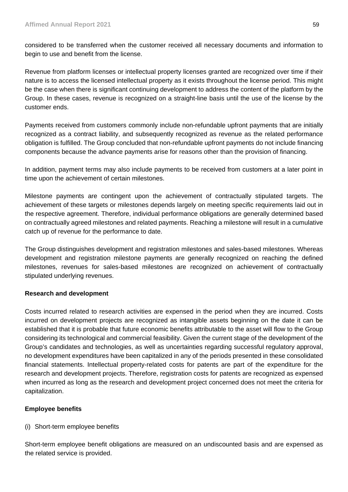considered to be transferred when the customer received all necessary documents and information to begin to use and benefit from the license.

Revenue from platform licenses or intellectual property licenses granted are recognized over time if their nature is to access the licensed intellectual property as it exists throughout the license period. This might be the case when there is significant continuing development to address the content of the platform by the Group. In these cases, revenue is recognized on a straight-line basis until the use of the license by the customer ends.

Payments received from customers commonly include non-refundable upfront payments that are initially recognized as a contract liability, and subsequently recognized as revenue as the related performance obligation is fulfilled. The Group concluded that non-refundable upfront payments do not include financing components because the advance payments arise for reasons other than the provision of financing.

In addition, payment terms may also include payments to be received from customers at a later point in time upon the achievement of certain milestones.

Milestone payments are contingent upon the achievement of contractually stipulated targets. The achievement of these targets or milestones depends largely on meeting specific requirements laid out in the respective agreement. Therefore, individual performance obligations are generally determined based on contractually agreed milestones and related payments. Reaching a milestone will result in a cumulative catch up of revenue for the performance to date.

The Group distinguishes development and registration milestones and sales-based milestones. Whereas development and registration milestone payments are generally recognized on reaching the defined milestones, revenues for sales-based milestones are recognized on achievement of contractually stipulated underlying revenues.

# **Research and development**

Costs incurred related to research activities are expensed in the period when they are incurred. Costs incurred on development projects are recognized as intangible assets beginning on the date it can be established that it is probable that future economic benefits attributable to the asset will flow to the Group considering its technological and commercial feasibility. Given the current stage of the development of the Group's candidates and technologies, as well as uncertainties regarding successful regulatory approval, no development expenditures have been capitalized in any of the periods presented in these consolidated financial statements. Intellectual property-related costs for patents are part of the expenditure for the research and development projects. Therefore, registration costs for patents are recognized as expensed when incurred as long as the research and development project concerned does not meet the criteria for capitalization.

# **Employee benefits**

# (i) Short-term employee benefits

Short-term employee benefit obligations are measured on an undiscounted basis and are expensed as the related service is provided.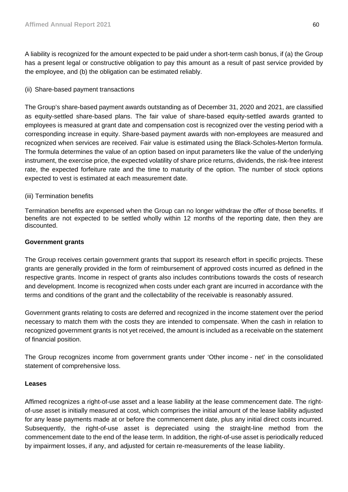A liability is recognized for the amount expected to be paid under a short-term cash bonus, if (a) the Group has a present legal or constructive obligation to pay this amount as a result of past service provided by the employee, and (b) the obligation can be estimated reliably.

## (ii) Share-based payment transactions

The Group's share-based payment awards outstanding as of December 31, 2020 and 2021, are classified as equity-settled share-based plans. The fair value of share-based equity-settled awards granted to employees is measured at grant date and compensation cost is recognized over the vesting period with a corresponding increase in equity. Share-based payment awards with non-employees are measured and recognized when services are received. Fair value is estimated using the Black-Scholes-Merton formula. The formula determines the value of an option based on input parameters like the value of the underlying instrument, the exercise price, the expected volatility of share price returns, dividends, the risk-free interest rate, the expected forfeiture rate and the time to maturity of the option. The number of stock options expected to vest is estimated at each measurement date.

### (iii) Termination benefits

Termination benefits are expensed when the Group can no longer withdraw the offer of those benefits. If benefits are not expected to be settled wholly within 12 months of the reporting date, then they are discounted.

### **Government grants**

The Group receives certain government grants that support its research effort in specific projects. These grants are generally provided in the form of reimbursement of approved costs incurred as defined in the respective grants. Income in respect of grants also includes contributions towards the costs of research and development. Income is recognized when costs under each grant are incurred in accordance with the terms and conditions of the grant and the collectability of the receivable is reasonably assured.

Government grants relating to costs are deferred and recognized in the income statement over the period necessary to match them with the costs they are intended to compensate. When the cash in relation to recognized government grants is not yet received, the amount is included as a receivable on the statement of financial position.

The Group recognizes income from government grants under 'Other income - net' in the consolidated statement of comprehensive loss.

# **Leases**

Affimed recognizes a right-of-use asset and a lease liability at the lease commencement date. The rightof-use asset is initially measured at cost, which comprises the initial amount of the lease liability adjusted for any lease payments made at or before the commencement date, plus any initial direct costs incurred. Subsequently, the right-of-use asset is depreciated using the straight-line method from the commencement date to the end of the lease term. In addition, the right-of-use asset is periodically reduced by impairment losses, if any, and adjusted for certain re-measurements of the lease liability.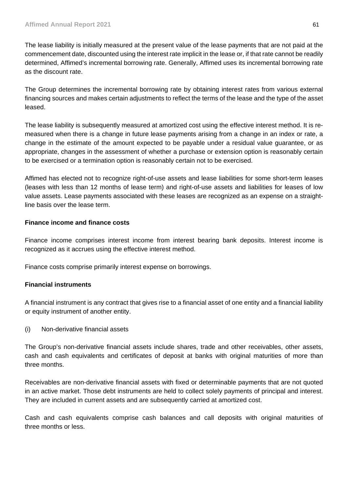The lease liability is initially measured at the present value of the lease payments that are not paid at the commencement date, discounted using the interest rate implicit in the lease or, if that rate cannot be readily determined, Affimed's incremental borrowing rate. Generally, Affimed uses its incremental borrowing rate as the discount rate.

The Group determines the incremental borrowing rate by obtaining interest rates from various external financing sources and makes certain adjustments to reflect the terms of the lease and the type of the asset leased.

The lease liability is subsequently measured at amortized cost using the effective interest method. It is remeasured when there is a change in future lease payments arising from a change in an index or rate, a change in the estimate of the amount expected to be payable under a residual value guarantee, or as appropriate, changes in the assessment of whether a purchase or extension option is reasonably certain to be exercised or a termination option is reasonably certain not to be exercised.

Affimed has elected not to recognize right-of-use assets and lease liabilities for some short-term leases (leases with less than 12 months of lease term) and right-of-use assets and liabilities for leases of low value assets. Lease payments associated with these leases are recognized as an expense on a straightline basis over the lease term.

# **Finance income and finance costs**

Finance income comprises interest income from interest bearing bank deposits. Interest income is recognized as it accrues using the effective interest method.

Finance costs comprise primarily interest expense on borrowings.

# **Financial instruments**

A financial instrument is any contract that gives rise to a financial asset of one entity and a financial liability or equity instrument of another entity.

(i) Non-derivative financial assets

The Group's non-derivative financial assets include shares, trade and other receivables, other assets, cash and cash equivalents and certificates of deposit at banks with original maturities of more than three months.

Receivables are non-derivative financial assets with fixed or determinable payments that are not quoted in an active market. Those debt instruments are held to collect solely payments of principal and interest. They are included in current assets and are subsequently carried at amortized cost.

Cash and cash equivalents comprise cash balances and call deposits with original maturities of three months or less.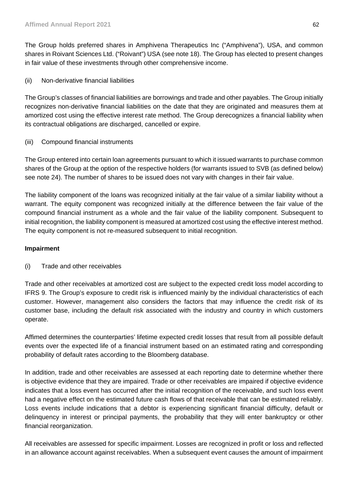The Group holds preferred shares in Amphivena Therapeutics Inc ("Amphivena"), USA, and common shares in Roivant Sciences Ltd. ("Roivant") USA (see note 18). The Group has elected to present changes in fair value of these investments through other comprehensive income.

(ii) Non-derivative financial liabilities

The Group's classes of financial liabilities are borrowings and trade and other payables. The Group initially recognizes non-derivative financial liabilities on the date that they are originated and measures them at amortized cost using the effective interest rate method. The Group derecognizes a financial liability when its contractual obligations are discharged, cancelled or expire.

(iii) Compound financial instruments

The Group entered into certain loan agreements pursuant to which it issued warrants to purchase common shares of the Group at the option of the respective holders (for warrants issued to SVB (as defined below) see note 24). The number of shares to be issued does not vary with changes in their fair value.

The liability component of the loans was recognized initially at the fair value of a similar liability without a warrant. The equity component was recognized initially at the difference between the fair value of the compound financial instrument as a whole and the fair value of the liability component. Subsequent to initial recognition, the liability component is measured at amortized cost using the effective interest method. The equity component is not re-measured subsequent to initial recognition.

# **Impairment**

(i) Trade and other receivables

Trade and other receivables at amortized cost are subject to the expected credit loss model according to IFRS 9. The Group's exposure to credit risk is influenced mainly by the individual characteristics of each customer. However, management also considers the factors that may influence the credit risk of its customer base, including the default risk associated with the industry and country in which customers operate.

Affimed determines the counterparties' lifetime expected credit losses that result from all possible default events over the expected life of a financial instrument based on an estimated rating and corresponding probability of default rates according to the Bloomberg database.

In addition, trade and other receivables are assessed at each reporting date to determine whether there is objective evidence that they are impaired. Trade or other receivables are impaired if objective evidence indicates that a loss event has occurred after the initial recognition of the receivable, and such loss event had a negative effect on the estimated future cash flows of that receivable that can be estimated reliably. Loss events include indications that a debtor is experiencing significant financial difficulty, default or delinquency in interest or principal payments, the probability that they will enter bankruptcy or other financial reorganization.

All receivables are assessed for specific impairment. Losses are recognized in profit or loss and reflected in an allowance account against receivables. When a subsequent event causes the amount of impairment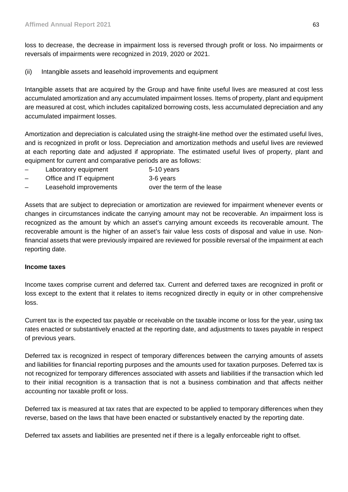loss to decrease, the decrease in impairment loss is reversed through profit or loss. No impairments or reversals of impairments were recognized in 2019, 2020 or 2021.

(ii) Intangible assets and leasehold improvements and equipment

Intangible assets that are acquired by the Group and have finite useful lives are measured at cost less accumulated amortization and any accumulated impairment losses. Items of property, plant and equipment are measured at cost, which includes capitalized borrowing costs, less accumulated depreciation and any accumulated impairment losses.

Amortization and depreciation is calculated using the straight-line method over the estimated useful lives, and is recognized in profit or loss. Depreciation and amortization methods and useful lives are reviewed at each reporting date and adjusted if appropriate. The estimated useful lives of property, plant and equipment for current and comparative periods are as follows:

- Laboratory equipment 5-10 years
- Office and IT equipment 3-6 years
- Leasehold improvements over the term of the lease

Assets that are subject to depreciation or amortization are reviewed for impairment whenever events or changes in circumstances indicate the carrying amount may not be recoverable. An impairment loss is recognized as the amount by which an asset's carrying amount exceeds its recoverable amount. The recoverable amount is the higher of an asset's fair value less costs of disposal and value in use. Nonfinancial assets that were previously impaired are reviewed for possible reversal of the impairment at each reporting date.

# **Income taxes**

Income taxes comprise current and deferred tax. Current and deferred taxes are recognized in profit or loss except to the extent that it relates to items recognized directly in equity or in other comprehensive loss.

Current tax is the expected tax payable or receivable on the taxable income or loss for the year, using tax rates enacted or substantively enacted at the reporting date, and adjustments to taxes payable in respect of previous years.

Deferred tax is recognized in respect of temporary differences between the carrying amounts of assets and liabilities for financial reporting purposes and the amounts used for taxation purposes. Deferred tax is not recognized for temporary differences associated with assets and liabilities if the transaction which led to their initial recognition is a transaction that is not a business combination and that affects neither accounting nor taxable profit or loss.

Deferred tax is measured at tax rates that are expected to be applied to temporary differences when they reverse, based on the laws that have been enacted or substantively enacted by the reporting date.

Deferred tax assets and liabilities are presented net if there is a legally enforceable right to offset.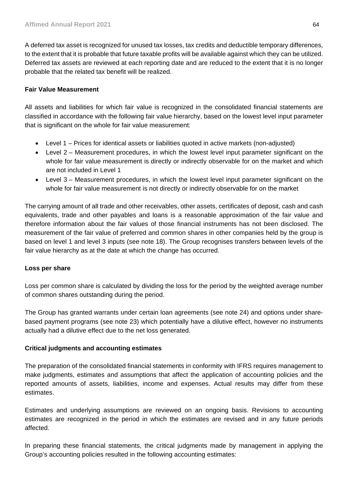A deferred tax asset is recognized for unused tax losses, tax credits and deductible temporary differences, to the extent that it is probable that future taxable profits will be available against which they can be utilized. Deferred tax assets are reviewed at each reporting date and are reduced to the extent that it is no longer probable that the related tax benefit will be realized.

### **Fair Value Measurement**

All assets and liabilities for which fair value is recognized in the consolidated financial statements are classified in accordance with the following fair value hierarchy, based on the lowest level input parameter that is significant on the whole for fair value measurement:

- Level 1 Prices for identical assets or liabilities quoted in active markets (non-adjusted)
- Level 2 Measurement procedures, in which the lowest level input parameter significant on the whole for fair value measurement is directly or indirectly observable for on the market and which are not included in Level 1
- Level 3 Measurement procedures, in which the lowest level input parameter significant on the whole for fair value measurement is not directly or indirectly observable for on the market

The carrying amount of all trade and other receivables, other assets, certificates of deposit, cash and cash equivalents, trade and other payables and loans is a reasonable approximation of the fair value and therefore information about the fair values of those financial instruments has not been disclosed. The measurement of the fair value of preferred and common shares in other companies held by the group is based on level 1 and level 3 inputs (see note 18). The Group recognises transfers between levels of the fair value hierarchy as at the date at which the change has occurred.

# **Loss per share**

Loss per common share is calculated by dividing the loss for the period by the weighted average number of common shares outstanding during the period.

The Group has granted warrants under certain loan agreements (see note 24) and options under sharebased payment programs (see note 23) which potentially have a dilutive effect, however no instruments actually had a dilutive effect due to the net loss generated.

### **Critical judgments and accounting estimates**

The preparation of the consolidated financial statements in conformity with IFRS requires management to make judgments, estimates and assumptions that affect the application of accounting policies and the reported amounts of assets, liabilities, income and expenses. Actual results may differ from these estimates.

Estimates and underlying assumptions are reviewed on an ongoing basis. Revisions to accounting estimates are recognized in the period in which the estimates are revised and in any future periods affected.

In preparing these financial statements, the critical judgments made by management in applying the Group's accounting policies resulted in the following accounting estimates: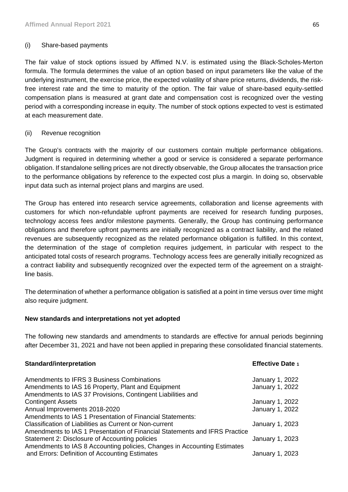## (i) Share-based payments

The fair value of stock options issued by Affimed N.V. is estimated using the Black-Scholes-Merton formula. The formula determines the value of an option based on input parameters like the value of the underlying instrument, the exercise price, the expected volatility of share price returns, dividends, the riskfree interest rate and the time to maturity of the option. The fair value of share-based equity-settled compensation plans is measured at grant date and compensation cost is recognized over the vesting period with a corresponding increase in equity. The number of stock options expected to vest is estimated at each measurement date.

### (ii) Revenue recognition

The Group's contracts with the majority of our customers contain multiple performance obligations. Judgment is required in determining whether a good or service is considered a separate performance obligation. If standalone selling prices are not directly observable, the Group allocates the transaction price to the performance obligations by reference to the expected cost plus a margin. In doing so, observable input data such as internal project plans and margins are used.

The Group has entered into research service agreements, collaboration and license agreements with customers for which non-refundable upfront payments are received for research funding purposes, technology access fees and/or milestone payments. Generally, the Group has continuing performance obligations and therefore upfront payments are initially recognized as a contract liability, and the related revenues are subsequently recognized as the related performance obligation is fulfilled. In this context, the determination of the stage of completion requires judgement, in particular with respect to the anticipated total costs of research programs. Technology access fees are generally initially recognized as a contract liability and subsequently recognized over the expected term of the agreement on a straightline basis.

The determination of whether a performance obligation is satisfied at a point in time versus over time might also require judgment.

### **New standards and interpretations not yet adopted**

The following new standards and amendments to standards are effective for annual periods beginning after December 31, 2021 and have not been applied in preparing these consolidated financial statements.

### **Standard/interpretation Effective Date 1**

| Amendments to IFRS 3 Business Combinations<br>Amendments to IAS 16 Property, Plant and Equipment | January 1, 2022<br>January 1, 2022 |
|--------------------------------------------------------------------------------------------------|------------------------------------|
| Amendments to IAS 37 Provisions, Contingent Liabilities and                                      |                                    |
| <b>Contingent Assets</b>                                                                         | January 1, 2022                    |
| Annual Improvements 2018-2020                                                                    | January 1, 2022                    |
| Amendments to IAS 1 Presentation of Financial Statements:                                        |                                    |
| Classification of Liabilities as Current or Non-current                                          | January 1, 2023                    |
| Amendments to IAS 1 Presentation of Financial Statements and IFRS Practice                       |                                    |
| Statement 2: Disclosure of Accounting policies                                                   | January 1, 2023                    |
| Amendments to IAS 8 Accounting policies, Changes in Accounting Estimates                         |                                    |
| and Errors: Definition of Accounting Estimates                                                   | January 1, 2023                    |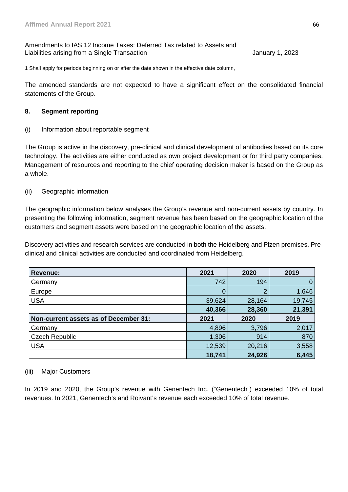### Amendments to IAS 12 Income Taxes: Deferred Tax related to Assets and Liabilities arising from a Single Transaction **January 1, 2023** January 1, 2023

1 Shall apply for periods beginning on or after the date shown in the effective date column,

The amended standards are not expected to have a significant effect on the consolidated financial statements of the Group.

### **8. Segment reporting**

(i) Information about reportable segment

The Group is active in the discovery, pre-clinical and clinical development of antibodies based on its core technology. The activities are either conducted as own project development or for third party companies. Management of resources and reporting to the chief operating decision maker is based on the Group as a whole.

### (ii) Geographic information

The geographic information below analyses the Group's revenue and non-current assets by country. In presenting the following information, segment revenue has been based on the geographic location of the customers and segment assets were based on the geographic location of the assets.

Discovery activities and research services are conducted in both the Heidelberg and Plzen premises. Preclinical and clinical activities are conducted and coordinated from Heidelberg.

| Revenue:                              | 2021   | 2020   | 2019   |
|---------------------------------------|--------|--------|--------|
| Germany                               | 742    | 194    | 0      |
| Europe                                |        |        | 1,646  |
| <b>USA</b>                            | 39,624 | 28,164 | 19,745 |
|                                       | 40,366 | 28,360 | 21,391 |
| Non-current assets as of December 31: | 2021   | 2020   | 2019   |
| Germany                               | 4,896  | 3,796  | 2,017  |
| <b>Czech Republic</b>                 | 1,306  | 914    | 870    |
| <b>USA</b>                            | 12,539 | 20,216 | 3,558  |
|                                       | 18,741 | 24,926 | 6,445  |

### (iii) Major Customers

In 2019 and 2020, the Group's revenue with Genentech Inc. ("Genentech") exceeded 10% of total revenues. In 2021, Genentech's and Roivant's revenue each exceeded 10% of total revenue.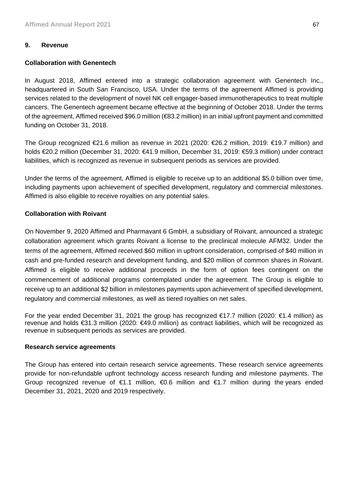### **9. Revenue**

### **Collaboration with Genentech**

In August 2018, Affimed entered into a strategic collaboration agreement with Genentech Inc., headquartered in South San Francisco, USA. Under the terms of the agreement Affimed is providing services related to the development of novel NK cell engager-based immunotherapeutics to treat multiple cancers. The Genentech agreement became effective at the beginning of October 2018. Under the terms of the agreement, Affimed received \$96.0 million (€83.2 million) in an initial upfront payment and committed funding on October 31, 2018.

The Group recognized €21.6 million as revenue in 2021 (2020: €26.2 million, 2019: €19.7 million) and holds €20.2 million (December 31, 2020: €41.9 million, December 31, 2019: €59.3 million) under contract liabilities, which is recognized as revenue in subsequent periods as services are provided.

Under the terms of the agreement, Affimed is eligible to receive up to an additional \$5.0 billion over time, including payments upon achievement of specified development, regulatory and commercial milestones. Affimed is also eligible to receive royalties on any potential sales.

### **Collaboration with Roivant**

On November 9, 2020 Affimed and Pharmavant 6 GmbH, a subsidiary of Roivant, announced a strategic collaboration agreement which grants Roivant a license to the preclinical molecule AFM32. Under the terms of the agreement, Affimed received \$60 million in upfront consideration, comprised of \$40 million in cash and pre-funded research and development funding, and \$20 million of common shares in Roivant. Affimed is eligible to receive additional proceeds in the form of option fees contingent on the commencement of additional programs contemplated under the agreement. The Group is eligible to receive up to an additional \$2 billion in milestones payments upon achievement of specified development, regulatory and commercial milestones, as well as tiered royalties on net sales.

For the year ended December 31, 2021 the group has recognized €17.7 million (2020: €1.4 million) as revenue and holds €31.3 million (2020: €49.0 million) as contract liabilities, which will be recognized as revenue in subsequent periods as services are provided.

### **Research service agreements**

The Group has entered into certain research service agreements. These research service agreements provide for non-refundable upfront technology access research funding and milestone payments. The Group recognized revenue of  $\epsilon$ 1.1 million,  $\epsilon$ 0.6 million and  $\epsilon$ 1.7 million during the years ended December 31, 2021, 2020 and 2019 respectively.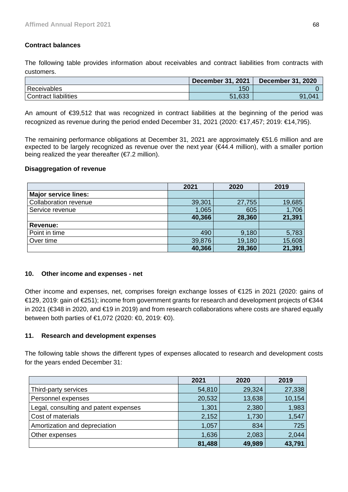# **Contract balances**

The following table provides information about receivables and contract liabilities from contracts with customers.

|                             | <b>December 31, 2021</b> | <b>December 31, 2020</b> |
|-----------------------------|--------------------------|--------------------------|
| Receivables                 | 150                      |                          |
| <b>Contract liabilities</b> | 51,633                   | Q1<br>.047               |

An amount of €39,512 that was recognized in contract liabilities at the beginning of the period was recognized as revenue during the period ended December 31, 2021 (2020: €17,457; 2019: €14,795).

The remaining performance obligations at December 31, 2021 are approximately €51.6 million and are expected to be largely recognized as revenue over the next year (€44.4 million), with a smaller portion being realized the year thereafter  $(E7.2 \text{ million})$ .

### **Disaggregation of revenue**

|                              | 2021   | 2020   | 2019   |
|------------------------------|--------|--------|--------|
| <b>Major service lines:</b>  |        |        |        |
| <b>Collaboration revenue</b> | 39,301 | 27,755 | 19,685 |
| Service revenue              | 1,065  | 605    | 1,706  |
|                              | 40,366 | 28,360 | 21,391 |
| Revenue:                     |        |        |        |
| Point in time                | 490    | 9,180  | 5,783  |
| Over time                    | 39,876 | 19,180 | 15,608 |
|                              | 40,366 | 28,360 | 21,391 |

# **10. Other income and expenses - net**

Other income and expenses, net, comprises foreign exchange losses of €125 in 2021 (2020: gains of €129, 2019: gain of €251); income from government grants for research and development projects of €344 in 2021 (€348 in 2020, and €19 in 2019) and from research collaborations where costs are shared equally between both parties of €1,072 (2020: €0, 2019: €0).

# **11. Research and development expenses**

The following table shows the different types of expenses allocated to research and development costs for the years ended December 31:

|                                       | 2021   | 2020   | 2019   |
|---------------------------------------|--------|--------|--------|
| Third-party services                  | 54,810 | 29,324 | 27,338 |
| Personnel expenses                    | 20,532 | 13,638 | 10,154 |
| Legal, consulting and patent expenses | 1,301  | 2,380  | 1,983  |
| Cost of materials                     | 2,152  | 1,730  | 1,547  |
| Amortization and depreciation         | 1,057  | 834    | 725    |
| Other expenses                        | 1,636  | 2,083  | 2,044  |
|                                       | 81,488 | 49,989 | 43,791 |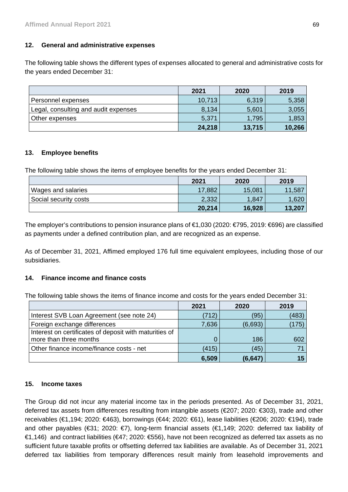# **12. General and administrative expenses**

The following table shows the different types of expenses allocated to general and administrative costs for the years ended December 31:

|                                      | 2021   | 2020   | 2019   |
|--------------------------------------|--------|--------|--------|
| Personnel expenses                   | 10,713 | 6,319  | 5,358  |
| Legal, consulting and audit expenses | 8,134  | 5,601  | 3,055  |
| Other expenses                       | 5,371  | 1,795  | 1,853  |
|                                      | 24,218 | 13,715 | 10,266 |

# **13. Employee benefits**

The following table shows the items of employee benefits for the years ended December 31:

|                       | 2021   | 2020   | 2019   |
|-----------------------|--------|--------|--------|
| Wages and salaries    | 17,882 | 15,081 | 11,587 |
| Social security costs | 2,332  | 1,847  | 1,620  |
|                       | 20,214 | 16,928 | 13,207 |

The employer's contributions to pension insurance plans of €1,030 (2020: €795, 2019: €696) are classified as payments under a defined contribution plan, and are recognized as an expense.

As of December 31, 2021, Affimed employed 176 full time equivalent employees, including those of our subsidiaries.

# **14. Finance income and finance costs**

The following table shows the items of finance income and costs for the years ended December 31:

|                                                        | 2021  | 2020    | 2019  |
|--------------------------------------------------------|-------|---------|-------|
| Interest SVB Loan Agreement (see note 24)              | (712) | (95)    | (483) |
| Foreign exchange differences                           | 7,636 | (6,693) | (175) |
| Interest on certificates of deposit with maturities of |       |         |       |
| more than three months                                 | 0     | 186     | 602   |
| Other finance income/finance costs - net               | (415) | (45)    |       |
|                                                        | 6,509 | (6,647  |       |

### **15. Income taxes**

The Group did not incur any material income tax in the periods presented. As of December 31, 2021, deferred tax assets from differences resulting from intangible assets (€207; 2020: €303), trade and other receivables (€1,194; 2020: €463), borrowings (€44; 2020: €61), lease liabilities (€206; 2020: €194), trade and other payables (€31; 2020: €7), long-term financial assets (€1,149; 2020: deferred tax liability of €1,146) and contract liabilities (€47; 2020: €556), have not been recognized as deferred tax assets as no sufficient future taxable profits or offsetting deferred tax liabilities are available. As of December 31, 2021 deferred tax liabilities from temporary differences result mainly from leasehold improvements and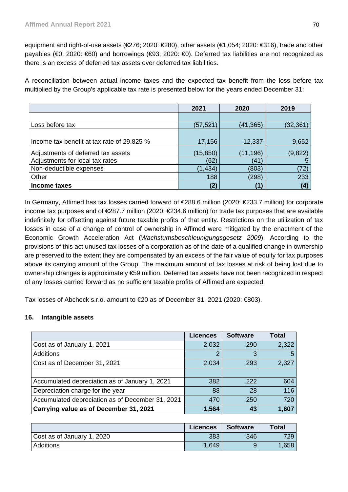equipment and right-of-use assets (€276; 2020: €280), other assets (€1,054; 2020: €316), trade and other payables (€0; 2020: €60) and borrowings (€93; 2020: €0). Deferred tax liabilities are not recognized as there is an excess of deferred tax assets over deferred tax liabilities.

A reconciliation between actual income taxes and the expected tax benefit from the loss before tax multiplied by the Group's applicable tax rate is presented below for the years ended December 31:

|                                            | 2021      | 2020      | 2019      |
|--------------------------------------------|-----------|-----------|-----------|
|                                            |           |           |           |
| Loss before tax                            | (57, 521) | (41, 365) | (32, 361) |
|                                            |           |           |           |
| Income tax benefit at tax rate of 29.825 % | 17,156    | 12,337    | 9,652     |
| Adjustments of deferred tax assets         | (15, 850) | (11, 196) | (9,822)   |
| Adjustments for local tax rates            | (62)      | (41       | 5         |
| Non-deductible expenses                    | (1, 434)  | (803)     | (72)      |
| Other                                      | 188       | (298)     | 233       |
| Income taxes                               | (2)       |           | (4)       |

In Germany, Affimed has tax losses carried forward of €288.6 million (2020: €233.7 million) for corporate income tax purposes and of €287.7 million (2020: €234.6 million) for trade tax purposes that are available indefinitely for offsetting against future taxable profits of that entity. Restrictions on the utilization of tax losses in case of a change of control of ownership in Affimed were mitigated by the enactment of the Economic Growth Acceleration Act (*Wachstumsbeschleunigungsgesetz 2009*). According to the provisions of this act unused tax losses of a corporation as of the date of a qualified change in ownership are preserved to the extent they are compensated by an excess of the fair value of equity for tax purposes above its carrying amount of the Group. The maximum amount of tax losses at risk of being lost due to ownership changes is approximately €59 million. Deferred tax assets have not been recognized in respect of any losses carried forward as no sufficient taxable profits of Affimed are expected.

Tax losses of Abcheck s.r.o. amount to €20 as of December 31, 2021 (2020: €803).

# **16. Intangible assets**

|                                                  | <b>Licences</b> | <b>Software</b> | Total |
|--------------------------------------------------|-----------------|-----------------|-------|
| Cost as of January 1, 2021                       | 2,032           | 290             | 2,322 |
| Additions                                        | 2               | 2               | 5     |
| Cost as of December 31, 2021                     | 2,034           | 293             | 2,327 |
|                                                  |                 |                 |       |
| Accumulated depreciation as of January 1, 2021   | 382             | 222             | 604   |
| Depreciation charge for the year                 | 88              | 28              | 116   |
| Accumulated depreciation as of December 31, 2021 | 470             | 250             | 720   |
| Carrying value as of December 31, 2021           | 1,564           | 43              | 1,607 |

|                            | <b>Licences</b> | <b>Software</b> | <b>Total</b> |
|----------------------------|-----------------|-----------------|--------------|
| Cost as of January 1, 2020 | 383             | 346             | 729.         |
| Additions                  | 1.649           |                 | 1,658        |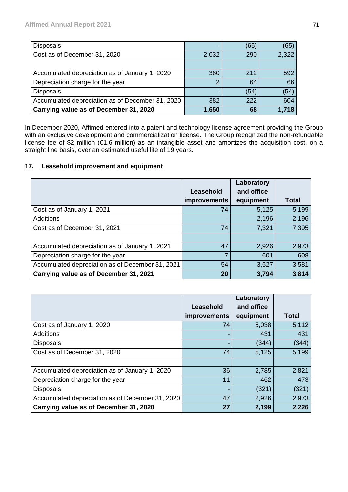| <b>Disposals</b>                                 |       | (65) | (65)  |
|--------------------------------------------------|-------|------|-------|
| Cost as of December 31, 2020                     | 2,032 | 290  | 2,322 |
|                                                  |       |      |       |
| Accumulated depreciation as of January 1, 2020   | 380   | 212  | 592   |
| Depreciation charge for the year                 | 2     | 64   | 66    |
| <b>Disposals</b>                                 |       | (54) | (54)  |
| Accumulated depreciation as of December 31, 2020 | 382   | 222  | 604   |
| Carrying value as of December 31, 2020           | 1,650 | 68   | 1,718 |

In December 2020, Affimed entered into a patent and technology license agreement providing the Group with an exclusive development and commercialization license. The Group recognized the non-refundable license fee of \$2 million (€1.6 million) as an intangible asset and amortizes the acquisition cost, on a straight line basis, over an estimated useful life of 19 years.

# **17. Leasehold improvement and equipment**

|                                                  |              | Laboratory |              |
|--------------------------------------------------|--------------|------------|--------------|
|                                                  | Leasehold    | and office |              |
|                                                  | improvements | equipment  | <b>Total</b> |
| Cost as of January 1, 2021                       | 74           | 5,125      | 5,199        |
| <b>Additions</b>                                 |              | 2,196      | 2,196        |
| Cost as of December 31, 2021                     | 74           | 7,321      | 7,395        |
|                                                  |              |            |              |
| Accumulated depreciation as of January 1, 2021   | 47           | 2,926      | 2,973        |
| Depreciation charge for the year                 | 7            | 601        | 608          |
| Accumulated depreciation as of December 31, 2021 | 54           | 3,527      | 3,581        |
| Carrying value as of December 31, 2021           | 20           | 3,794      | 3,814        |

|                                                  |              | Laboratory |              |
|--------------------------------------------------|--------------|------------|--------------|
|                                                  | Leasehold    | and office |              |
|                                                  | improvements | equipment  | <b>Total</b> |
| Cost as of January 1, 2020                       | 74           | 5,038      | 5,112        |
| <b>Additions</b>                                 |              | 431        | 431          |
| <b>Disposals</b>                                 |              | (344)      | (344)        |
| Cost as of December 31, 2020                     | 74           | 5,125      | 5,199        |
|                                                  |              |            |              |
| Accumulated depreciation as of January 1, 2020   | 36           | 2,785      | 2,821        |
| Depreciation charge for the year                 | 11           | 462        | 473          |
| <b>Disposals</b>                                 |              | (321)      | (321)        |
| Accumulated depreciation as of December 31, 2020 | 47           | 2,926      | 2,973        |
| Carrying value as of December 31, 2020           | 27           | 2,199      | 2,226        |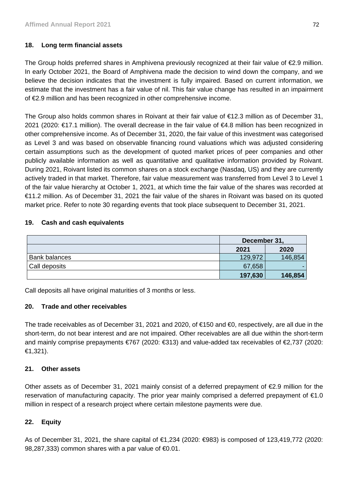# **18. Long term financial assets**

The Group holds preferred shares in Amphivena previously recognized at their fair value of €2.9 million. In early October 2021, the Board of Amphivena made the decision to wind down the company, and we believe the decision indicates that the investment is fully impaired. Based on current information, we estimate that the investment has a fair value of nil. This fair value change has resulted in an impairment of €2.9 million and has been recognized in other comprehensive income.

The Group also holds common shares in Roivant at their fair value of €12.3 million as of December 31, 2021 (2020: €17.1 million). The overall decrease in the fair value of €4.8 million has been recognized in other comprehensive income. As of December 31, 2020, the fair value of this investment was categorised as Level 3 and was based on observable financing round valuations which was adjusted considering certain assumptions such as the development of quoted market prices of peer companies and other publicly available information as well as quantitative and qualitative information provided by Roivant. During 2021, Roivant listed its common shares on a stock exchange (Nasdaq, US) and they are currently actively traded in that market. Therefore, fair value measurement was transferred from Level 3 to Level 1 of the fair value hierarchy at October 1, 2021, at which time the fair value of the shares was recorded at €11.2 million. As of December 31, 2021 the fair value of the shares in Roivant was based on its quoted market price. Refer to note 30 regarding events that took place subsequent to December 31, 2021.

## **19. Cash and cash equivalents**

|                      | December 31, |         |  |
|----------------------|--------------|---------|--|
|                      | 2021         | 2020    |  |
| <b>Bank balances</b> | 129,972      | 146,854 |  |
| Call deposits        | 67,658       |         |  |
|                      | 197,630      | 146,854 |  |

Call deposits all have original maturities of 3 months or less.

# **20. Trade and other receivables**

The trade receivables as of December 31, 2021 and 2020, of €150 and €0, respectively, are all due in the short-term, do not bear interest and are not impaired. Other receivables are all due within the short-term and mainly comprise prepayments €767 (2020: €313) and value-added tax receivables of €2,737 (2020: €1,321).

# **21. Other assets**

Other assets as of December 31, 2021 mainly consist of a deferred prepayment of €2.9 million for the reservation of manufacturing capacity. The prior year mainly comprised a deferred prepayment of €1.0 million in respect of a research project where certain milestone payments were due.

# **22. Equity**

As of December 31, 2021, the share capital of €1,234 (2020: €983) is composed of 123,419,772 (2020: 98,287,333) common shares with a par value of €0.01.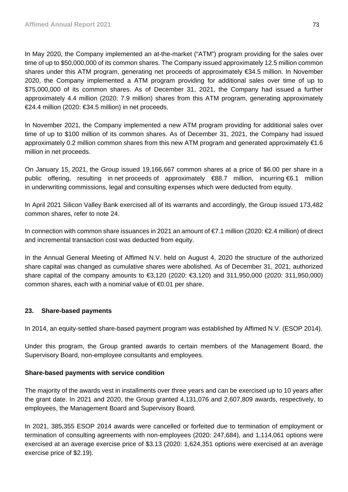In May 2020, the Company implemented an at-the-market ("ATM") program providing for the sales over time of up to \$50,000,000 of its common shares. The Company issued approximately 12.5 million common shares under this ATM program, generating net proceeds of approximately €34.5 million. In November 2020, the Company implemented a ATM program providing for additional sales over time of up to \$75,000,000 of its common shares. As of December 31, 2021, the Company had issued a further approximately 4.4 million (2020: 7.9 million) shares from this ATM program, generating approximately €24.4 million (2020: €34.5 million) in net proceeds.

In November 2021, the Company implemented a new ATM program providing for additional sales over time of up to \$100 million of its common shares. As of December 31, 2021, the Company had issued approximately 0.2 million common shares from this new ATM program and generated approximately €1.6 million in net proceeds.

On January 15, 2021, the Group issued 19,166,667 common shares at a price of \$6.00 per share in a public offering, resulting in net proceeds of approximately €88.7 million, incurring €6.1 million in underwriting commissions, legal and consulting expenses which were deducted from equity.

In April 2021 Silicon Valley Bank exercised all of its warrants and accordingly, the Group issued 173,482 common shares, refer to note 24.

In connection with common share issuances in 2021 an amount of €7.1 million (2020: €2.4 million) of direct and incremental transaction cost was deducted from equity.

In the Annual General Meeting of Affimed N.V. held on August 4, 2020 the structure of the authorized share capital was changed as cumulative shares were abolished. As of December 31, 2021, authorized share capital of the company amounts to €3,120 (2020: €3,120) and 311,950,000 (2020: 311,950,000) common shares, each with a nominal value of €0.01 per share.

# **23. Share-based payments**

In 2014, an equity-settled share-based payment program was established by Affimed N.V. (ESOP 2014).

Under this program, the Group granted awards to certain members of the Management Board, the Supervisory Board, non-employee consultants and employees.

## **Share-based payments with service condition**

The majority of the awards vest in installments over three years and can be exercised up to 10 years after the grant date. In 2021 and 2020, the Group granted 4,131,076 and 2,607,809 awards, respectively, to employees, the Management Board and Supervisory Board.

In 2021, 385,355 ESOP 2014 awards were cancelled or forfeited due to termination of employment or termination of consulting agreements with non-employees (2020: 247,684), and 1,114,061 options were exercised at an average exercise price of \$3.13 (2020: 1,624,351 options were exercised at an average exercise price of \$2.19).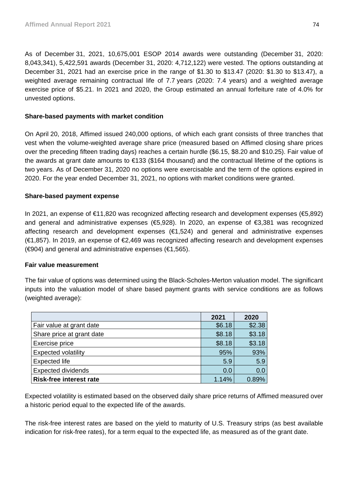As of December 31, 2021, 10,675,001 ESOP 2014 awards were outstanding (December 31, 2020: 8,043,341), 5,422,591 awards (December 31, 2020: 4,712,122) were vested. The options outstanding at December 31, 2021 had an exercise price in the range of \$1.30 to \$13.47 (2020: \$1.30 to \$13.47), a weighted average remaining contractual life of 7.7 years (2020: 7.4 years) and a weighted average exercise price of \$5.21. In 2021 and 2020, the Group estimated an annual forfeiture rate of 4.0% for unvested options.

# **Share-based payments with market condition**

On April 20, 2018, Affimed issued 240,000 options, of which each grant consists of three tranches that vest when the volume-weighted average share price (measured based on Affimed closing share prices over the preceding fifteen trading days) reaches a certain hurdle (\$6.15, \$8.20 and \$10.25). Fair value of the awards at grant date amounts to €133 (\$164 thousand) and the contractual lifetime of the options is two years. As of December 31, 2020 no options were exercisable and the term of the options expired in 2020. For the year ended December 31, 2021, no options with market conditions were granted.

# **Share-based payment expense**

In 2021, an expense of €11,820 was recognized affecting research and development expenses (€5,892) and general and administrative expenses (€5,928). In 2020, an expense of €3,381 was recognized affecting research and development expenses (€1,524) and general and administrative expenses (€1,857). In 2019, an expense of €2,469 was recognized affecting research and development expenses ( $€904$ ) and general and administrative expenses ( $€1,565$ ).

## **Fair value measurement**

The fair value of options was determined using the Black-Scholes-Merton valuation model. The significant inputs into the valuation model of share based payment grants with service conditions are as follows (weighted average):

|                                | 2021   | 2020   |
|--------------------------------|--------|--------|
| Fair value at grant date       | \$6.18 | \$2.38 |
| Share price at grant date      | \$8.18 | \$3.18 |
| Exercise price                 | \$8.18 | \$3.18 |
| <b>Expected volatility</b>     | 95%    | 93%    |
| <b>Expected life</b>           | 5.9    | 5.9    |
| <b>Expected dividends</b>      | 0.0    | 0.0    |
| <b>Risk-free interest rate</b> | 1.14%  | 0.89%  |

Expected volatility is estimated based on the observed daily share price returns of Affimed measured over a historic period equal to the expected life of the awards.

The risk-free interest rates are based on the yield to maturity of U.S. Treasury strips (as best available indication for risk-free rates), for a term equal to the expected life, as measured as of the grant date.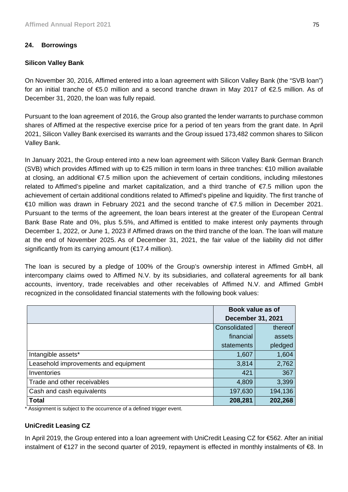# **24. Borrowings**

# **Silicon Valley Bank**

On November 30, 2016, Affimed entered into a loan agreement with Silicon Valley Bank (the "SVB loan") for an initial tranche of €5.0 million and a second tranche drawn in May 2017 of €2.5 million. As of December 31, 2020, the loan was fully repaid.

Pursuant to the loan agreement of 2016, the Group also granted the lender warrants to purchase common shares of Affimed at the respective exercise price for a period of ten years from the grant date. In April 2021, Silicon Valley Bank exercised its warrants and the Group issued 173,482 common shares to Silicon Valley Bank.

In January 2021, the Group entered into a new loan agreement with Silicon Valley Bank German Branch (SVB) which provides Affimed with up to €25 million in term loans in three tranches: €10 million available at closing, an additional €7.5 million upon the achievement of certain conditions, including milestones related to Affimed's pipeline and market capitalization, and a third tranche of €7.5 million upon the achievement of certain additional conditions related to Affimed's pipeline and liquidity. The first tranche of €10 million was drawn in February 2021 and the second tranche of €7.5 million in December 2021. Pursuant to the terms of the agreement, the loan bears interest at the greater of the European Central Bank Base Rate and 0%, plus 5.5%, and Affimed is entitled to make interest only payments through December 1, 2022, or June 1, 2023 if Affimed draws on the third tranche of the loan. The loan will mature at the end of November 2025. As of December 31, 2021, the fair value of the liability did not differ significantly from its carrying amount (€17.4 million).

The loan is secured by a pledge of 100% of the Group's ownership interest in Affimed GmbH, all intercompany claims owed to Affimed N.V. by its subsidiaries, and collateral agreements for all bank accounts, inventory, trade receivables and other receivables of Affimed N.V. and Affimed GmbH recognized in the consolidated financial statements with the following book values:

|                                      | Book value as of<br><b>December 31, 2021</b> |         |  |
|--------------------------------------|----------------------------------------------|---------|--|
|                                      | Consolidated                                 | thereof |  |
|                                      | financial                                    | assets  |  |
|                                      | statements                                   | pledged |  |
| Intangible assets*                   | 1,607                                        | 1,604   |  |
| Leasehold improvements and equipment | 3,814                                        | 2,762   |  |
| Inventories                          | 421                                          | 367     |  |
| Trade and other receivables          | 4,809                                        | 3,399   |  |
| Cash and cash equivalents            | 197,630                                      | 194,136 |  |
| <b>Total</b>                         | 208,281                                      | 202,268 |  |

\* Assignment is subject to the occurrence of a defined trigger event.

# **UniCredit Leasing CZ**

In April 2019, the Group entered into a loan agreement with UniCredit Leasing CZ for €562. After an initial instalment of €127 in the second quarter of 2019, repayment is effected in monthly instalments of €8. In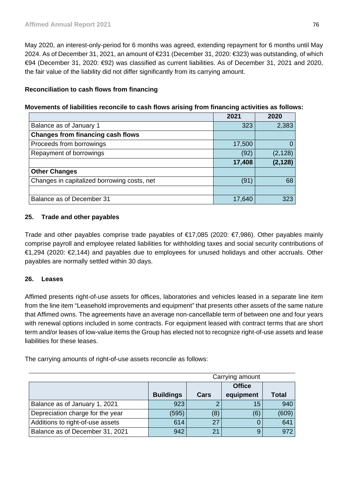May 2020, an interest-only-period for 6 months was agreed, extending repayment for 6 months until May 2024. As of December 31, 2021, an amount of €231 (December 31, 2020: €323) was outstanding, of which €94 (December 31, 2020: €92) was classified as current liabilities. As of December 31, 2021 and 2020, the fair value of the liability did not differ significantly from its carrying amount.

# **Reconciliation to cash flows from financing**

| Movements of liabilities reconcile to cash flows arising from financing activities as follows: |  |  |  |
|------------------------------------------------------------------------------------------------|--|--|--|
|                                                                                                |  |  |  |

|                                             | 2021   | 2020     |
|---------------------------------------------|--------|----------|
| Balance as of January 1                     | 323    | 2,383    |
| <b>Changes from financing cash flows</b>    |        |          |
| Proceeds from borrowings                    | 17,500 | 0        |
| Repayment of borrowings                     | (92)   | (2, 128) |
|                                             | 17,408 | (2, 128) |
| <b>Other Changes</b>                        |        |          |
| Changes in capitalized borrowing costs, net | (91)   | 68       |
|                                             |        |          |
| Balance as of December 31                   | 17,640 | 323      |

# **25. Trade and other payables**

Trade and other payables comprise trade payables of €17,085 (2020: €7,986). Other payables mainly comprise payroll and employee related liabilities for withholding taxes and social security contributions of €1,294 (2020: €2,144) and payables due to employees for unused holidays and other accruals. Other payables are normally settled within 30 days.

# **26. Leases**

Affimed presents right-of-use assets for offices, laboratories and vehicles leased in a separate line item from the line item "Leasehold improvements and equipment" that presents other assets of the same nature that Affimed owns. The agreements have an average non-cancellable term of between one and four years with renewal options included in some contracts. For equipment leased with contract terms that are short term and/or leases of low-value items the Group has elected not to recognize right-of-use assets and lease liabilities for these leases.

The carrying amounts of right-of-use assets reconcile as follows:

|                                  | Carrying amount  |                |           |              |  |
|----------------------------------|------------------|----------------|-----------|--------------|--|
|                                  |                  | <b>Office</b>  |           |              |  |
|                                  | <b>Buildings</b> | Cars           | equipment | <b>Total</b> |  |
| Balance as of January 1, 2021    | 923              |                | 15        | 940          |  |
| Depreciation charge for the year | (595)            | (8)            | (6)       | (609)        |  |
| Additions to right-of-use assets | 614              | 27             |           | 641          |  |
| Balance as of December 31, 2021  | 942              | 2 <sub>1</sub> | 9         | 972          |  |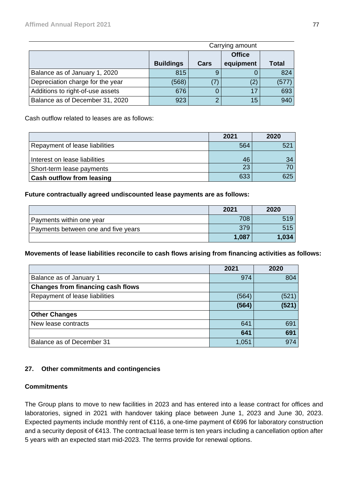|                                  | Carrying amount  |      |           |       |  |
|----------------------------------|------------------|------|-----------|-------|--|
|                                  |                  |      |           |       |  |
|                                  | <b>Buildings</b> | Cars | equipment | Total |  |
| Balance as of January 1, 2020    | 815              |      |           | 824   |  |
| Depreciation charge for the year | (568)            | 7    |           | (577) |  |
| Additions to right-of-use assets | 676              |      | 17        | 693   |  |
| Balance as of December 31, 2020  | 923              |      | 15        | 940   |  |

Cash outflow related to leases are as follows:

|                                  | 2021     | 2020 |
|----------------------------------|----------|------|
| Repayment of lease liabilities   | 564      | 521  |
| Interest on lease liabilities    | 46<br>23 | 34   |
| Short-term lease payments        |          |      |
| <b>Cash outflow from leasing</b> | 633      | 625  |

# **Future contractually agreed undiscounted lease payments are as follows:**

|                                     | 2021  | 2020  |
|-------------------------------------|-------|-------|
| Payments within one year            | 708   | 519   |
| Payments between one and five years | 379   | 515   |
|                                     | 1,087 | 1.034 |

# **Movements of lease liabilities reconcile to cash flows arising from financing activities as follows:**

|                                          | 2021  | 2020  |
|------------------------------------------|-------|-------|
| Balance as of January 1                  | 974   | 804   |
| <b>Changes from financing cash flows</b> |       |       |
| Repayment of lease liabilities           | (564) | (521) |
|                                          | (564) | (521) |
| <b>Other Changes</b>                     |       |       |
| New lease contracts                      | 641   | 691   |
|                                          | 641   | 691   |
| Balance as of December 31                | 1,051 | 974   |

# **27. Other commitments and contingencies**

## **Commitments**

The Group plans to move to new facilities in 2023 and has entered into a lease contract for offices and laboratories, signed in 2021 with handover taking place between June 1, 2023 and June 30, 2023. Expected payments include monthly rent of €116, a one-time payment of €696 for laboratory construction and a security deposit of €413. The contractual lease term is ten years including a cancellation option after 5 years with an expected start mid-2023. The terms provide for renewal options.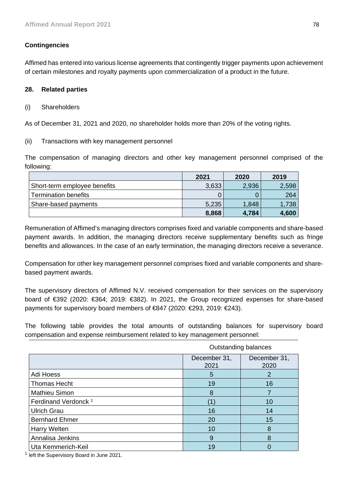# **Contingencies**

Affimed has entered into various license agreements that contingently trigger payments upon achievement of certain milestones and royalty payments upon commercialization of a product in the future.

# **28. Related parties**

(i) Shareholders

As of December 31, 2021 and 2020, no shareholder holds more than 20% of the voting rights.

(ii) Transactions with key management personnel

The compensation of managing directors and other key management personnel comprised of the following:

|                              | 2021  | 2020  | 2019  |
|------------------------------|-------|-------|-------|
| Short-term employee benefits | 3,633 | 2,936 | 2,598 |
| <b>Termination benefits</b>  |       |       | 264   |
| Share-based payments         | 5,235 | 1,848 | 1,738 |
|                              | 8,868 | 4,784 | 4,600 |

Remuneration of Affimed's managing directors comprises fixed and variable components and share-based payment awards. In addition, the managing directors receive supplementary benefits such as fringe benefits and allowances. In the case of an early termination, the managing directors receive a severance.

Compensation for other key management personnel comprises fixed and variable components and sharebased payment awards.

The supervisory directors of Affimed N.V. received compensation for their services on the supervisory board of €392 (2020: €364; 2019: €382). In 2021, the Group recognized expenses for share-based payments for supervisory board members of  $\in \mathcal{B}47$  (2020:  $\in \mathcal{B}293$ , 2019:  $\in \mathcal{B}43$ ).

The following table provides the total amounts of outstanding balances for supervisory board compensation and expense reimbursement related to key management personnel:

|                                 | Outstanding balances |                      |  |
|---------------------------------|----------------------|----------------------|--|
|                                 | December 31,<br>2021 | December 31,<br>2020 |  |
| Adi Hoess                       | 5                    | 2                    |  |
| <b>Thomas Hecht</b>             | 19                   | 16                   |  |
| Mathieu Simon                   | 8                    |                      |  |
| Ferdinand Verdonck <sup>1</sup> |                      | 10                   |  |
| <b>Ulrich Grau</b>              | 16                   | 14                   |  |
| <b>Bernhard Ehmer</b>           | 20                   | 15                   |  |
| Harry Welten                    | 10                   | 8                    |  |
| Annalisa Jenkins                | 9                    | 8                    |  |
| Uta Kemmerich-Keil              | 19                   |                      |  |

<sup>1</sup> left the Supervisory Board in June 2021.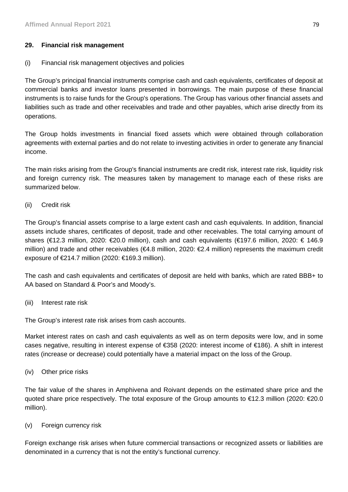# **29. Financial risk management**

# (i) Financial risk management objectives and policies

The Group's principal financial instruments comprise cash and cash equivalents, certificates of deposit at commercial banks and investor loans presented in borrowings. The main purpose of these financial instruments is to raise funds for the Group's operations. The Group has various other financial assets and liabilities such as trade and other receivables and trade and other payables, which arise directly from its operations.

The Group holds investments in financial fixed assets which were obtained through collaboration agreements with external parties and do not relate to investing activities in order to generate any financial income.

The main risks arising from the Group's financial instruments are credit risk, interest rate risk, liquidity risk and foreign currency risk. The measures taken by management to manage each of these risks are summarized below.

(ii) Credit risk

The Group's financial assets comprise to a large extent cash and cash equivalents. In addition, financial assets include shares, certificates of deposit, trade and other receivables. The total carrying amount of shares (€12.3 million, 2020: €20.0 million), cash and cash equivalents (€197.6 million, 2020: € 146.9 million) and trade and other receivables (€4.8 million, 2020: €2.4 million) represents the maximum credit exposure of  $E$ 14.7 million (2020:  $E$ 169.3 million).

The cash and cash equivalents and certificates of deposit are held with banks, which are rated BBB+ to AA based on Standard & Poor's and Moody's.

(iii) Interest rate risk

The Group's interest rate risk arises from cash accounts.

Market interest rates on cash and cash equivalents as well as on term deposits were low, and in some cases negative, resulting in interest expense of €358 (2020: interest income of €186). A shift in interest rates (increase or decrease) could potentially have a material impact on the loss of the Group.

(iv) Other price risks

The fair value of the shares in Amphivena and Roivant depends on the estimated share price and the quoted share price respectively. The total exposure of the Group amounts to €12.3 million (2020: €20.0 million).

(v) Foreign currency risk

Foreign exchange risk arises when future commercial transactions or recognized assets or liabilities are denominated in a currency that is not the entity's functional currency.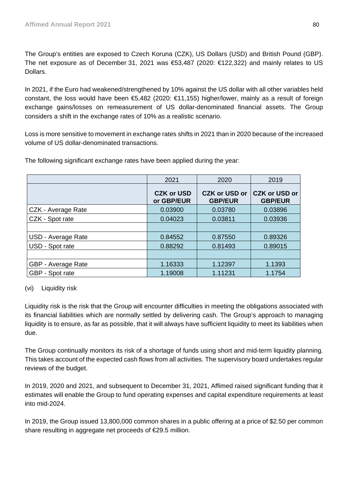The Group's entities are exposed to Czech Koruna (CZK), US Dollars (USD) and British Pound (GBP). The net exposure as of December 31, 2021 was €53,487 (2020: €122,322) and mainly relates to US Dollars.

In 2021, if the Euro had weakened/strengthened by 10% against the US dollar with all other variables held constant, the loss would have been €5,482 (2020: €11,155) higher/lower, mainly as a result of foreign exchange gains/losses on remeasurement of US dollar-denominated financial assets. The Group considers a shift in the exchange rates of 10% as a realistic scenario.

Loss is more sensitive to movement in exchange rates shifts in 2021 than in 2020 because of the increased volume of US dollar-denominated transactions.

|                    | 2021                            | 2020                                   | 2019                                   |
|--------------------|---------------------------------|----------------------------------------|----------------------------------------|
|                    | <b>CZK or USD</b><br>or GBP/EUR | <b>CZK or USD or</b><br><b>GBP/EUR</b> | <b>CZK or USD or</b><br><b>GBP/EUR</b> |
| CZK - Average Rate | 0.03900                         | 0.03780                                | 0.03896                                |
| CZK - Spot rate    | 0.04023                         | 0.03811                                | 0.03936                                |
|                    |                                 |                                        |                                        |
| USD - Average Rate | 0.84552                         | 0.87550                                | 0.89326                                |
| USD - Spot rate    | 0.88292                         | 0.81493                                | 0.89015                                |
|                    |                                 |                                        |                                        |
| GBP - Average Rate | 1.16333                         | 1.12397                                | 1.1393                                 |
| GBP - Spot rate    | 1.19008                         | 1.11231                                | 1.1754                                 |

The following significant exchange rates have been applied during the year:

# (vi) Liquidity risk

Liquidity risk is the risk that the Group will encounter difficulties in meeting the obligations associated with its financial liabilities which are normally settled by delivering cash. The Group's approach to managing liquidity is to ensure, as far as possible, that it will always have sufficient liquidity to meet its liabilities when due.

The Group continually monitors its risk of a shortage of funds using short and mid-term liquidity planning. This takes account of the expected cash flows from all activities. The supervisory board undertakes regular reviews of the budget.

In 2019, 2020 and 2021, and subsequent to December 31, 2021, Affimed raised significant funding that it estimates will enable the Group to fund operating expenses and capital expenditure requirements at least into mid-2024.

In 2019, the Group issued 13,800,000 common shares in a public offering at a price of \$2.50 per common share resulting in aggregate net proceeds of €29.5 million.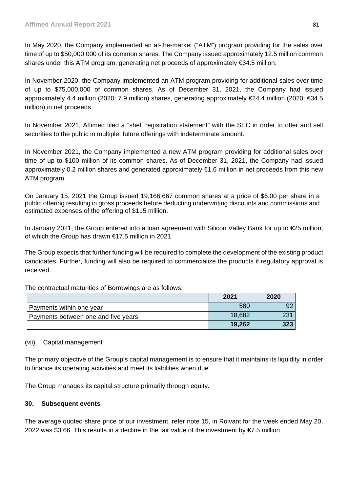In May 2020, the Company implemented an at-the-market ("ATM") program providing for the sales over time of up to \$50,000,000 of its common shares. The Company issued approximately 12.5 million common shares under this ATM program, generating net proceeds of approximately €34.5 million.

In November 2020, the Company implemented an ATM program providing for additional sales over time of up to \$75,000,000 of common shares. As of December 31, 2021, the Company had issued approximately 4.4 million (2020: 7.9 million) shares, generating approximately €24.4 million (2020: €34.5 million) in net proceeds.

In November 2021, Affimed filed a "shelf registration statement" with the SEC in order to offer and sell securities to the public in multiple. future offerings with indeterminate amount.

In November 2021, the Company implemented a new ATM program providing for additional sales over time of up to \$100 million of its common shares. As of December 31, 2021, the Company had issued approximately 0.2 million shares and generated approximately €1.6 million in net proceeds from this new ATM program.

On January 15, 2021 the Group issued 19,166,667 common shares at a price of \$6.00 per share in a public offering resulting in gross proceeds before deducting underwriting discounts and commissions and estimated expenses of the offering of \$115 million.

In January 2021, the Group entered into a loan agreement with Silicon Valley Bank for up to €25 million, of which the Group has drawn €17.5 million in 2021.

The Group expects that further funding will be required to complete the development of the existing product candidates. Further, funding will also be required to commercialize the products if regulatory approval is received.

The contractual maturities of Borrowings are as follows:

|                                     | 2021   | 2020 |
|-------------------------------------|--------|------|
| Payments within one year            | 580    | 92   |
| Payments between one and five years | 18,682 | 231  |
|                                     | 19,262 | 323  |

# (vii) Capital management

The primary objective of the Group's capital management is to ensure that it maintains its liquidity in order to finance its operating activities and meet its liabilities when due.

The Group manages its capital structure primarily through equity.

## **30. Subsequent events**

The average quoted share price of our investment, refer note 15, in Roivant for the week ended May 20, 2022 was \$3.66. This results in a decline in the fair value of the investment by €7.5 million.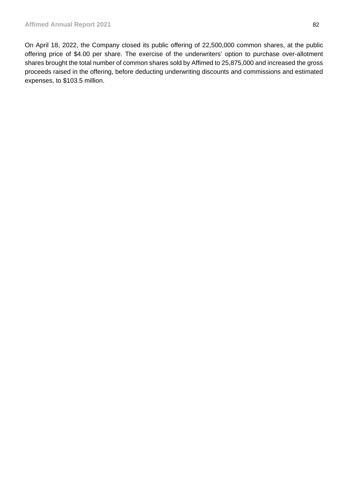On April 18, 2022, the Company closed its public offering of 22,500,000 common shares, at the public offering price of \$4.00 per share. The exercise of the underwriters' option to purchase over-allotment shares brought the total number of common shares sold by Affimed to 25,875,000 and increased the gross proceeds raised in the offering, before deducting underwriting discounts and commissions and estimated expenses, to \$103.5 million.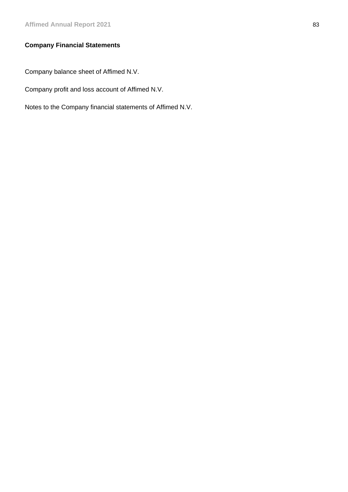# **Company Financial Statements**

Company balance sheet of Affimed N.V.

Company profit and loss account of Affimed N.V.

Notes to the Company financial statements of Affimed N.V.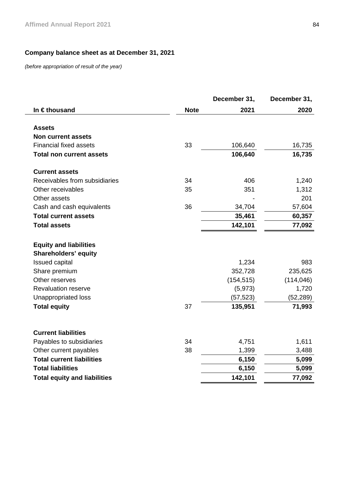# **Company balance sheet as at December 31, 2021**

*(before appropriation of result of the year)* 

|                                                              |             | December 31, | December 31, |
|--------------------------------------------------------------|-------------|--------------|--------------|
| In €thousand                                                 | <b>Note</b> | 2021         | 2020         |
| <b>Assets</b>                                                |             |              |              |
| <b>Non current assets</b>                                    |             |              |              |
| <b>Financial fixed assets</b>                                | 33          | 106,640      | 16,735       |
| <b>Total non current assets</b>                              |             | 106,640      | 16,735       |
| <b>Current assets</b>                                        |             |              |              |
| Receivables from subsidiaries                                | 34          | 406          | 1,240        |
| Other receivables                                            | 35          | 351          | 1,312        |
| Other assets                                                 |             |              | 201          |
| Cash and cash equivalents                                    | 36          | 34,704       | 57,604       |
| <b>Total current assets</b>                                  |             | 35,461       | 60,357       |
| <b>Total assets</b>                                          |             | 142,101      | 77,092       |
| <b>Equity and liabilities</b><br><b>Shareholders' equity</b> |             |              |              |
| <b>Issued capital</b>                                        |             | 1,234        | 983          |
| Share premium                                                |             | 352,728      | 235,625      |
| Other reserves                                               |             | (154, 515)   | (114, 046)   |
| <b>Revaluation reserve</b>                                   |             | (5, 973)     | 1,720        |
| Unappropriated loss                                          |             | (57, 523)    | (52,289)     |
| <b>Total equity</b>                                          | 37          | 135,951      | 71,993       |
| <b>Current liabilities</b>                                   |             |              |              |
| Payables to subsidiaries                                     | 34          | 4,751        | 1,611        |
| Other current payables                                       | 38          | 1,399        | 3,488        |
| <b>Total current liabilities</b>                             |             | 6,150        | 5,099        |
| <b>Total liabilities</b>                                     |             | 6,150        | 5,099        |
| <b>Total equity and liabilities</b>                          |             | 142,101      | 77,092       |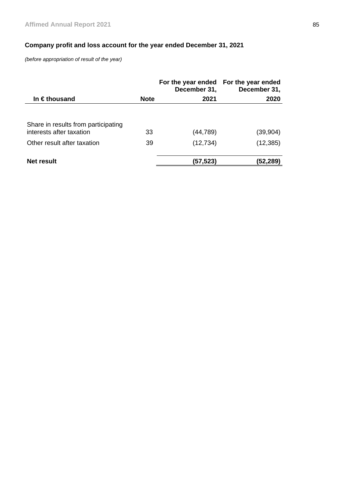# **Company profit and loss account for the year ended December 31, 2021**

*(before appropriation of result of the year)* 

|                                                                 |             | December 31, | For the year ended For the year ended<br>December 31, |
|-----------------------------------------------------------------|-------------|--------------|-------------------------------------------------------|
| In $\epsilon$ thousand                                          | <b>Note</b> | 2021         | 2020                                                  |
| Share in results from participating<br>interests after taxation | 33          | (44, 789)    | (39,904)                                              |
| Other result after taxation                                     | 39          | (12, 734)    | (12, 385)                                             |
| Net result                                                      |             | (57,523)     | (52,289)                                              |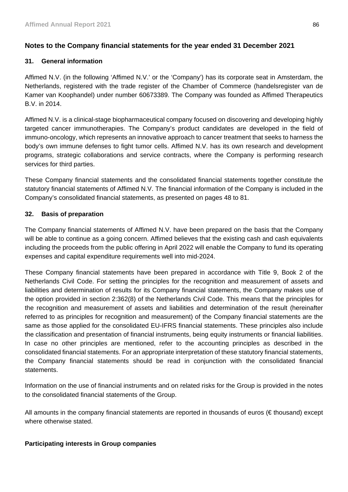# **Notes to the Company financial statements for the year ended 31 December 2021**

# **31. General information**

Affimed N.V. (in the following 'Affimed N.V.' or the 'Company') has its corporate seat in Amsterdam, the Netherlands, registered with the trade register of the Chamber of Commerce (handelsregister van de Kamer van Koophandel) under number 60673389. The Company was founded as Affimed Therapeutics B.V. in 2014.

Affimed N.V. is a clinical-stage biopharmaceutical company focused on discovering and developing highly targeted cancer immunotherapies. The Company's product candidates are developed in the field of immuno-oncology, which represents an innovative approach to cancer treatment that seeks to harness the body's own immune defenses to fight tumor cells. Affimed N.V. has its own research and development programs, strategic collaborations and service contracts, where the Company is performing research services for third parties.

These Company financial statements and the consolidated financial statements together constitute the statutory financial statements of Affimed N.V. The financial information of the Company is included in the Company's consolidated financial statements, as presented on pages 48 to 81.

# **32. Basis of preparation**

The Company financial statements of Affimed N.V. have been prepared on the basis that the Company will be able to continue as a going concern. Affimed believes that the existing cash and cash equivalents including the proceeds from the public offering in April 2022 will enable the Company to fund its operating expenses and capital expenditure requirements well into mid-2024.

These Company financial statements have been prepared in accordance with Title 9, Book 2 of the Netherlands Civil Code. For setting the principles for the recognition and measurement of assets and liabilities and determination of results for its Company financial statements, the Company makes use of the option provided in section 2:362(8) of the Netherlands Civil Code. This means that the principles for the recognition and measurement of assets and liabilities and determination of the result (hereinafter referred to as principles for recognition and measurement) of the Company financial statements are the same as those applied for the consolidated EU-IFRS financial statements. These principles also include the classification and presentation of financial instruments, being equity instruments or financial liabilities. In case no other principles are mentioned, refer to the accounting principles as described in the consolidated financial statements. For an appropriate interpretation of these statutory financial statements, the Company financial statements should be read in conjunction with the consolidated financial statements.

Information on the use of financial instruments and on related risks for the Group is provided in the notes to the consolidated financial statements of the Group.

All amounts in the company financial statements are reported in thousands of euros (€ thousand) except where otherwise stated.

# **Participating interests in Group companies**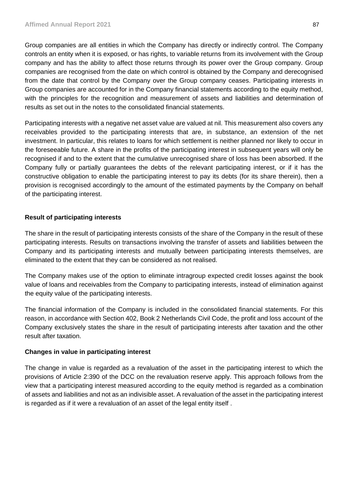Group companies are all entities in which the Company has directly or indirectly control. The Company controls an entity when it is exposed, or has rights, to variable returns from its involvement with the Group company and has the ability to affect those returns through its power over the Group company. Group companies are recognised from the date on which control is obtained by the Company and derecognised from the date that control by the Company over the Group company ceases. Participating interests in Group companies are accounted for in the Company financial statements according to the equity method, with the principles for the recognition and measurement of assets and liabilities and determination of results as set out in the notes to the consolidated financial statements.

Participating interests with a negative net asset value are valued at nil. This measurement also covers any receivables provided to the participating interests that are, in substance, an extension of the net investment. In particular, this relates to loans for which settlement is neither planned nor likely to occur in the foreseeable future. A share in the profits of the participating interest in subsequent years will only be recognised if and to the extent that the cumulative unrecognised share of loss has been absorbed. If the Company fully or partially guarantees the debts of the relevant participating interest, or if it has the constructive obligation to enable the participating interest to pay its debts (for its share therein), then a provision is recognised accordingly to the amount of the estimated payments by the Company on behalf of the participating interest.

# **Result of participating interests**

The share in the result of participating interests consists of the share of the Company in the result of these participating interests. Results on transactions involving the transfer of assets and liabilities between the Company and its participating interests and mutually between participating interests themselves, are eliminated to the extent that they can be considered as not realised.

The Company makes use of the option to eliminate intragroup expected credit losses against the book value of loans and receivables from the Company to participating interests, instead of elimination against the equity value of the participating interests.

The financial information of the Company is included in the consolidated financial statements. For this reason, in accordance with Section 402, Book 2 Netherlands Civil Code, the profit and loss account of the Company exclusively states the share in the result of participating interests after taxation and the other result after taxation.

# **Changes in value in participating interest**

The change in value is regarded as a revaluation of the asset in the participating interest to which the provisions of Article 2:390 of the DCC on the revaluation reserve apply. This approach follows from the view that a participating interest measured according to the equity method is regarded as a combination of assets and liabilities and not as an indivisible asset. A revaluation of the asset in the participating interest is regarded as if it were a revaluation of an asset of the legal entity itself .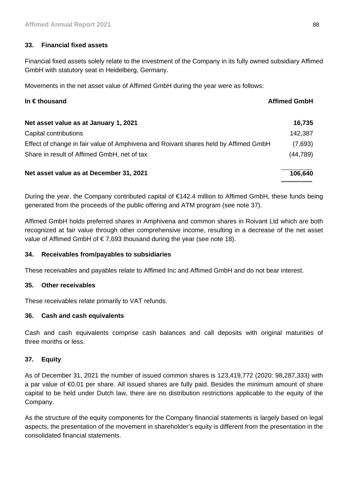# **33. Financial fixed assets**

Financial fixed assets solely relate to the investment of the Company in its fully owned subsidiary Affimed GmbH with statutory seat in Heidelberg, Germany.

Movements in the net asset value of Affimed GmbH during the year were as follows:

| In $\epsilon$ thousand<br><b>Affimed GmbH</b>                                       |           |
|-------------------------------------------------------------------------------------|-----------|
| Net asset value as at January 1, 2021                                               | 16,735    |
| Capital contributions                                                               | 142,387   |
| Effect of change in fair value of Amphivena and Roivant shares held by Affimed GmbH | (7,693)   |
| Share in result of Affimed GmbH, net of tax                                         | (44, 789) |
| Net asset value as at December 31, 2021                                             | 106,640   |

During the year, the Company contributed capital of €142.4 million to Affimed GmbH, these funds being generated from the proceeds of the public offering and ATM program (see note 37).

Affimed GmbH holds preferred shares in Amphivena and common shares in Roivant Ltd which are both recognized at fair value through other comprehensive income, resulting in a decrease of the net asset value of Affimed GmbH of € 7,693 thousand during the year (see note 18).

# **34. Receivables from/payables to subsidiaries**

These receivables and payables relate to Affimed Inc and Affimed GmbH and do not bear interest.

## **35. Other receivables**

These receivables relate primarily to VAT refunds.

## **36. Cash and cash equivalents**

Cash and cash equivalents comprise cash balances and call deposits with original maturities of three months or less.

## **37. Equity**

As of December 31, 2021 the number of issued common shares is 123,419,772 (2020: 98,287,333) with a par value of €0.01 per share. All issued shares are fully paid. Besides the minimum amount of share capital to be held under Dutch law, there are no distribution restrictions applicable to the equity of the Company.

As the structure of the equity components for the Company financial statements is largely based on legal aspects, the presentation of the movement in shareholder's equity is different from the presentation in the consolidated financial statements.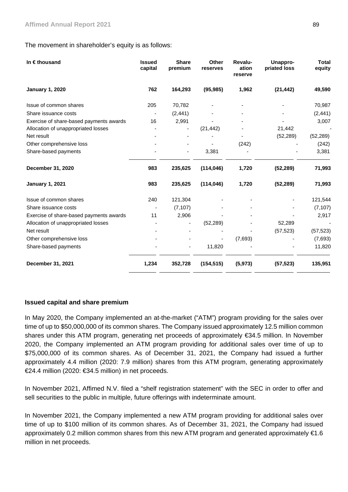## The movement in shareholder's equity is as follows:

| In €thousand                            | <b>Issued</b><br>capital | <b>Share</b><br>premium | Other<br>reserves | Revalu-<br>ation<br>reserve | Unappro-<br>priated loss | <b>Total</b><br>equity |
|-----------------------------------------|--------------------------|-------------------------|-------------------|-----------------------------|--------------------------|------------------------|
| <b>January 1, 2020</b>                  | 762                      | 164,293                 | (95, 985)         | 1,962                       | (21, 442)                | 49,590                 |
| Issue of common shares                  | 205                      | 70,782                  |                   |                             |                          | 70,987                 |
| Share issuance costs                    |                          | (2, 441)                |                   |                             |                          | (2, 441)               |
| Exercise of share-based payments awards | 16                       | 2,991                   |                   |                             |                          | 3,007                  |
| Allocation of unappropriated losses     |                          |                         | (21, 442)         |                             | 21,442                   |                        |
| Net result                              |                          |                         |                   |                             | (52, 289)                | (52, 289)              |
| Other comprehensive loss                |                          |                         |                   | (242)                       |                          | (242)                  |
| Share-based payments                    |                          |                         | 3,381             |                             |                          | 3,381                  |
| December 31, 2020                       | 983                      | 235,625                 | (114, 046)        | 1,720                       | (52, 289)                | 71,993                 |
| <b>January 1, 2021</b>                  | 983                      | 235,625                 | (114, 046)        | 1,720                       | (52, 289)                | 71,993                 |
| Issue of common shares                  | 240                      | 121,304                 |                   |                             |                          | 121,544                |
| Share issuance costs                    |                          | (7, 107)                |                   |                             |                          | (7, 107)               |
| Exercise of share-based payments awards | 11                       | 2,906                   |                   |                             |                          | 2,917                  |
| Allocation of unappropriated losses     |                          |                         | (52, 289)         |                             | 52,289                   |                        |
| Net result                              |                          |                         |                   |                             | (57, 523)                | (57, 523)              |
| Other comprehensive loss                |                          |                         |                   | (7,693)                     |                          | (7,693)                |
| Share-based payments                    |                          |                         | 11,820            |                             |                          | 11,820                 |
| December 31, 2021                       | 1,234                    | 352,728                 | (154, 515)        | (5, 973)                    | (57, 523)                | 135,951                |

## **Issued capital and share premium**

In May 2020, the Company implemented an at-the-market ("ATM") program providing for the sales over time of up to \$50,000,000 of its common shares. The Company issued approximately 12.5 million common shares under this ATM program, generating net proceeds of approximately €34.5 million. In November 2020, the Company implemented an ATM program providing for additional sales over time of up to \$75,000,000 of its common shares. As of December 31, 2021, the Company had issued a further approximately 4.4 million (2020: 7.9 million) shares from this ATM program, generating approximately €24.4 million (2020: €34.5 million) in net proceeds.

In November 2021, Affimed N.V. filed a "shelf registration statement" with the SEC in order to offer and sell securities to the public in multiple, future offerings with indeterminate amount.

In November 2021, the Company implemented a new ATM program providing for additional sales over time of up to \$100 million of its common shares. As of December 31, 2021, the Company had issued approximately 0.2 million common shares from this new ATM program and generated approximately €1.6 million in net proceeds.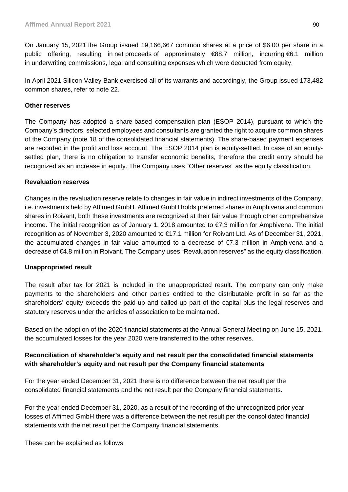On January 15, 2021 the Group issued 19,166,667 common shares at a price of \$6.00 per share in a public offering, resulting in net proceeds of approximately €88.7 million, incurring €6.1 million in underwriting commissions, legal and consulting expenses which were deducted from equity.

In April 2021 Silicon Valley Bank exercised all of its warrants and accordingly, the Group issued 173,482 common shares, refer to note 22.

# **Other reserves**

The Company has adopted a share-based compensation plan (ESOP 2014), pursuant to which the Company's directors, selected employees and consultants are granted the right to acquire common shares of the Company (note 18 of the consolidated financial statements). The share-based payment expenses are recorded in the profit and loss account. The ESOP 2014 plan is equity-settled. In case of an equitysettled plan, there is no obligation to transfer economic benefits, therefore the credit entry should be recognized as an increase in equity. The Company uses "Other reserves" as the equity classification.

# **Revaluation reserves**

Changes in the revaluation reserve relate to changes in fair value in indirect investments of the Company, i.e. investments held by Affimed GmbH. Affimed GmbH holds preferred shares in Amphivena and common shares in Roivant, both these investments are recognized at their fair value through other comprehensive income. The initial recognition as of January 1, 2018 amounted to €7.3 million for Amphivena. The initial recognition as of November 3, 2020 amounted to €17.1 million for Roivant Ltd. As of December 31, 2021, the accumulated changes in fair value amounted to a decrease of €7.3 million in Amphivena and a decrease of €4.8 million in Roivant. The Company uses "Revaluation reserves" as the equity classification.

# **Unappropriated result**

The result after tax for 2021 is included in the unappropriated result. The company can only make payments to the shareholders and other parties entitled to the distributable profit in so far as the shareholders' equity exceeds the paid-up and called-up part of the capital plus the legal reserves and statutory reserves under the articles of association to be maintained.

Based on the adoption of the 2020 financial statements at the Annual General Meeting on June 15, 2021, the accumulated losses for the year 2020 were transferred to the other reserves.

# **Reconciliation of shareholder's equity and net result per the consolidated financial statements with shareholder's equity and net result per the Company financial statements**

For the year ended December 31, 2021 there is no difference between the net result per the consolidated financial statements and the net result per the Company financial statements.

For the year ended December 31, 2020, as a result of the recording of the unrecognized prior year losses of Affimed GmbH there was a difference between the net result per the consolidated financial statements with the net result per the Company financial statements.

These can be explained as follows: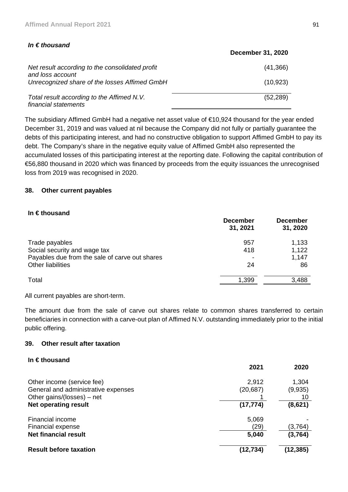# *In € thousand*

|                                                                     | <b>December 31, 2020</b> |
|---------------------------------------------------------------------|--------------------------|
| Net result according to the consolidated profit<br>and loss account | (41,366)                 |
| Unrecognized share of the losses Affimed GmbH                       | (10, 923)                |
| Total result according to the Affimed N.V.<br>financial statements  | (52, 289)                |

The subsidiary Affimed GmbH had a negative net asset value of €10,924 thousand for the year ended December 31, 2019 and was valued at nil because the Company did not fully or partially guarantee the debts of this participating interest, and had no constructive obligation to support Affimed GmbH to pay its debt. The Company's share in the negative equity value of Affimed GmbH also represented the accumulated losses of this participating interest at the reporting date. Following the capital contribution of €56,880 thousand in 2020 which was financed by proceeds from the equity issuances the unrecognised loss from 2019 was recognised in 2020.

# **38. Other current payables**

## **In € thousand**

|                                                | <b>December</b><br>31, 2021 | <b>December</b><br>31, 2020 |
|------------------------------------------------|-----------------------------|-----------------------------|
| Trade payables                                 | 957                         | 1,133                       |
| Social security and wage tax                   | 418                         | 1,122                       |
| Payables due from the sale of carve out shares |                             | 1,147                       |
| <b>Other liabilities</b>                       | 24                          | 86                          |
| Total                                          | 1,399                       | 3,488                       |

All current payables are short-term.

The amount due from the sale of carve out shares relate to common shares transferred to certain beneficiaries in connection with a carve-out plan of Affimed N.V. outstanding immediately prior to the initial public offering.

# **39. Other result after taxation**

## **In € thousand**

|                                     | 2021      | 2020     |
|-------------------------------------|-----------|----------|
| Other income (service fee)          | 2,912     | 1,304    |
| General and administrative expenses | (20, 687) | (9,935)  |
| Other gains/(losses) – net          |           | 10       |
| Net operating result                | (17, 774) | (8,621)  |
| Financial income                    | 5,069     |          |
| Financial expense                   | (29)      | (3,764)  |
| <b>Net financial result</b>         | 5,040     | (3,764)  |
| <b>Result before taxation</b>       | (12,734)  | (12,385) |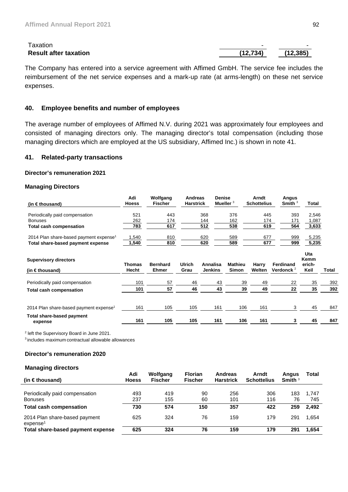| <b>Laxation</b>              |           |          |
|------------------------------|-----------|----------|
| <b>Result after taxation</b> | (12, 734) | (12,385) |

The Company has entered into a service agreement with Affimed GmbH. The service fee includes the reimbursement of the net service expenses and a mark-up rate (at arms-length) on these net service expenses.

## **40. Employee benefits and number of employees**

The average number of employees of Affimed N.V. during 2021 was approximately four employees and consisted of managing directors only. The managing director's total compensation (including those managing directors which are employed at the US subsidiary, Affimed Inc.) is shown in note 41.

#### **41. Related-party transactions**

#### **Director's remuneration 2021**

#### **Managing Directors**

| Adi<br><b>Hoess</b>    | Wolfgang<br><b>Fischer</b>      |                       |     |                                           |                                          | Arndt                                      | Smith $3$                  | Total                                                                 |                                            |
|------------------------|---------------------------------|-----------------------|-----|-------------------------------------------|------------------------------------------|--------------------------------------------|----------------------------|-----------------------------------------------------------------------|--------------------------------------------|
| 521                    | 443                             |                       | 368 |                                           | 376                                      |                                            |                            | 2,546                                                                 |                                            |
|                        |                                 |                       |     |                                           |                                          |                                            |                            |                                                                       |                                            |
| 783                    | 617                             |                       |     |                                           |                                          |                                            |                            |                                                                       |                                            |
| 1,540                  | 810                             |                       | 620 |                                           | 589                                      |                                            |                            | 5,235                                                                 |                                            |
| 1,540                  | 810                             |                       | 620 |                                           | 589                                      |                                            |                            | 5,235                                                                 |                                            |
| <b>Thomas</b><br>Hecht | <b>Bernhard</b><br><b>Ehmer</b> | <b>Ulrich</b><br>Grau |     |                                           | <b>Mathieu</b><br><b>Simon</b>           | Harry<br>Welten                            | Ferdinand<br>Verdonck $^2$ | Uta<br>Kemm<br>erich-<br>Keil                                         | Total                                      |
| 101                    | 57                              | 46                    |     | 43                                        | 39                                       | 49                                         | 22                         | 35                                                                    | 392                                        |
| 101                    | 57                              | 46                    |     | 43                                        | 39                                       | 49                                         | 22                         | 35                                                                    | 392                                        |
| 161<br>161             | 105<br>105                      | 105<br>105            |     |                                           | 106<br>106                               | 161<br>161                                 | 3<br>3                     | 45<br>45                                                              | 847<br>847                                 |
|                        | 262                             | 174                   |     | Andreas<br><b>Harstrick</b><br>144<br>512 | Annalisa<br><b>Jenkins</b><br>161<br>161 | <b>Denise</b><br>Mueller $3$<br>162<br>538 |                            | Angus<br><b>Schottelius</b><br>445<br>174<br>171<br>619<br>677<br>677 | 393<br>1,087<br>564<br>3,633<br>999<br>999 |

<sup>2</sup> left the Supervisory Board in June 2021.

3 includes maximum contractual allowable allowances

#### **Director's remuneration 2020**

#### **Managing directors**

| (in $\in$ thousand)                                                                | Adi<br><b>Hoess</b> | Wolfgang<br><b>Fischer</b> | <b>Florian</b><br><b>Fischer</b> | <b>Andreas</b><br><b>Harstrick</b> | Arndt<br><b>Schottelius</b> | Angus<br>Smith $3$ | Total                 |
|------------------------------------------------------------------------------------|---------------------|----------------------------|----------------------------------|------------------------------------|-----------------------------|--------------------|-----------------------|
| Periodically paid compensation<br><b>Bonuses</b><br><b>Total cash compensation</b> | 493<br>237<br>730   | 419<br>155<br>574          | 90<br>60<br>150                  | 256<br>101<br>357                  | 306<br>116<br>422           | 183<br>76<br>259   | 1.747<br>745<br>2.492 |
| 2014 Plan share-based payment<br>expense <sup>1</sup>                              | 625                 | 324                        | 76                               | 159                                | 179                         | 291                | 1.654                 |
| Total share-based payment expense                                                  | 625                 | 324                        | 76                               | 159                                | 179                         | 291                | 1.654                 |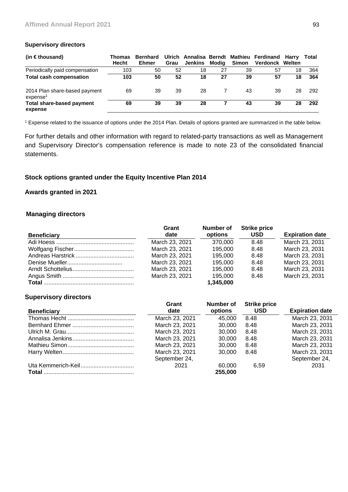#### **Supervisory directors**

| (in $\in$ thousand)                                   | Thomas<br><b>Hecht</b> | <b>Bernhard</b><br><b>Ehmer</b> | Grau | Jenkins | Modia | Simon | Ulrich Annalisa Berndt Mathieu Ferdinand Harry<br>Verdonck Welten |    | Total |
|-------------------------------------------------------|------------------------|---------------------------------|------|---------|-------|-------|-------------------------------------------------------------------|----|-------|
| Periodically paid compensation                        | 103                    | 50                              | 52   | 18      | 27    | 39    | 57                                                                | 18 | 364   |
| <b>Total cash compensation</b>                        | 103                    | 50                              | 52   | 18      | 27    | 39    | 57                                                                | 18 | 364   |
| 2014 Plan share-based payment<br>expense <sup>1</sup> | 69                     | 39                              | 39   | 28      |       | 43    | 39                                                                | 28 | 292   |
| <b>Total share-based payment</b><br>expense           | 69                     | 39                              | 39   | 28      |       | 43    | 39                                                                | 28 | 292   |

1 Expense related to the issuance of options under the 2014 Plan. Details of options granted are summarized in the table below.

For further details and other information with regard to related-party transactions as well as Management and Supervisory Director's compensation reference is made to note 23 of the consolidated financial statements.

## **Stock options granted under the Equity Incentive Plan 2014**

# **Awards granted in 2021**

## **Managing directors**

|                    | Grant          | Number of | <b>Strike price</b> |                        |
|--------------------|----------------|-----------|---------------------|------------------------|
| <b>Beneficiary</b> | date           | options   | <b>USD</b>          | <b>Expiration date</b> |
|                    | March 23, 2021 | 370.000   | 8.48                | March 23, 2031         |
|                    | March 23, 2021 | 195.000   | 8.48                | March 23, 2031         |
|                    | March 23, 2021 | 195.000   | 8.48                | March 23, 2031         |
|                    | March 23, 2021 | 195.000   | 8.48                | March 23, 2031         |
|                    | March 23, 2021 | 195.000   | 8.48                | March 23, 2031         |
|                    | March 23, 2021 | 195.000   | 8.48                | March 23, 2031         |
|                    |                | 1,345,000 |                     |                        |

#### **Supervisory directors**

| <b>Beneficiary</b> | Grant<br>date  | Number of<br>options | <b>Strike price</b><br><b>USD</b> | <b>Expiration date</b> |
|--------------------|----------------|----------------------|-----------------------------------|------------------------|
|                    | March 23, 2021 | 45.000               | 8.48                              | March 23, 2031         |
|                    | March 23, 2021 | 30,000               | 8.48                              | March 23, 2031         |
|                    | March 23, 2021 | 30.000               | 8.48                              | March 23, 2031         |
|                    | March 23, 2021 | 30,000               | 8.48                              | March 23, 2031         |
|                    | March 23, 2021 | 30,000               | 8.48                              | March 23, 2031         |
|                    | March 23, 2021 | 30,000               | 8.48                              | March 23, 2031         |
|                    | September 24,  |                      |                                   | September 24,          |
|                    | 2021           | 60,000               | 6.59                              | 2031                   |
|                    |                | 255,000              |                                   |                        |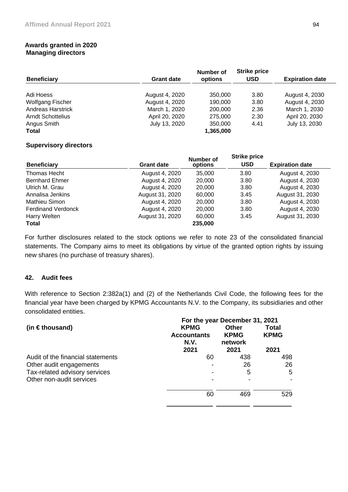## **Awards granted in 2020 Managing directors**

|                          |                   | Number of | <b>Strike price</b> |                        |
|--------------------------|-------------------|-----------|---------------------|------------------------|
| <b>Beneficiary</b>       | <b>Grant date</b> | options   | <b>USD</b>          | <b>Expiration date</b> |
|                          |                   |           |                     |                        |
| Adi Hoess                | August 4, 2020    | 350,000   | 3.80                | August 4, 2030         |
| <b>Wolfgang Fischer</b>  | August 4, 2020    | 190,000   | 3.80                | August 4, 2030         |
| <b>Andreas Harstrick</b> | March 1, 2020     | 200,000   | 2.36                | March 1, 2030          |
| Arndt Schottelius        | April 20, 2020    | 275,000   | 2.30                | April 20, 2030         |
| Angus Smith              | July 13, 2020     | 350,000   | 4.41                | July 13, 2030          |
| <b>Total</b>             |                   | 1,365,000 |                     |                        |

# **Supervisory directors**

| <b>Beneficiary</b>        | <b>Grant date</b> | Number of<br>options | <b>Strike price</b><br><b>USD</b> | <b>Expiration date</b> |
|---------------------------|-------------------|----------------------|-----------------------------------|------------------------|
| Thomas Hecht              | August 4, 2020    | 35,000               | 3.80                              | August 4, 2030         |
| <b>Bernhard Ehmer</b>     | August 4, 2020    | 20,000               | 3.80                              | August 4, 2030         |
| Ulrich M. Grau            | August 4, 2020    | 20,000               | 3.80                              | August 4, 2030         |
| Annalisa Jenkins          | August 31, 2020   | 60,000               | 3.45                              | August 31, 2030        |
| Mathieu Simon             | August 4, 2020    | 20,000               | 3.80                              | August 4, 2030         |
| <b>Ferdinand Verdonck</b> | August 4, 2020    | 20,000               | 3.80                              | August 4, 2030         |
| Harry Welten              | August 31, 2020   | 60,000               | 3.45                              | August 31, 2030        |
| <b>Total</b>              |                   | 235,000              |                                   |                        |

For further disclosures related to the stock options we refer to note 23 of the consolidated financial statements. The Company aims to meet its obligations by virtue of the granted option rights by issuing new shares (no purchase of treasury shares).

# **42. Audit fees**

With reference to Section 2:382a(1) and (2) of the Netherlands Civil Code, the following fees for the financial year have been charged by KPMG Accountants N.V. to the Company, its subsidiaries and other consolidated entities.

|                                   | For the year December 31, 2021                    |                                         |                                     |  |  |  |  |
|-----------------------------------|---------------------------------------------------|-----------------------------------------|-------------------------------------|--|--|--|--|
| (in $\in$ thousand)               | <b>KPMG</b><br><b>Accountants</b><br>N.V.<br>2021 | Other<br><b>KPMG</b><br>network<br>2021 | <b>Total</b><br><b>KPMG</b><br>2021 |  |  |  |  |
| Audit of the financial statements | 60                                                | 438                                     | 498                                 |  |  |  |  |
| Other audit engagements           |                                                   | 26                                      | 26                                  |  |  |  |  |
| Tax-related advisory services     |                                                   | 5                                       | 5                                   |  |  |  |  |
| Other non-audit services          |                                                   |                                         |                                     |  |  |  |  |
|                                   | 60                                                | 469                                     | 529                                 |  |  |  |  |
|                                   |                                                   |                                         |                                     |  |  |  |  |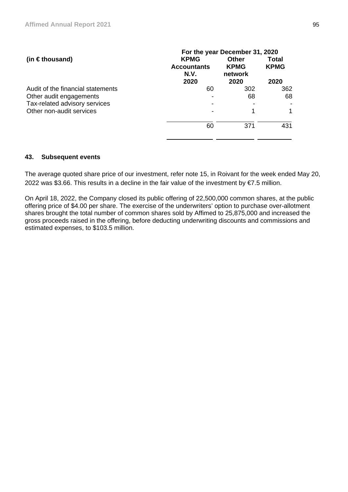| (in $\in$ thousand)               | For the year December 31, 2020            |                                        |                             |
|-----------------------------------|-------------------------------------------|----------------------------------------|-----------------------------|
|                                   | <b>KPMG</b><br><b>Accountants</b><br>N.V. | <b>Other</b><br><b>KPMG</b><br>network | <b>Total</b><br><b>KPMG</b> |
|                                   | 2020                                      | 2020                                   | 2020                        |
| Audit of the financial statements | 60                                        | 302                                    | 362                         |
| Other audit engagements           |                                           | 68                                     | 68                          |
| Tax-related advisory services     |                                           |                                        |                             |
| Other non-audit services          |                                           |                                        |                             |
|                                   | 60                                        | 371                                    | 431                         |
|                                   |                                           |                                        |                             |

## **43. Subsequent events**

The average quoted share price of our investment, refer note 15, in Roivant for the week ended May 20, 2022 was \$3.66. This results in a decline in the fair value of the investment by €7.5 million.

On April 18, 2022, the Company closed its public offering of 22,500,000 common shares, at the public offering price of \$4.00 per share. The exercise of the underwriters' option to purchase over-allotment shares brought the total number of common shares sold by Affimed to 25,875,000 and increased the gross proceeds raised in the offering, before deducting underwriting discounts and commissions and estimated expenses, to \$103.5 million.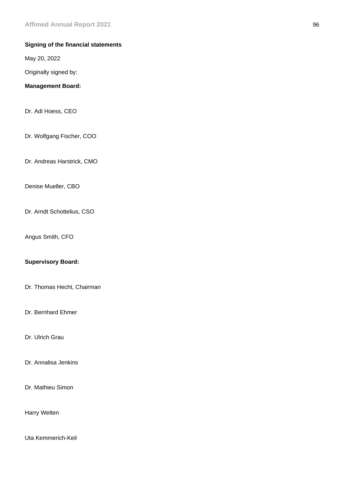# **Signing of the financial statements**

May 20, 2022

Originally signed by:

## **Management Board:**

Dr. Adi Hoess, CEO

Dr. Wolfgang Fischer, COO

Dr. Andreas Harstrick, CMO

Denise Mueller, CBO

Dr. Arndt Schottelius, CSO

Angus Smith, CFO

## **Supervisory Board:**

Dr. Thomas Hecht, Chairman

Dr. Bernhard Ehmer

Dr. Ulrich Grau

Dr. Annalisa Jenkins

Dr. Mathieu Simon

Harry Welten

Uta Kemmerich-Keil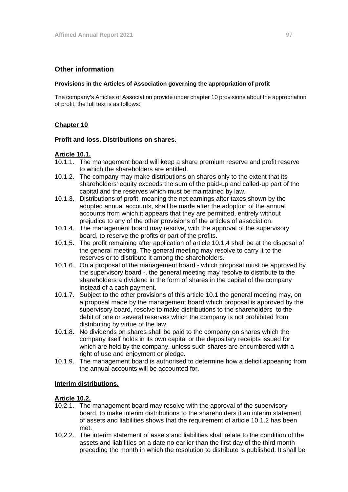# **Other information**

#### **Provisions in the Articles of Association governing the appropriation of profit**

The company's Articles of Association provide under chapter 10 provisions about the appropriation of profit, the full text is as follows:

# **Chapter 10**

## **Profit and loss. Distributions on shares.**

## **Article 10.1.**

- 10.1.1. The management board will keep a share premium reserve and profit reserve to which the shareholders are entitled.
- 10.1.2. The company may make distributions on shares only to the extent that its shareholders' equity exceeds the sum of the paid-up and called-up part of the capital and the reserves which must be maintained by law.
- 10.1.3. Distributions of profit, meaning the net earnings after taxes shown by the adopted annual accounts, shall be made after the adoption of the annual accounts from which it appears that they are permitted, entirely without prejudice to any of the other provisions of the articles of association.
- 10.1.4. The management board may resolve, with the approval of the supervisory board, to reserve the profits or part of the profits.
- 10.1.5. The profit remaining after application of article 10.1.4 shall be at the disposal of the general meeting. The general meeting may resolve to carry it to the reserves or to distribute it among the shareholders.
- 10.1.6. On a proposal of the management board which proposal must be approved by the supervisory board -, the general meeting may resolve to distribute to the shareholders a dividend in the form of shares in the capital of the company instead of a cash payment.
- 10.1.7. Subject to the other provisions of this article 10.1 the general meeting may, on a proposal made by the management board which proposal is approved by the supervisory board, resolve to make distributions to the shareholders to the debit of one or several reserves which the company is not prohibited from distributing by virtue of the law.
- 10.1.8. No dividends on shares shall be paid to the company on shares which the company itself holds in its own capital or the depositary receipts issued for which are held by the company, unless such shares are encumbered with a right of use and enjoyment or pledge.
- 10.1.9. The management board is authorised to determine how a deficit appearing from the annual accounts will be accounted for.

## **Interim distributions.**

## **Article 10.2.**

- 10.2.1. The management board may resolve with the approval of the supervisory board, to make interim distributions to the shareholders if an interim statement of assets and liabilities shows that the requirement of article 10.1.2 has been met.
- 10.2.2. The interim statement of assets and liabilities shall relate to the condition of the assets and liabilities on a date no earlier than the first day of the third month preceding the month in which the resolution to distribute is published. It shall be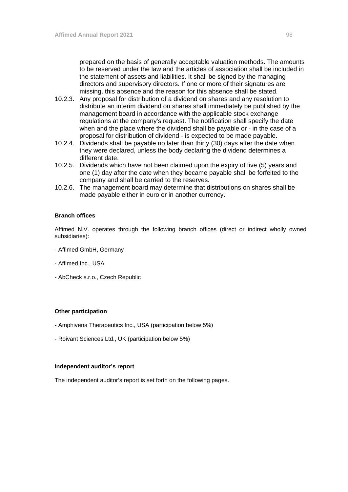prepared on the basis of generally acceptable valuation methods. The amounts to be reserved under the law and the articles of association shall be included in the statement of assets and liabilities. It shall be signed by the managing directors and supervisory directors. If one or more of their signatures are missing, this absence and the reason for this absence shall be stated.

- 10.2.3. Any proposal for distribution of a dividend on shares and any resolution to distribute an interim dividend on shares shall immediately be published by the management board in accordance with the applicable stock exchange regulations at the company's request. The notification shall specify the date when and the place where the dividend shall be payable or - in the case of a proposal for distribution of dividend - is expected to be made payable.
- 10.2.4. Dividends shall be payable no later than thirty (30) days after the date when they were declared, unless the body declaring the dividend determines a different date.
- 10.2.5. Dividends which have not been claimed upon the expiry of five (5) years and one (1) day after the date when they became payable shall be forfeited to the company and shall be carried to the reserves.
- 10.2.6. The management board may determine that distributions on shares shall be made payable either in euro or in another currency.

#### **Branch offices**

Affimed N.V. operates through the following branch offices (direct or indirect wholly owned subsidiaries):

- Affimed GmbH, Germany
- Affimed Inc., USA
- AbCheck s.r.o., Czech Republic

#### **Other participation**

- Amphivena Therapeutics Inc., USA (participation below 5%)
- Roivant Sciences Ltd., UK (participation below 5%)

#### **Independent auditor's report**

The independent auditor's report is set forth on the following pages.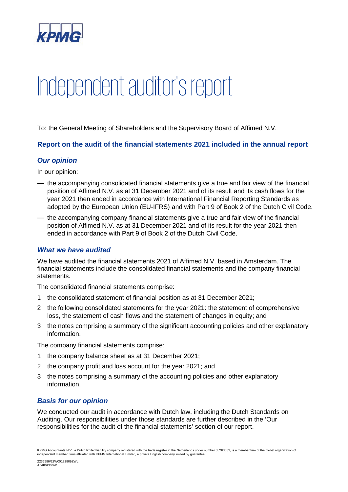

# Independent auditor's report

To: the General Meeting of Shareholders and the Supervisory Board of Affimed N.V.

**Report on the audit of the financial statements 2021 included in the annual report** 

# *Our opinion*

In our opinion:

- the accompanying consolidated financial statements give a true and fair view of the financial position of Affimed N.V. as at 31 December 2021 and of its result and its cash flows for the year 2021 then ended in accordance with International Financial Reporting Standards as adopted by the European Union (EU-IFRS) and with Part 9 of Book 2 of the Dutch Civil Code.
- the accompanying company financial statements give a true and fair view of the financial position of Affimed N.V. as at 31 December 2021 and of its result for the year 2021 then ended in accordance with Part 9 of Book 2 of the Dutch Civil Code.

# *What we have audited*

We have audited the financial statements 2021 of Affimed N.V. based in Amsterdam. The financial statements include the consolidated financial statements and the company financial statements.

The consolidated financial statements comprise:

- 1 the consolidated statement of financial position as at 31 December 2021;
- 2 the following consolidated statements for the year 2021: the statement of comprehensive loss, the statement of cash flows and the statement of changes in equity; and
- 3 the notes comprising a summary of the significant accounting policies and other explanatory information.

The company financial statements comprise:

- 1 the company balance sheet as at 31 December 2021;
- 2 the company profit and loss account for the year 2021; and
- 3 the notes comprising a summary of the accounting policies and other explanatory information.

# *Basis for our opinion*

We conducted our audit in accordance with Dutch law, including the Dutch Standards on Auditing. Our responsibilities under those standards are further described in the 'Our responsibilities for the audit of the financial statements' section of our report.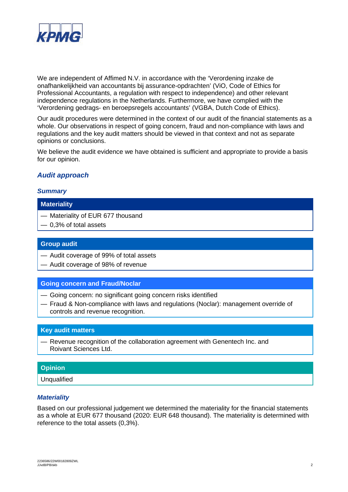

We are independent of Affimed N.V. in accordance with the 'Verordening inzake de onafhankelijkheid van accountants bij assurance-opdrachten' (ViO, Code of Ethics for Professional Accountants, a regulation with respect to independence) and other relevant independence regulations in the Netherlands. Furthermore, we have complied with the 'Verordening gedrags- en beroepsregels accountants' (VGBA, Dutch Code of Ethics).

Our audit procedures were determined in the context of our audit of the financial statements as a whole. Our observations in respect of going concern, fraud and non-compliance with laws and regulations and the key audit matters should be viewed in that context and not as separate opinions or conclusions.

We believe the audit evidence we have obtained is sufficient and appropriate to provide a basis for our opinion.

# *Audit approach*

## *Summary*

#### **Materiality**

- Materiality of EUR 677 thousand
- 0,3% of total assets

## **Group audit**

- Audit coverage of 99% of total assets
- Audit coverage of 98% of revenue

## **Going concern and Fraud/Noclar**

- Going concern: no significant going concern risks identified
- Fraud & Non-compliance with laws and regulations (Noclar): management override of controls and revenue recognition.

## **Key audit matters**

— Revenue recognition of the collaboration agreement with Genentech Inc. and Roivant Sciences Ltd.

## **Opinion**

Unqualified

## *Materiality*

Based on our professional judgement we determined the materiality for the financial statements as a whole at EUR 677 thousand (2020: EUR 648 thousand). The materiality is determined with reference to the total assets (0,3%).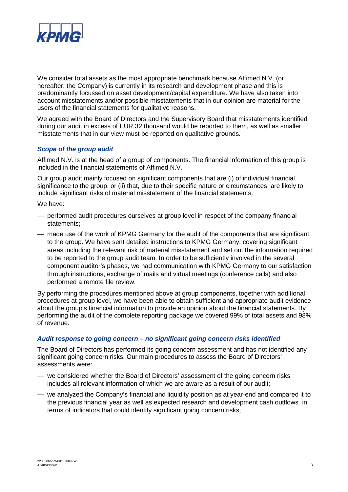

We consider total assets as the most appropriate benchmark because Affimed N.V. (or hereafter: the Company) is currently in its research and development phase and this is predominantly focussed on asset development/capital expenditure. We have also taken into account misstatements and/or possible misstatements that in our opinion are material for the users of the financial statements for qualitative reasons.

We agreed with the Board of Directors and the Supervisory Board that misstatements identified during our audit in excess of EUR 32 thousand would be reported to them, as well as smaller misstatements that in our view must be reported on qualitative grounds*.*

## *Scope of the group audit*

Affimed N.V. is at the head of a group of components. The financial information of this group is included in the financial statements of Affimed N.V.

Our group audit mainly focused on significant components that are (i) of individual financial significance to the group, or (ii) that, due to their specific nature or circumstances, are likely to include significant risks of material misstatement of the financial statements.

We have:

- performed audit procedures ourselves at group level in respect of the company financial statements;
- made use of the work of KPMG Germany for the audit of the components that are significant to the group. We have sent detailed instructions to KPMG Germany, covering significant areas including the relevant risk of material misstatement and set out the information required to be reported to the group audit team. In order to be sufficiently involved in the several component auditor's phases, we had communication with KPMG Germany to our satisfaction through instructions, exchange of mails and virtual meetings (conference calls) and also performed a remote file review.

By performing the procedures mentioned above at group components, together with additional procedures at group level, we have been able to obtain sufficient and appropriate audit evidence about the group's financial information to provide an opinion about the financial statements. By performing the audit of the complete reporting package we covered 99% of total assets and 98% of revenue.

#### *Audit response to going concern – no significant going concern risks identified*

The Board of Directors has performed its going concern assessment and has not identified any significant going concern risks. Our main procedures to assess the Board of Directors' assessments were:

- we considered whether the Board of Directors' assessment of the going concern risks includes all relevant information of which we are aware as a result of our audit;
- we analyzed the Company's financial and liquidity position as at year-end and compared it to the previous financial year as well as expected research and development cash outflows in terms of indicators that could identify significant going concern risks: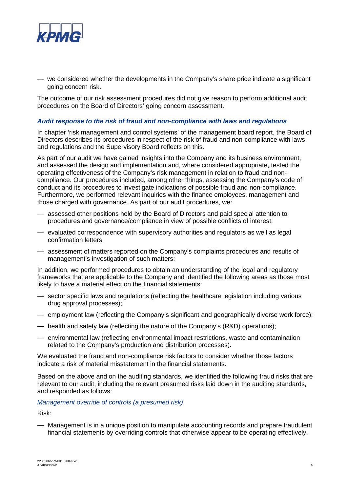

— we considered whether the developments in the Company's share price indicate a significant going concern risk.

The outcome of our risk assessment procedures did not give reason to perform additional audit procedures on the Board of Directors' going concern assessment.

#### *Audit response to the risk of fraud and non-compliance with laws and regulations*

In chapter 'risk management and control systems' of the management board report, the Board of Directors describes its procedures in respect of the risk of fraud and non-compliance with laws and regulations and the Supervisory Board reflects on this.

As part of our audit we have gained insights into the Company and its business environment, and assessed the design and implementation and, where considered appropriate, tested the operating effectiveness of the Company's risk management in relation to fraud and noncompliance. Our procedures included, among other things, assessing the Company's code of conduct and its procedures to investigate indications of possible fraud and non-compliance. Furthermore, we performed relevant inquiries with the finance employees, management and those charged with governance. As part of our audit procedures, we:

- assessed other positions held by the Board of Directors and paid special attention to procedures and governance/compliance in view of possible conflicts of interest;
- evaluated correspondence with supervisory authorities and regulators as well as legal confirmation letters.
- assessment of matters reported on the Company's complaints procedures and results of management's investigation of such matters;

In addition, we performed procedures to obtain an understanding of the legal and regulatory frameworks that are applicable to the Company and identified the following areas as those most likely to have a material effect on the financial statements:

- sector specific laws and regulations (reflecting the healthcare legislation including various drug approval processes);
- employment law (reflecting the Company's significant and geographically diverse work force);
- health and safety law (reflecting the nature of the Company's (R&D) operations);
- environmental law (reflecting environmental impact restrictions, waste and contamination related to the Company's production and distribution processes).

We evaluated the fraud and non-compliance risk factors to consider whether those factors indicate a risk of material misstatement in the financial statements.

Based on the above and on the auditing standards, we identified the following fraud risks that are relevant to our audit, including the relevant presumed risks laid down in the auditing standards, and responded as follows:

#### *Management override of controls (a presumed risk)*

Risk:

— Management is in a unique position to manipulate accounting records and prepare fraudulent financial statements by overriding controls that otherwise appear to be operating effectively.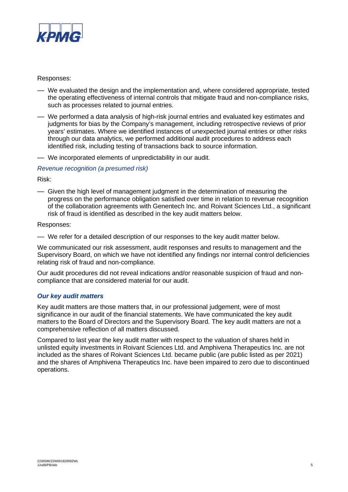

## Responses:

- We evaluated the design and the implementation and, where considered appropriate, tested the operating effectiveness of internal controls that mitigate fraud and non-compliance risks, such as processes related to journal entries.
- We performed a data analysis of high-risk journal entries and evaluated key estimates and judgments for bias by the Company's management, including retrospective reviews of prior years' estimates. Where we identified instances of unexpected journal entries or other risks through our data analytics, we performed additional audit procedures to address each identified risk, including testing of transactions back to source information.
- We incorporated elements of unpredictability in our audit.

## *Revenue recognition (a presumed risk)*

Risk:

— Given the high level of management judgment in the determination of measuring the progress on the performance obligation satisfied over time in relation to revenue recognition of the collaboration agreements with Genentech Inc. and Roivant Sciences Ltd., a significant risk of fraud is identified as described in the key audit matters below.

Responses:

— We refer for a detailed description of our responses to the key audit matter below.

We communicated our risk assessment, audit responses and results to management and the Supervisory Board, on which we have not identified any findings nor internal control deficiencies relating risk of fraud and non-compliance.

Our audit procedures did not reveal indications and/or reasonable suspicion of fraud and noncompliance that are considered material for our audit.

## *Our key audit matters*

Key audit matters are those matters that, in our professional judgement, were of most significance in our audit of the financial statements. We have communicated the key audit matters to the Board of Directors and the Supervisory Board. The key audit matters are not a comprehensive reflection of all matters discussed.

Compared to last year the key audit matter with respect to the valuation of shares held in unlisted equity investments in Roivant Sciences Ltd. and Amphivena Therapeutics Inc. are not included as the shares of Roivant Sciences Ltd. became public (are public listed as per 2021) and the shares of Amphivena Therapeutics Inc. have been impaired to zero due to discontinued operations.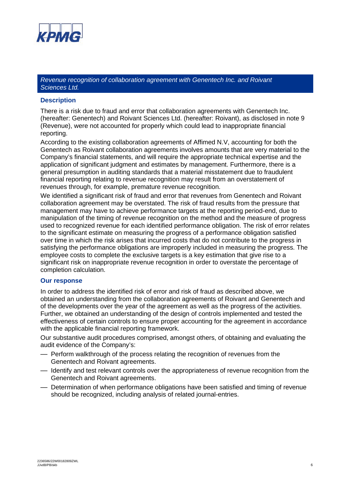

*Revenue recognition of collaboration agreement with Genentech Inc. and Roivant Sciences Ltd.*

#### **Description**

There is a risk due to fraud and error that collaboration agreements with Genentech Inc. (hereafter: Genentech) and Roivant Sciences Ltd. (hereafter: Roivant), as disclosed in note 9 (Revenue), were not accounted for properly which could lead to inappropriate financial reporting.

According to the existing collaboration agreements of Affimed N.V, accounting for both the Genentech as Roivant collaboration agreements involves amounts that are very material to the Company's financial statements, and will require the appropriate technical expertise and the application of significant judgment and estimates by management. Furthermore, there is a general presumption in auditing standards that a material misstatement due to fraudulent financial reporting relating to revenue recognition may result from an overstatement of revenues through, for example, premature revenue recognition.

We identified a significant risk of fraud and error that revenues from Genentech and Roivant collaboration agreement may be overstated. The risk of fraud results from the pressure that management may have to achieve performance targets at the reporting period-end, due to manipulation of the timing of revenue recognition on the method and the measure of progress used to recognized revenue for each identified performance obligation. The risk of error relates to the significant estimate on measuring the progress of a performance obligation satisfied over time in which the risk arises that incurred costs that do not contribute to the progress in satisfying the performance obligations are improperly included in measuring the progress. The employee costs to complete the exclusive targets is a key estimation that give rise to a significant risk on inappropriate revenue recognition in order to overstate the percentage of completion calculation.

#### **Our response**

In order to address the identified risk of error and risk of fraud as described above, we obtained an understanding from the collaboration agreements of Roivant and Genentech and of the developments over the year of the agreement as well as the progress of the activities. Further, we obtained an understanding of the design of controls implemented and tested the effectiveness of certain controls to ensure proper accounting for the agreement in accordance with the applicable financial reporting framework.

Our substantive audit procedures comprised, amongst others, of obtaining and evaluating the audit evidence of the Company's:

- Perform walkthrough of the process relating the recognition of revenues from the Genentech and Roivant agreements.
- Identify and test relevant controls over the appropriateness of revenue recognition from the Genentech and Roivant agreements.
- Determination of when performance obligations have been satisfied and timing of revenue should be recognized, including analysis of related journal-entries.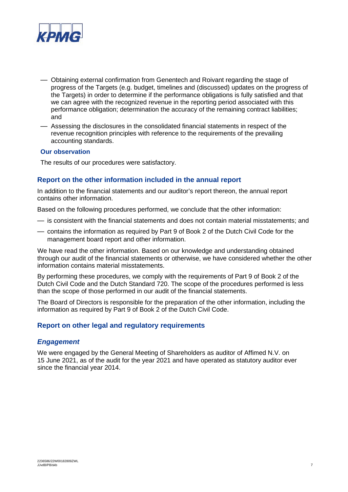

- Obtaining external confirmation from Genentech and Roivant regarding the stage of progress of the Targets (e.g. budget, timelines and (discussed) updates on the progress of the Targets) in order to determine if the performance obligations is fully satisfied and that we can agree with the recognized revenue in the reporting period associated with this performance obligation; determination the accuracy of the remaining contract liabilities; and
- Assessing the disclosures in the consolidated financial statements in respect of the revenue recognition principles with reference to the requirements of the prevailing accounting standards.

## **Our observation**

The results of our procedures were satisfactory.

## **Report on the other information included in the annual report**

In addition to the financial statements and our auditor's report thereon, the annual report contains other information.

Based on the following procedures performed, we conclude that the other information:

- is consistent with the financial statements and does not contain material misstatements; and
- contains the information as required by Part 9 of Book 2 of the Dutch Civil Code for the management board report and other information.

We have read the other information. Based on our knowledge and understanding obtained through our audit of the financial statements or otherwise, we have considered whether the other information contains material misstatements.

By performing these procedures, we comply with the requirements of Part 9 of Book 2 of the Dutch Civil Code and the Dutch Standard 720. The scope of the procedures performed is less than the scope of those performed in our audit of the financial statements.

The Board of Directors is responsible for the preparation of the other information, including the information as required by Part 9 of Book 2 of the Dutch Civil Code.

## **Report on other legal and regulatory requirements**

## *Engagement*

We were engaged by the General Meeting of Shareholders as auditor of Affimed N.V. on 15 June 2021, as of the audit for the year 2021 and have operated as statutory auditor ever since the financial year 2014.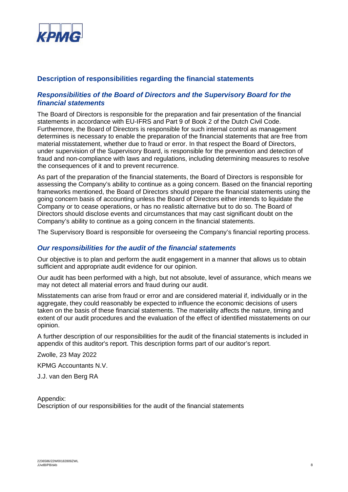

## **Description of responsibilities regarding the financial statements**

## *Responsibilities of the Board of Directors and the Supervisory Board for the financial statements*

The Board of Directors is responsible for the preparation and fair presentation of the financial statements in accordance with EU-IFRS and Part 9 of Book 2 of the Dutch Civil Code. Furthermore, the Board of Directors is responsible for such internal control as management determines is necessary to enable the preparation of the financial statements that are free from material misstatement, whether due to fraud or error. In that respect the Board of Directors, under supervision of the Supervisory Board, is responsible for the prevention and detection of fraud and non-compliance with laws and regulations, including determining measures to resolve the consequences of it and to prevent recurrence.

As part of the preparation of the financial statements, the Board of Directors is responsible for assessing the Company's ability to continue as a going concern. Based on the financial reporting frameworks mentioned, the Board of Directors should prepare the financial statements using the going concern basis of accounting unless the Board of Directors either intends to liquidate the Company or to cease operations, or has no realistic alternative but to do so. The Board of Directors should disclose events and circumstances that may cast significant doubt on the Company's ability to continue as a going concern in the financial statements.

The Supervisory Board is responsible for overseeing the Company's financial reporting process.

#### *Our responsibilities for the audit of the financial statements*

Our objective is to plan and perform the audit engagement in a manner that allows us to obtain sufficient and appropriate audit evidence for our opinion.

Our audit has been performed with a high, but not absolute, level of assurance, which means we may not detect all material errors and fraud during our audit.

Misstatements can arise from fraud or error and are considered material if, individually or in the aggregate, they could reasonably be expected to influence the economic decisions of users taken on the basis of these financial statements. The materiality affects the nature, timing and extent of our audit procedures and the evaluation of the effect of identified misstatements on our opinion.

A further description of our responsibilities for the audit of the financial statements is included in appendix of this auditor's report. This description forms part of our auditor's report.

Zwolle, 23 May 2022

KPMG Accountants N.V.

J.J. van den Berg RA

Appendix: Description of our responsibilities for the audit of the financial statements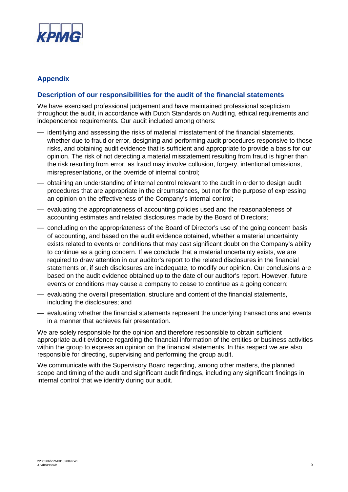

# **Appendix**

## **Description of our responsibilities for the audit of the financial statements**

We have exercised professional judgement and have maintained professional scepticism throughout the audit, in accordance with Dutch Standards on Auditing, ethical requirements and independence requirements. Our audit included among others:

- identifying and assessing the risks of material misstatement of the financial statements, whether due to fraud or error, designing and performing audit procedures responsive to those risks, and obtaining audit evidence that is sufficient and appropriate to provide a basis for our opinion. The risk of not detecting a material misstatement resulting from fraud is higher than the risk resulting from error, as fraud may involve collusion, forgery, intentional omissions, misrepresentations, or the override of internal control;
- obtaining an understanding of internal control relevant to the audit in order to design audit procedures that are appropriate in the circumstances, but not for the purpose of expressing an opinion on the effectiveness of the Company's internal control;
- evaluating the appropriateness of accounting policies used and the reasonableness of accounting estimates and related disclosures made by the Board of Directors;
- concluding on the appropriateness of the Board of Director's use of the going concern basis of accounting, and based on the audit evidence obtained, whether a material uncertainty exists related to events or conditions that may cast significant doubt on the Company's ability to continue as a going concern. If we conclude that a material uncertainty exists, we are required to draw attention in our auditor's report to the related disclosures in the financial statements or, if such disclosures are inadequate, to modify our opinion. Our conclusions are based on the audit evidence obtained up to the date of our auditor's report. However, future events or conditions may cause a company to cease to continue as a going concern;
- evaluating the overall presentation, structure and content of the financial statements, including the disclosures; and
- evaluating whether the financial statements represent the underlying transactions and events in a manner that achieves fair presentation.

We are solely responsible for the opinion and therefore responsible to obtain sufficient appropriate audit evidence regarding the financial information of the entities or business activities within the group to express an opinion on the financial statements. In this respect we are also responsible for directing, supervising and performing the group audit.

We communicate with the Supervisory Board regarding, among other matters, the planned scope and timing of the audit and significant audit findings, including any significant findings in internal control that we identify during our audit.